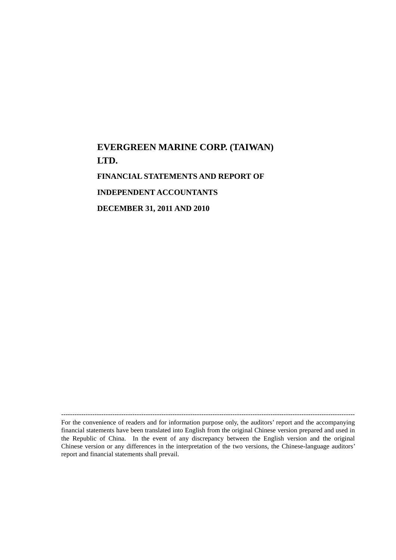# **EVERGREEN MARINE CORP. (TAIWAN) LTD. FINANCIAL STATEMENTS AND REPORT OF INDEPENDENT ACCOUNTANTS DECEMBER 31, 2011 AND 2010**

------------------------------------------------------------------------------------------------------------------------------------ For the convenience of readers and for information purpose only, the auditors' report and the accompanying financial statements have been translated into English from the original Chinese version prepared and used in the Republic of China. In the event of any discrepancy between the English version and the original Chinese version or any differences in the interpretation of the two versions, the Chinese-language auditors' report and financial statements shall prevail.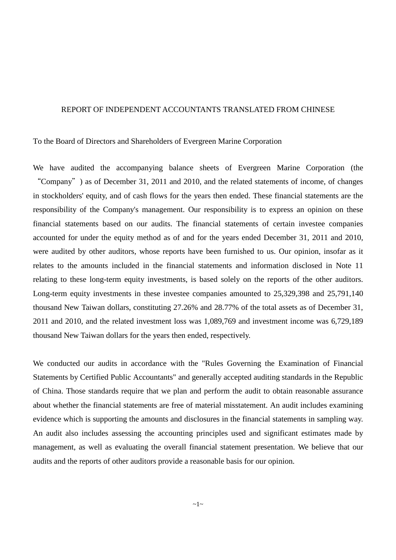### REPORT OF INDEPENDENT ACCOUNTANTS TRANSLATED FROM CHINESE

To the Board of Directors and Shareholders of Evergreen Marine Corporation

We have audited the accompanying balance sheets of Evergreen Marine Corporation (the "Company") as of December 31, 2011 and 2010, and the related statements of income, of changes in stockholders' equity, and of cash flows for the years then ended. These financial statements are the responsibility of the Company's management. Our responsibility is to express an opinion on these financial statements based on our audits. The financial statements of certain investee companies accounted for under the equity method as of and for the years ended December 31, 2011 and 2010, were audited by other auditors, whose reports have been furnished to us. Our opinion, insofar as it relates to the amounts included in the financial statements and information disclosed in Note 11 relating to these long-term equity investments, is based solely on the reports of the other auditors. Long-term equity investments in these investee companies amounted to 25,329,398 and 25,791,140 thousand New Taiwan dollars, constituting 27.26% and 28.77% of the total assets as of December 31, 2011 and 2010, and the related investment loss was 1,089,769 and investment income was 6,729,189 thousand New Taiwan dollars for the years then ended, respectively.

We conducted our audits in accordance with the "Rules Governing the Examination of Financial Statements by Certified Public Accountants" and generally accepted auditing standards in the Republic of China. Those standards require that we plan and perform the audit to obtain reasonable assurance about whether the financial statements are free of material misstatement. An audit includes examining evidence which is supporting the amounts and disclosures in the financial statements in sampling way. An audit also includes assessing the accounting principles used and significant estimates made by management, as well as evaluating the overall financial statement presentation. We believe that our audits and the reports of other auditors provide a reasonable basis for our opinion.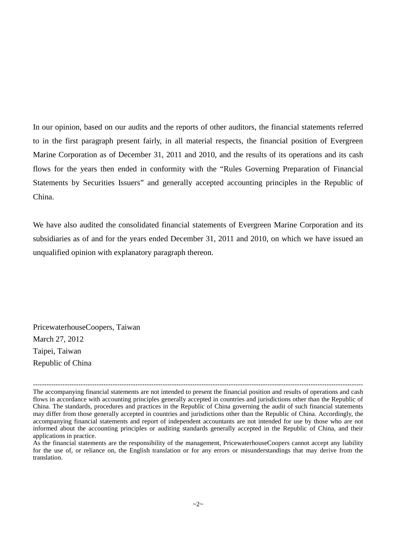In our opinion, based on our audits and the reports of other auditors, the financial statements referred to in the first paragraph present fairly, in all material respects, the financial position of Evergreen Marine Corporation as of December 31, 2011 and 2010, and the results of its operations and its cash flows for the years then ended in conformity with the "Rules Governing Preparation of Financial Statements by Securities Issuers" and generally accepted accounting principles in the Republic of China.

We have also audited the consolidated financial statements of Evergreen Marine Corporation and its subsidiaries as of and for the years ended December 31, 2011 and 2010, on which we have issued an unqualified opinion with explanatory paragraph thereon.

PricewaterhouseCoopers, Taiwan March 27, 2012 Taipei, Taiwan Republic of China

<sup>-------------------------------------------------------------------------------------------------------------------------------------------------</sup> The accompanying financial statements are not intended to present the financial position and results of operations and cash flows in accordance with accounting principles generally accepted in countries and jurisdictions other than the Republic of China. The standards, procedures and practices in the Republic of China governing the audit of such financial statements may differ from those generally accepted in countries and jurisdictions other than the Republic of China. Accordingly, the accompanying financial statements and report of independent accountants are not intended for use by those who are not informed about the accounting principles or auditing standards generally accepted in the Republic of China, and their applications in practice.

As the financial statements are the responsibility of the management, PricewaterhouseCoopers cannot accept any liability for the use of, or reliance on, the English translation or for any errors or misunderstandings that may derive from the translation.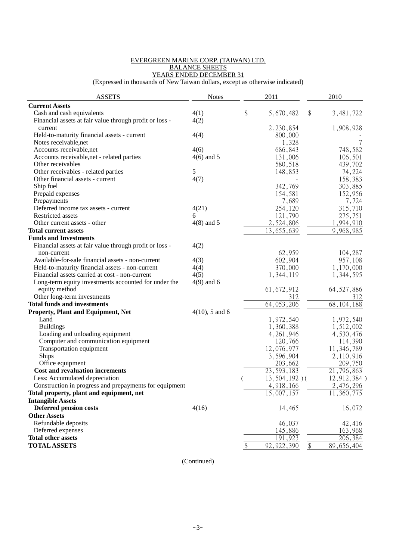#### EVERGREEN MARINE CORP. (TAIWAN) LTD. BALANCE SHEETS YEARS ENDED DECEMBER 31

(Expressed in thousands of New Taiwan dollars, except as otherwise indicated)

| <b>ASSETS</b>                                           | <b>Notes</b>      | 2011                      |        | 2010         |
|---------------------------------------------------------|-------------------|---------------------------|--------|--------------|
| <b>Current Assets</b>                                   |                   |                           |        |              |
| Cash and cash equivalents                               | 4(1)              | \$<br>5,670,482           | \$     | 3,481,722    |
| Financial assets at fair value through profit or loss - | 4(2)              |                           |        |              |
| current                                                 |                   | 2,230,854                 |        | 1,908,928    |
| Held-to-maturity financial assets - current             | 4(4)              | 800,000                   |        |              |
| Notes receivable, net                                   |                   | 1,328                     |        | 7            |
| Accounts receivable, net                                | 4(6)              | 686,843                   |        | 748,582      |
| Accounts receivable, net - related parties              | $4(6)$ and 5      | 131,006                   |        | 106,501      |
| Other receivables                                       |                   | 580,518                   |        | 439,702      |
| Other receivables - related parties                     | 5                 | 148,853                   |        | 74,224       |
| Other financial assets - current                        | 4(7)              |                           |        | 158,383      |
| Ship fuel                                               |                   | 342,769                   |        | 303,885      |
| Prepaid expenses                                        |                   | 154,581                   |        | 152,956      |
| Prepayments                                             |                   | 7,689                     |        | 7,724        |
| Deferred income tax assets - current                    | 4(21)             | 254,120                   |        | 315,710      |
| Restricted assets                                       | 6                 | 121,790                   |        | 275,751      |
| Other current assets - other                            | $4(8)$ and 5      | 2,524,806                 |        | 1,994,910    |
| <b>Total current assets</b>                             |                   | 13,655,639                |        | 9,968,985    |
| <b>Funds and Investments</b>                            |                   |                           |        |              |
| Financial assets at fair value through profit or loss - | 4(2)              |                           |        |              |
| non-current                                             |                   | 62,959                    |        | 104,287      |
| Available-for-sale financial assets - non-current       | 4(3)              | 602,904                   |        | 957,108      |
| Held-to-maturity financial assets - non-current         | 4(4)              | 370,000                   |        | 1,170,000    |
| Financial assets carried at cost - non-current          | 4(5)              |                           |        | 1,344,595    |
|                                                         |                   | 1,344,119                 |        |              |
| Long-term equity investments accounted for under the    | $4(9)$ and 6      |                           |        |              |
| equity method                                           |                   | 61, 672, 912              |        | 64, 527, 886 |
| Other long-term investments                             |                   | 312                       |        | 312          |
| <b>Total funds and investments</b>                      |                   | 64, 053, 206              |        | 68, 104, 188 |
| Property, Plant and Equipment, Net                      | $4(10)$ , 5 and 6 |                           |        |              |
| Land                                                    |                   | 1,972,540                 |        | 1,972,540    |
| <b>Buildings</b>                                        |                   | 1,360,388                 |        | 1,512,002    |
| Loading and unloading equipment                         |                   | 4, 261, 946               |        | 4,530,476    |
| Computer and communication equipment                    |                   | 120,766                   |        | 114,390      |
| Transportation equipment                                |                   | 12,076,977                |        | 11, 346, 789 |
| Ships                                                   |                   | 3,596,904                 |        | 2,110,916    |
| Office equipment                                        |                   | 203,662                   |        | 209,750      |
| <b>Cost and revaluation increments</b>                  |                   | $\overline{23}, 593, 183$ |        | 21,796,863   |
| Less: Accumulated depreciation                          |                   | $13,504,192$ )(           |        | 12,912,384)  |
| Construction in progress and prepayments for equipment  |                   | 4,918,166                 |        | 2,476,296    |
| Total property, plant and equipment, net                |                   | 15,007,157                |        | 11,360,775   |
| <b>Intangible Assets</b>                                |                   |                           |        |              |
| <b>Deferred pension costs</b>                           | 4(16)             | 14,465                    |        | 16,072       |
| <b>Other Assets</b>                                     |                   |                           |        |              |
| Refundable deposits                                     |                   | 46,037                    |        | 42,416       |
| Deferred expenses                                       |                   | 145,886                   |        | 163,968      |
| <b>Total other assets</b>                               |                   | 191,923                   |        | 206,384      |
| <b>TOTAL ASSETS</b>                                     |                   | \$<br>92, 922, 390        | $\$\,$ | 89,656,404   |

(Continued)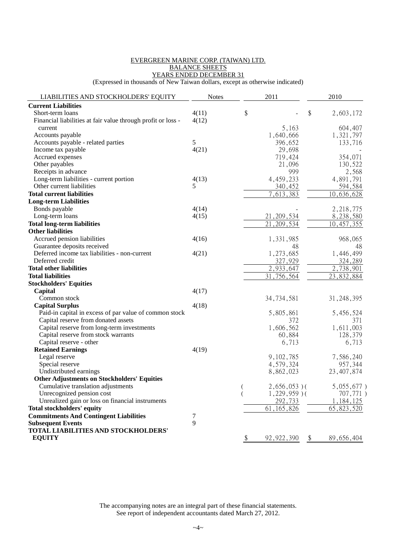#### EVERGREEN MARINE CORP. (TAIWAN) LTD. BALANCE SHEETS YEARS ENDED DECEMBER 31

(Expressed in thousands of New Taiwan dollars, except as otherwise indicated)

| LIABILITIES AND STOCKHOLDERS' EQUITY                         | <b>Notes</b> |                | 2011                      |                           | 2010                   |
|--------------------------------------------------------------|--------------|----------------|---------------------------|---------------------------|------------------------|
| <b>Current Liabilities</b>                                   |              |                |                           |                           |                        |
| Short-term loans                                             | 4(11)        | \$             |                           | \$                        | 2,603,172              |
| Financial liabilities at fair value through profit or loss - | 4(12)        |                |                           |                           |                        |
| current                                                      |              |                | 5,163                     |                           | 604,407                |
| Accounts payable                                             |              |                | 1,640,666                 |                           | 1,321,797              |
| Accounts payable - related parties                           | 5            |                | 396,652                   |                           | 133,716                |
| Income tax payable                                           | 4(21)        |                | 29,698                    |                           |                        |
| Accrued expenses                                             |              |                | 719,424                   |                           | 354,071                |
| Other payables                                               |              |                | 21,096                    |                           | 130,522                |
| Receipts in advance                                          |              |                | 999                       |                           | 2,568                  |
| Long-term liabilities - current portion                      | 4(13)        |                | 4,459,233                 |                           | 4,891,791              |
| Other current liabilities                                    | 5            |                | 340,452                   |                           | 594,584                |
| <b>Total current liabilities</b>                             |              |                | $\overline{7}, 613, 383$  |                           | 10,636,628             |
| <b>Long-term Liabilities</b>                                 |              |                |                           |                           |                        |
| Bonds payable                                                | 4(14)        |                |                           |                           | 2, 218, 775            |
| Long-term loans                                              | 4(15)        |                | 21, 209, 534              |                           | 8,238,580              |
| <b>Total long-term liabilities</b>                           |              |                | $\overline{21}, 209, 534$ |                           | 10,457,355             |
| <b>Other liabilities</b>                                     |              |                |                           |                           |                        |
| Accrued pension liabilities                                  | 4(16)        |                | 1,331,985                 |                           | 968,065                |
| Guarantee deposits received                                  |              |                | 48                        |                           | 48                     |
| Deferred income tax liabilities - non-current                | 4(21)        |                | 1,273,685                 |                           | 1,446,499              |
| Deferred credit                                              |              |                | 327,929                   |                           | 324,289                |
| <b>Total other liabilities</b>                               |              |                | 2,933,647                 |                           | $\overline{2,738,901}$ |
| <b>Total liabilities</b>                                     |              |                | 31,756,564                |                           | 23,832,884             |
| <b>Stockholders' Equities</b>                                |              |                |                           |                           |                        |
| Capital                                                      | 4(17)        |                |                           |                           |                        |
| Common stock                                                 |              |                | 34, 734, 581              |                           | 31, 248, 395           |
| <b>Capital Surplus</b>                                       | 4(18)        |                |                           |                           |                        |
| Paid-in capital in excess of par value of common stock       |              |                | 5,805,861                 |                           | 5,456,524              |
| Capital reserve from donated assets                          |              |                | 372                       |                           | 371                    |
| Capital reserve from long-term investments                   |              |                | 1,606,562                 |                           | 1,611,003              |
| Capital reserve from stock warrants                          |              |                | 60,884                    |                           | 128,379                |
| Capital reserve - other                                      |              |                | 6,713                     |                           | 6,713                  |
| <b>Retained Earnings</b>                                     | 4(19)        |                |                           |                           |                        |
| Legal reserve                                                |              |                | 9,102,785                 |                           | 7,586,240              |
| Special reserve                                              |              |                | 4,579,324                 |                           | 957,344                |
| Undistributed earnings                                       |              |                | 8,862,023                 |                           | 23, 407, 874           |
| <b>Other Adjustments on Stockholders' Equities</b>           |              |                |                           |                           |                        |
| Cumulative translation adjustments                           |              | $\overline{(}$ | $2,656,053$ )(            |                           | $5,055,677$ )          |
| Unrecognized pension cost                                    |              |                | $1,229,959$ )(            |                           | 707,771)               |
| Unrealized gain or loss on financial instruments             |              |                | 292,733                   |                           | 1,184,125              |
| Total stockholders' equity                                   |              |                | 61, 165, 826              |                           | 65, 823, 520           |
| <b>Commitments And Contingent Liabilities</b>                | 7            |                |                           |                           |                        |
| <b>Subsequent Events</b>                                     | 9            |                |                           |                           |                        |
| TOTAL LIABILITIES AND STOCKHOLDERS'                          |              |                |                           |                           |                        |
| <b>EQUITY</b>                                                |              | $\frac{1}{2}$  | 92, 922, 390              | $\boldsymbol{\mathsf{S}}$ | 89,656,404             |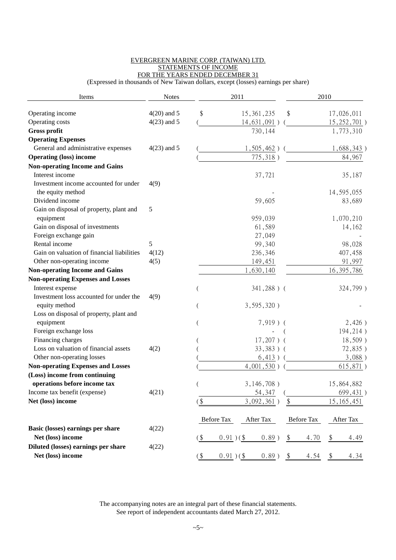#### EVERGREEN MARINE CORP. (TAIWAN) LTD. STATEMENTS OF INCOME FOR THE YEARS ENDED DECEMBER 31

(Expressed in thousands of New Taiwan dollars, except (losses) earnings per share)

| Items                                                | <b>Notes</b>  |                        | 2011          |                       | 2010          |
|------------------------------------------------------|---------------|------------------------|---------------|-----------------------|---------------|
| Operating income                                     | $4(20)$ and 5 | \$                     | 15, 361, 235  | \$                    | 17,026,011    |
| Operating costs                                      | $4(23)$ and 5 |                        | 14,631,091)   |                       | 15, 252, 701) |
| Gross profit                                         |               |                        | 730,144       |                       | 1,773,310     |
| <b>Operating Expenses</b>                            |               |                        |               |                       |               |
| General and administrative expenses                  | $4(23)$ and 5 |                        | $1,505,462$ ) |                       | 1,688,343)    |
| <b>Operating (loss) income</b>                       |               |                        | 775,318)      |                       | 84,967        |
| <b>Non-operating Income and Gains</b>                |               |                        |               |                       |               |
| Interest income                                      |               |                        | 37,721        |                       | 35,187        |
| Investment income accounted for under                | 4(9)          |                        |               |                       |               |
| the equity method                                    |               |                        |               |                       | 14, 595, 055  |
| Dividend income                                      |               |                        | 59,605        |                       | 83,689        |
| Gain on disposal of property, plant and<br>equipment | 5             |                        | 959,039       |                       | 1,070,210     |
| Gain on disposal of investments                      |               |                        | 61,589        |                       | 14,162        |
| Foreign exchange gain                                |               |                        | 27,049        |                       |               |
| Rental income                                        | 5             |                        | 99,340        |                       | 98,028        |
| Gain on valuation of financial liabilities           | 4(12)         |                        | 236,346       |                       | 407,458       |
| Other non-operating income                           | 4(5)          |                        | 149,451       |                       | 91,997        |
| <b>Non-operating Income and Gains</b>                |               |                        | 1,630,140     |                       | 16, 395, 786  |
| <b>Non-operating Expenses and Losses</b>             |               |                        |               |                       |               |
| Interest expense                                     |               |                        | 341,288) (    |                       | 324,799)      |
| Investment loss accounted for under the              | 4(9)          |                        |               |                       |               |
| equity method                                        |               |                        | $3,595,320$ ) |                       |               |
| Loss on disposal of property, plant and              |               |                        |               |                       |               |
| equipment                                            |               |                        | $7,919$ ) (   |                       | 2,426)        |
| Foreign exchange loss                                |               |                        |               |                       | 194,214)      |
| Financing charges                                    |               |                        | $17,207$ ) (  |                       | $18,509$ )    |
| Loss on valuation of financial assets                | 4(2)          |                        | $33,383)$ (   |                       | 72,835)       |
| Other non-operating losses                           |               |                        | 6,413)        |                       | $3,088$ )     |
| <b>Non-operating Expenses and Losses</b>             |               |                        | $4,001,530$ ) |                       | 615,871)      |
| (Loss) income from continuing                        |               |                        |               |                       |               |
| operations before income tax                         |               |                        | $3,146,708$ ) |                       | 15,864,882    |
| Income tax benefit (expense)                         | 4(21)         |                        | 54,347        |                       | 699,431)      |
| Net (loss) income                                    |               | $($ \$                 | 3,092,361)    | $\boldsymbol{\$}$     | 15, 165, 451  |
|                                                      |               | <b>Before Tax</b>      | After Tax     | <b>Before Tax</b>     | After Tax     |
| Basic (losses) earnings per share                    | 4(22)         |                        |               |                       |               |
| Net (loss) income                                    |               | $($ \$<br>$0.91)$ (\$) | $0.89$ )      | \$<br>4.70            | \$<br>4.49    |
| Diluted (losses) earnings per share                  | 4(22)         |                        |               |                       |               |
| Net (loss) income                                    |               | $($ \$<br>$0.91)$ (\$) | $0.89$ )      | 4.54<br>$\frac{1}{2}$ | 4.34<br>-\$   |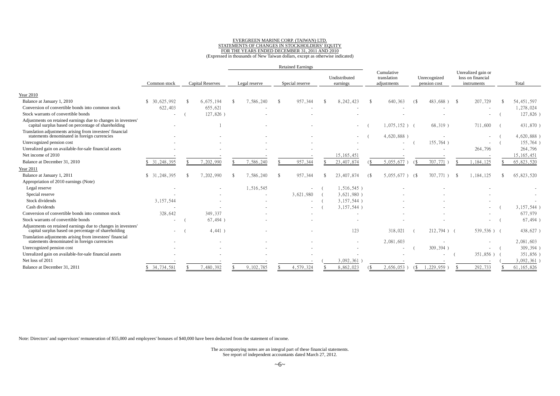#### EVERGREEN MARINE CORP. (TAIWAN) LTD. STATEMENTS OF CHANGES IN STOCKHOLDERS' EQUITY FOR THE YEARS ENDED DECEMBER 31, 2011 AND 2010 (Expressed in thousands of New Taiwan dollars, except as otherwise indicated)

|                                                                                                                      |                             |                         |               | <b>Retained Earnings</b> |                           |                           |                                          |              |                              |      |                                                        |              |
|----------------------------------------------------------------------------------------------------------------------|-----------------------------|-------------------------|---------------|--------------------------|---------------------------|---------------------------|------------------------------------------|--------------|------------------------------|------|--------------------------------------------------------|--------------|
|                                                                                                                      | Common stock                | <b>Capital Reserves</b> | Legal reserve | Special reserve          | Undistributed<br>earnings |                           | Cumulative<br>translation<br>adjustments |              | Unrecognized<br>pension cost |      | Unrealized gain or<br>loss on financial<br>instruments | Total        |
| <b>Year 2010</b>                                                                                                     |                             |                         |               |                          |                           |                           |                                          |              |                              |      |                                                        |              |
| Balance at January 1, 2010                                                                                           | 30.625.992<br><sup>\$</sup> | 6,675,194               | 7,586,240     | 957,344                  | 8, 242, 423               | -\$                       | 640, 363                                 | <sup>6</sup> | $483.688$ )                  | - \$ | 207,729                                                | 54, 451, 597 |
| Conversion of convertible bonds into common stock                                                                    | 622,403                     | 655,621                 |               |                          |                           |                           |                                          |              |                              |      |                                                        | 1,278,024    |
| Stock warrants of convertible bonds                                                                                  | ٠                           | 127,826)                |               |                          |                           |                           |                                          |              |                              |      |                                                        | 127,826)     |
| Adjustments on retained earnings due to changes in investees'<br>capital surplus based on percentage of shareholding |                             |                         |               |                          |                           |                           | $1,075,152$ )                            |              | 68,319)                      |      | 711,600                                                | 431,870)     |
| Translation adjustments arising from investees' financial<br>statements denominated in foreign currencies            |                             |                         |               |                          |                           |                           | 4,620,888                                |              |                              |      |                                                        | 4,620,888    |
| Unrecognized pension cost                                                                                            |                             |                         |               |                          |                           |                           |                                          |              | 155,764)                     |      |                                                        | 155,764)     |
| Unrealized gain on available-for-sale financial assets                                                               |                             |                         |               |                          |                           |                           |                                          |              |                              |      | 264,796                                                | 264,796      |
| Net income of 2010                                                                                                   |                             |                         |               |                          | 15, 165, 451              |                           |                                          |              |                              |      |                                                        | 15, 165, 451 |
| Balance at December 31, 2010                                                                                         | 31, 248, 395                | 7,202,990               | 7,586,240     | 957,344                  | 23, 407, 874              |                           | 5,055,677                                | $($ \$       | 707,771                      |      | 1,184,125                                              | 65,823,520   |
| <b>Year 2011</b>                                                                                                     |                             |                         |               |                          |                           |                           |                                          |              |                              |      |                                                        |              |
| Balance at January 1, 2011                                                                                           | 31, 248, 395<br>\$          | 7,202,990               | 7,586,240     | 957,344                  | 23,407,874                | $\left( \text{S} \right)$ | $5,055,677$ )                            | - 6          | 707,771)                     |      | 1,184,125                                              | 65,823,520   |
| Appropriation of 2010 earnings (Note)                                                                                |                             |                         |               |                          |                           |                           |                                          |              |                              |      |                                                        |              |
| Legal reserve                                                                                                        |                             |                         | 1,516,545     |                          | $1,516,545$ )             |                           |                                          |              |                              |      |                                                        |              |
| Special reserve                                                                                                      |                             |                         |               | 3,621,980                | $3,621,980$ )             |                           |                                          |              |                              |      |                                                        |              |
| Stock dividends                                                                                                      | 3,157,544                   |                         |               |                          | $3, 157, 544$ )           |                           |                                          |              |                              |      |                                                        |              |
| Cash dividends                                                                                                       |                             |                         |               |                          | 3, 157, 544)              |                           |                                          |              |                              |      |                                                        | 3,157,544)   |
| Conversion of convertible bonds into common stock                                                                    | 328,642                     | 349,337                 |               |                          |                           |                           |                                          |              |                              |      | $\overline{\phantom{a}}$                               | 677,979      |
| Stock warrants of convertible bonds                                                                                  | ٠                           | $67,494$ )              |               |                          |                           |                           |                                          |              |                              |      | $\overline{\phantom{a}}$                               | $67,494$ )   |
| Adjustments on retained earnings due to changes in investees'<br>capital surplus based on percentage of shareholding | ٠                           | $4,441$ )               |               |                          | 123                       |                           | 318,021                                  |              | $212,794$ )                  |      | $539,536$ ) (                                          | 438,627)     |
| Translation adjustments arising from investees' financial<br>statements denominated in foreign currencies            |                             |                         |               |                          |                           |                           | 2,081,603                                |              | $\overline{\phantom{a}}$     |      |                                                        | 2,081,603    |
| Unrecognized pension cost                                                                                            |                             |                         |               |                          |                           |                           |                                          |              | 309,394)                     |      |                                                        | 309,394)     |
| Unrealized gain on available-for-sale financial assets                                                               |                             |                         |               |                          |                           |                           |                                          |              |                              |      | 351,856) (                                             | 351,856)     |
| Net loss of 2011                                                                                                     |                             |                         |               |                          | 3,092,361                 |                           |                                          |              |                              |      |                                                        | 3,092,361    |
| Balance at December 31, 2011                                                                                         | 34,734,581                  | 7,480,392               | 9,102,785     | 4,579,324                | 8,862,023                 |                           | 2,656,053                                | $($ \$       | 1,229,959)                   |      | 292,733                                                | 61, 165, 826 |

Note: Directors' and supervisors' remuneration of \$55,000 and employees' bonuses of \$40,000 have been deducted from the statement of income.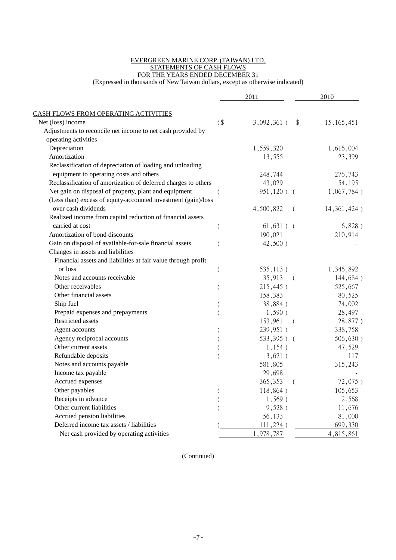#### EVERGREEN MARINE CORP. (TAIWAN) LTD. STATEMENTS OF CASH FLOWS FOR THE YEARS ENDED DECEMBER 31

(Expressed in thousands of New Taiwan dollars, except as otherwise indicated)

|                                                                |          | 2011        | 2010                                    |
|----------------------------------------------------------------|----------|-------------|-----------------------------------------|
| CASH FLOWS FROM OPERATING ACTIVITIES                           |          |             |                                         |
| Net (loss) income                                              | $($ \$   | 3,092,361)  | $\sqrt[6]{\frac{1}{2}}$<br>15, 165, 451 |
| Adjustments to reconcile net income to net cash provided by    |          |             |                                         |
| operating activities                                           |          |             |                                         |
| Depreciation                                                   |          | 1,559,320   | 1,616,004                               |
| Amortization                                                   |          | 13,555      | 23,399                                  |
| Reclassification of depreciation of loading and unloading      |          |             |                                         |
| equipment to operating costs and others                        |          | 248,744     | 276,743                                 |
| Reclassification of amortization of deferred charges to others |          | 43,029      | 54,195                                  |
| Net gain on disposal of property, plant and equipment          |          | 951,120) (  | $1,067,784$ )                           |
| (Less than) excess of equity-accounted investment (gain)/loss  |          |             |                                         |
| over cash dividends                                            |          | 4,500,822   | 14, 361, 424)                           |
| Realized income from capital reduction of financial assets     |          |             |                                         |
| carried at cost                                                | $\left($ | $61,631)$ ( | 6,828)                                  |
| Amortization of bond discounts                                 |          | 190,021     | 210,914                                 |
| Gain on disposal of available-for-sale financial assets        |          | $42,500$ )  |                                         |
| Changes in assets and liabilities                              |          |             |                                         |
| Financial assets and liabilities at fair value through profit  |          |             |                                         |
| or loss                                                        | (        | 535,113)    | 1,346,892                               |
| Notes and accounts receivable                                  |          | 35,913      | 144,684)<br>$\left($                    |
| Other receivables                                              |          | 215,445)    | 525,667                                 |
| Other financial assets                                         |          | 158,383     | 80,525                                  |
| Ship fuel                                                      |          | 38,884)     | 74,002                                  |
| Prepaid expenses and prepayments                               |          | 1,590)      | 28,497                                  |
| Restricted assets                                              |          | 153,961     | 28,877)<br>(                            |
| Agent accounts                                                 |          | 239,951)    | 338,758                                 |
| Agency reciprocal accounts                                     |          | 533,395) (  | 506,630)                                |
| Other current assets                                           |          | 1,154)      | 47,529                                  |
| Refundable deposits                                            |          | 3,621)      | 117                                     |
| Notes and accounts payable                                     |          | 581,805     | 315,243                                 |
| Income tax payable                                             |          | 29,698      |                                         |
| Accrued expenses                                               |          | 365,353     | 72,075)<br>$\left($                     |
| Other payables                                                 |          | 118,864)    | 105,653                                 |
| Receipts in advance                                            |          | $1,569$ )   | 2,568                                   |
| Other current liabilities                                      |          | 9,528)      | 11,676                                  |
| Accrued pension liabilities                                    |          | 56,133      | 81,000                                  |
| Deferred income tax assets / liabilities                       |          | 111,224)    | 699,330                                 |
| Net cash provided by operating activities                      |          | 1,978,787   | 4,815,861                               |

(Continued)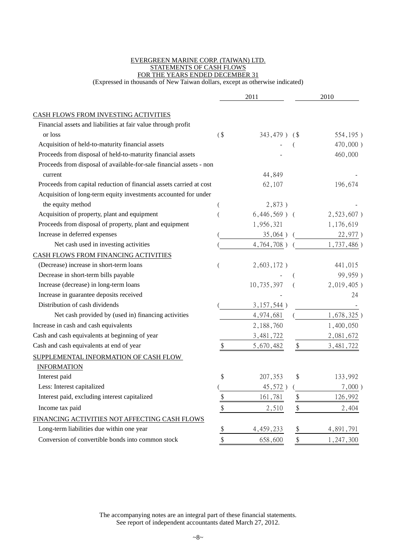#### EVERGREEN MARINE CORP. (TAIWAN) LTD. STATEMENTS OF CASH FLOWS FOR THE YEARS ENDED DECEMBER 31

(Expressed in thousands of New Taiwan dollars, except as otherwise indicated)

|                                                                     |               | 2011            |                   | 2010          |
|---------------------------------------------------------------------|---------------|-----------------|-------------------|---------------|
| CASH FLOWS FROM INVESTING ACTIVITIES                                |               |                 |                   |               |
| Financial assets and liabilities at fair value through profit       |               |                 |                   |               |
| or loss                                                             | $($ \$        | 343,479) (\$    |                   | 554,195)      |
| Acquisition of held-to-maturity financial assets                    |               |                 |                   | 470,000)      |
| Proceeds from disposal of held-to-maturity financial assets         |               |                 |                   | 460,000       |
| Proceeds from disposal of available-for-sale financial assets - non |               |                 |                   |               |
| current                                                             |               | 44,849          |                   |               |
| Proceeds from capital reduction of financial assets carried at cost |               | 62,107          |                   | 196,674       |
| Acquisition of long-term equity investments accounted for under     |               |                 |                   |               |
| the equity method                                                   |               | 2,873)          |                   |               |
| Acquisition of property, plant and equipment                        |               | $6,446,569$ ) ( |                   | $2,523,607$ ) |
| Proceeds from disposal of property, plant and equipment             |               | 1,956,321       |                   | 1,176,619     |
| Increase in deferred expenses                                       |               | 35,064)         |                   | 22,977)       |
| Net cash used in investing activities                               |               | 4,764,708)      |                   | 1,737,486)    |
| CASH FLOWS FROM FINANCING ACTIVITIES                                |               |                 |                   |               |
| (Decrease) increase in short-term loans                             |               | $2,603,172$ )   |                   | 441,015       |
| Decrease in short-term bills payable                                |               |                 |                   | 99,959)       |
| Increase (decrease) in long-term loans                              |               | 10,735,397      |                   | 2,019,405)    |
| Increase in guarantee deposits received                             |               |                 |                   | 24            |
| Distribution of cash dividends                                      |               | 3,157,544)      |                   |               |
| Net cash provided by (used in) financing activities                 |               | 4,974,681       |                   | 1,678,325)    |
| Increase in cash and cash equivalents                               |               | 2,188,760       |                   | 1,400,050     |
| Cash and cash equivalents at beginning of year                      |               | 3, 481, 722     |                   | 2,081,672     |
| Cash and cash equivalents at end of year                            | \$            | 5,670,482       | \$                | 3,481,722     |
| SUPPLEMENTAL INFORMATION OF CASH FLOW                               |               |                 |                   |               |
| <b>INFORMATION</b>                                                  |               |                 |                   |               |
| Interest paid                                                       | \$            | 207,353         | \$                | 133,992       |
| Less: Interest capitalized                                          |               | 45,572)         |                   | $7,000$ )     |
| Interest paid, excluding interest capitalized                       | \$            | 161,781         | \$                | 126,992       |
| Income tax paid                                                     | $\$\,$        | 2,510           | $\boldsymbol{\$}$ | 2,404         |
| FINANCING ACTIVITIES NOT AFFECTING CASH FLOWS                       |               |                 |                   |               |
| Long-term liabilities due within one year                           | $\frac{1}{2}$ | 4,459,233       | \$                | 4,891,791     |
| Conversion of convertible bonds into common stock                   | \$            | 658,600         | \$                | 1,247,300     |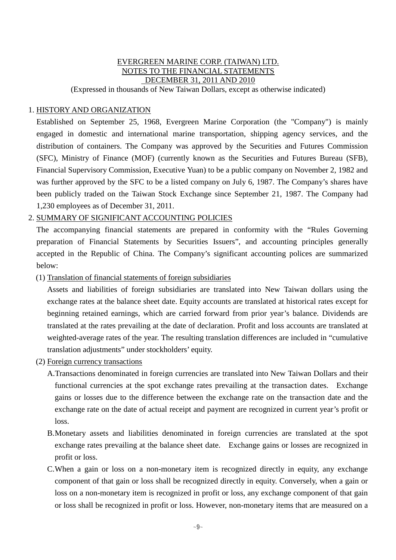### EVERGREEN MARINE CORP. (TAIWAN) LTD. NOTES TO THE FINANCIAL STATEMENTS DECEMBER 31, 2011 AND 2010 (Expressed in thousands of New Taiwan Dollars, except as otherwise indicated)

# 1. HISTORY AND ORGANIZATION

Established on September 25, 1968, Evergreen Marine Corporation (the "Company") is mainly engaged in domestic and international marine transportation, shipping agency services, and the distribution of containers. The Company was approved by the Securities and Futures Commission (SFC), Ministry of Finance (MOF) (currently known as the Securities and Futures Bureau (SFB), Financial Supervisory Commission, Executive Yuan) to be a public company on November 2, 1982 and was further approved by the SFC to be a listed company on July 6, 1987. The Company's shares have been publicly traded on the Taiwan Stock Exchange since September 21, 1987. The Company had 1,230 employees as of December 31, 2011.

# 2. SUMMARY OF SIGNIFICANT ACCOUNTING POLICIES

The accompanying financial statements are prepared in conformity with the "Rules Governing preparation of Financial Statements by Securities Issuers", and accounting principles generally accepted in the Republic of China. The Company's significant accounting polices are summarized below:

(1) Translation of financial statements of foreign subsidiaries

Assets and liabilities of foreign subsidiaries are translated into New Taiwan dollars using the exchange rates at the balance sheet date. Equity accounts are translated at historical rates except for beginning retained earnings, which are carried forward from prior year's balance. Dividends are translated at the rates prevailing at the date of declaration. Profit and loss accounts are translated at weighted-average rates of the year. The resulting translation differences are included in "cumulative translation adjustments" under stockholders' equity.

- (2) Foreign currency transactions
	- A.Transactions denominated in foreign currencies are translated into New Taiwan Dollars and their functional currencies at the spot exchange rates prevailing at the transaction dates. Exchange gains or losses due to the difference between the exchange rate on the transaction date and the exchange rate on the date of actual receipt and payment are recognized in current year's profit or loss.
	- B.Monetary assets and liabilities denominated in foreign currencies are translated at the spot exchange rates prevailing at the balance sheet date. Exchange gains or losses are recognized in profit or loss.
	- C.When a gain or loss on a non-monetary item is recognized directly in equity, any exchange component of that gain or loss shall be recognized directly in equity. Conversely, when a gain or loss on a non-monetary item is recognized in profit or loss, any exchange component of that gain or loss shall be recognized in profit or loss. However, non-monetary items that are measured on a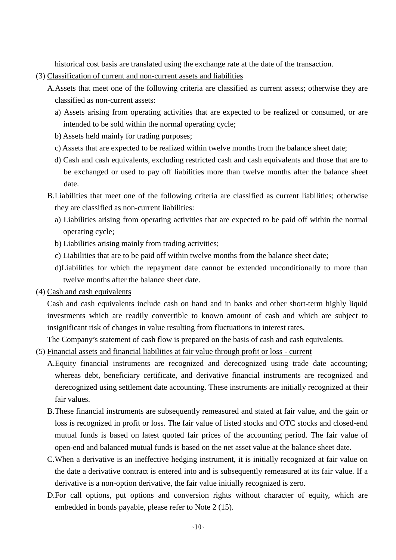historical cost basis are translated using the exchange rate at the date of the transaction.

- (3) Classification of current and non-current assets and liabilities
	- A.Assets that meet one of the following criteria are classified as current assets; otherwise they are classified as non-current assets:
		- a) Assets arising from operating activities that are expected to be realized or consumed, or are intended to be sold within the normal operating cycle;
		- b) Assets held mainly for trading purposes;
		- c) Assets that are expected to be realized within twelve months from the balance sheet date;
		- d) Cash and cash equivalents, excluding restricted cash and cash equivalents and those that are to be exchanged or used to pay off liabilities more than twelve months after the balance sheet date.
	- B.Liabilities that meet one of the following criteria are classified as current liabilities; otherwise they are classified as non-current liabilities:
		- a) Liabilities arising from operating activities that are expected to be paid off within the normal operating cycle;
		- b) Liabilities arising mainly from trading activities;
		- c) Liabilities that are to be paid off within twelve months from the balance sheet date;
		- d)Liabilities for which the repayment date cannot be extended unconditionally to more than twelve months after the balance sheet date.
- (4) Cash and cash equivalents

Cash and cash equivalents include cash on hand and in banks and other short-term highly liquid investments which are readily convertible to known amount of cash and which are subject to insignificant risk of changes in value resulting from fluctuations in interest rates.

The Company's statement of cash flow is prepared on the basis of cash and cash equivalents.

#### (5) Financial assets and financial liabilities at fair value through profit or loss - current

- A.Equity financial instruments are recognized and derecognized using trade date accounting; whereas debt, beneficiary certificate, and derivative financial instruments are recognized and derecognized using settlement date accounting. These instruments are initially recognized at their fair values.
- B.These financial instruments are subsequently remeasured and stated at fair value, and the gain or loss is recognized in profit or loss. The fair value of listed stocks and OTC stocks and closed-end mutual funds is based on latest quoted fair prices of the accounting period. The fair value of open-end and balanced mutual funds is based on the net asset value at the balance sheet date.
- C.When a derivative is an ineffective hedging instrument, it is initially recognized at fair value on the date a derivative contract is entered into and is subsequently remeasured at its fair value. If a derivative is a non-option derivative, the fair value initially recognized is zero.
- D.For call options, put options and conversion rights without character of equity, which are embedded in bonds payable, please refer to Note 2 (15).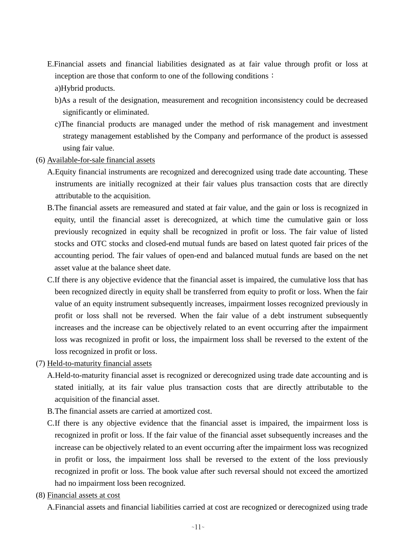- E.Financial assets and financial liabilities designated as at fair value through profit or loss at inception are those that conform to one of the following conditions:
	- a)Hybrid products.
	- b)As a result of the designation, measurement and recognition inconsistency could be decreased significantly or eliminated.
	- c)The financial products are managed under the method of risk management and investment strategy management established by the Company and performance of the product is assessed using fair value.
- (6) Available-for-sale financial assets
	- A.Equity financial instruments are recognized and derecognized using trade date accounting. These instruments are initially recognized at their fair values plus transaction costs that are directly attributable to the acquisition.
	- B.The financial assets are remeasured and stated at fair value, and the gain or loss is recognized in equity, until the financial asset is derecognized, at which time the cumulative gain or loss previously recognized in equity shall be recognized in profit or loss. The fair value of listed stocks and OTC stocks and closed-end mutual funds are based on latest quoted fair prices of the accounting period. The fair values of open-end and balanced mutual funds are based on the net asset value at the balance sheet date.
	- C.If there is any objective evidence that the financial asset is impaired, the cumulative loss that has been recognized directly in equity shall be transferred from equity to profit or loss. When the fair value of an equity instrument subsequently increases, impairment losses recognized previously in profit or loss shall not be reversed. When the fair value of a debt instrument subsequently increases and the increase can be objectively related to an event occurring after the impairment loss was recognized in profit or loss, the impairment loss shall be reversed to the extent of the loss recognized in profit or loss.
- (7) Held-to-maturity financial assets
	- A.Held-to-maturity financial asset is recognized or derecognized using trade date accounting and is stated initially, at its fair value plus transaction costs that are directly attributable to the acquisition of the financial asset.
	- B.The financial assets are carried at amortized cost.
	- C.If there is any objective evidence that the financial asset is impaired, the impairment loss is recognized in profit or loss. If the fair value of the financial asset subsequently increases and the increase can be objectively related to an event occurring after the impairment loss was recognized in profit or loss, the impairment loss shall be reversed to the extent of the loss previously recognized in profit or loss. The book value after such reversal should not exceed the amortized had no impairment loss been recognized.
- (8) Financial assets at cost

A.Financial assets and financial liabilities carried at cost are recognized or derecognized using trade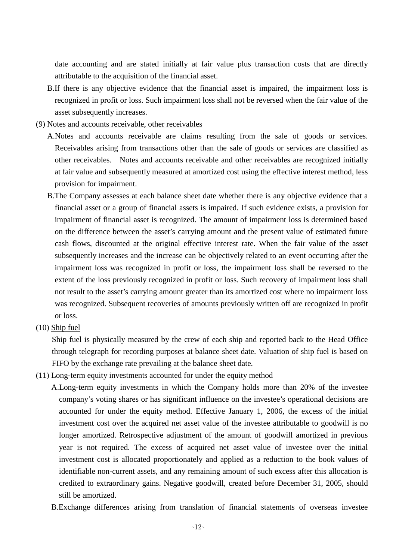date accounting and are stated initially at fair value plus transaction costs that are directly attributable to the acquisition of the financial asset.

- B.If there is any objective evidence that the financial asset is impaired, the impairment loss is recognized in profit or loss. Such impairment loss shall not be reversed when the fair value of the asset subsequently increases.
- (9) Notes and accounts receivable, other receivables
	- A.Notes and accounts receivable are claims resulting from the sale of goods or services. Receivables arising from transactions other than the sale of goods or services are classified as other receivables. Notes and accounts receivable and other receivables are recognized initially at fair value and subsequently measured at amortized cost using the effective interest method, less provision for impairment.
	- B.The Company assesses at each balance sheet date whether there is any objective evidence that a financial asset or a group of financial assets is impaired. If such evidence exists, a provision for impairment of financial asset is recognized. The amount of impairment loss is determined based on the difference between the asset's carrying amount and the present value of estimated future cash flows, discounted at the original effective interest rate. When the fair value of the asset subsequently increases and the increase can be objectively related to an event occurring after the impairment loss was recognized in profit or loss, the impairment loss shall be reversed to the extent of the loss previously recognized in profit or loss. Such recovery of impairment loss shall not result to the asset's carrying amount greater than its amortized cost where no impairment loss was recognized. Subsequent recoveries of amounts previously written off are recognized in profit or loss.
- (10) Ship fuel

Ship fuel is physically measured by the crew of each ship and reported back to the Head Office through telegraph for recording purposes at balance sheet date. Valuation of ship fuel is based on FIFO by the exchange rate prevailing at the balance sheet date.

- (11) Long-term equity investments accounted for under the equity method
	- A.Long-term equity investments in which the Company holds more than 20% of the investee company's voting shares or has significant influence on the investee's operational decisions are accounted for under the equity method. Effective January 1, 2006, the excess of the initial investment cost over the acquired net asset value of the investee attributable to goodwill is no longer amortized. Retrospective adjustment of the amount of goodwill amortized in previous year is not required. The excess of acquired net asset value of investee over the initial investment cost is allocated proportionately and applied as a reduction to the book values of identifiable non-current assets, and any remaining amount of such excess after this allocation is credited to extraordinary gains. Negative goodwill, created before December 31, 2005, should still be amortized.
	- B.Exchange differences arising from translation of financial statements of overseas investee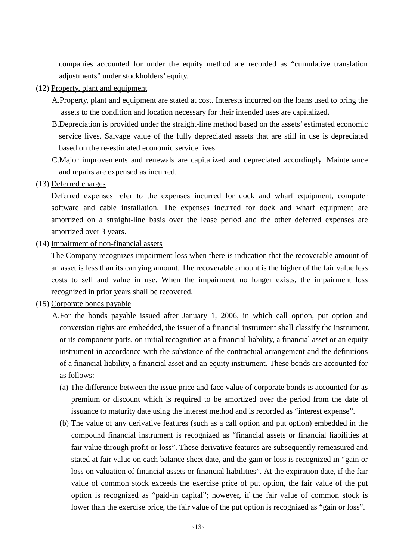companies accounted for under the equity method are recorded as "cumulative translation adjustments" under stockholders' equity.

- (12) Property, plant and equipment
	- A.Property, plant and equipment are stated at cost. Interests incurred on the loans used to bring the assets to the condition and location necessary for their intended uses are capitalized.
	- B.Depreciation is provided under the straight-line method based on the assets' estimated economic service lives. Salvage value of the fully depreciated assets that are still in use is depreciated based on the re-estimated economic service lives.
	- C.Major improvements and renewals are capitalized and depreciated accordingly. Maintenance and repairs are expensed as incurred.
- (13) Deferred charges

Deferred expenses refer to the expenses incurred for dock and wharf equipment, computer software and cable installation. The expenses incurred for dock and wharf equipment are amortized on a straight-line basis over the lease period and the other deferred expenses are amortized over 3 years.

(14) Impairment of non-financial assets

The Company recognizes impairment loss when there is indication that the recoverable amount of an asset is less than its carrying amount. The recoverable amount is the higher of the fair value less costs to sell and value in use. When the impairment no longer exists, the impairment loss recognized in prior years shall be recovered.

# (15) Corporate bonds payable

- A.For the bonds payable issued after January 1, 2006, in which call option, put option and conversion rights are embedded, the issuer of a financial instrument shall classify the instrument, or its component parts, on initial recognition as a financial liability, a financial asset or an equity instrument in accordance with the substance of the contractual arrangement and the definitions of a financial liability, a financial asset and an equity instrument. These bonds are accounted for as follows:
	- (a) The difference between the issue price and face value of corporate bonds is accounted for as premium or discount which is required to be amortized over the period from the date of issuance to maturity date using the interest method and is recorded as "interest expense".
	- (b) The value of any derivative features (such as a call option and put option) embedded in the compound financial instrument is recognized as "financial assets or financial liabilities at fair value through profit or loss". These derivative features are subsequently remeasured and stated at fair value on each balance sheet date, and the gain or loss is recognized in "gain or loss on valuation of financial assets or financial liabilities". At the expiration date, if the fair value of common stock exceeds the exercise price of put option, the fair value of the put option is recognized as "paid-in capital"; however, if the fair value of common stock is lower than the exercise price, the fair value of the put option is recognized as "gain or loss".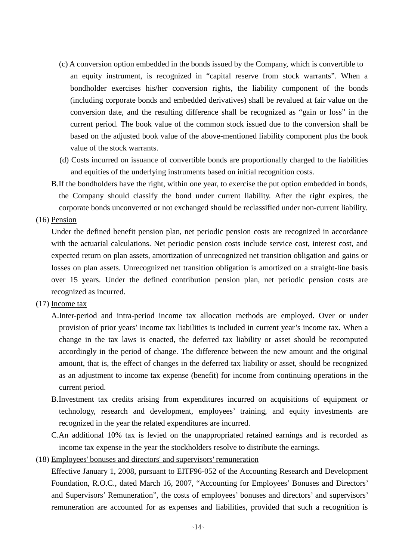- (c) A conversion option embedded in the bonds issued by the Company, which is convertible to an equity instrument, is recognized in "capital reserve from stock warrants". When a bondholder exercises his/her conversion rights, the liability component of the bonds (including corporate bonds and embedded derivatives) shall be revalued at fair value on the conversion date, and the resulting difference shall be recognized as "gain or loss" in the current period. The book value of the common stock issued due to the conversion shall be based on the adjusted book value of the above-mentioned liability component plus the book value of the stock warrants.
- (d) Costs incurred on issuance of convertible bonds are proportionally charged to the liabilities and equities of the underlying instruments based on initial recognition costs.
- B.If the bondholders have the right, within one year, to exercise the put option embedded in bonds, the Company should classify the bond under current liability. After the right expires, the corporate bonds unconverted or not exchanged should be reclassified under non-current liability.

(16) Pension

Under the defined benefit pension plan, net periodic pension costs are recognized in accordance with the actuarial calculations. Net periodic pension costs include service cost, interest cost, and expected return on plan assets, amortization of unrecognized net transition obligation and gains or losses on plan assets. Unrecognized net transition obligation is amortized on a straight-line basis over 15 years. Under the defined contribution pension plan, net periodic pension costs are recognized as incurred.

- (17) Income tax
	- A.Inter-period and intra-period income tax allocation methods are employed. Over or under provision of prior years' income tax liabilities is included in current year's income tax. When a change in the tax laws is enacted, the deferred tax liability or asset should be recomputed accordingly in the period of change. The difference between the new amount and the original amount, that is, the effect of changes in the deferred tax liability or asset, should be recognized as an adjustment to income tax expense (benefit) for income from continuing operations in the current period.
	- B.Investment tax credits arising from expenditures incurred on acquisitions of equipment or technology, research and development, employees' training, and equity investments are recognized in the year the related expenditures are incurred.
	- C.An additional 10% tax is levied on the unappropriated retained earnings and is recorded as income tax expense in the year the stockholders resolve to distribute the earnings.
- (18) Employees' bonuses and directors' and supervisors' remuneration

Effective January 1, 2008, pursuant to EITF96-052 of the Accounting Research and Development Foundation, R.O.C., dated March 16, 2007, "Accounting for Employees' Bonuses and Directors' and Supervisors' Remuneration", the costs of employees' bonuses and directors' and supervisors' remuneration are accounted for as expenses and liabilities, provided that such a recognition is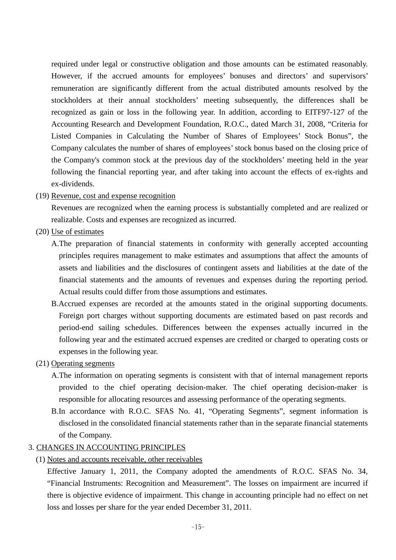required under legal or constructive obligation and those amounts can be estimated reasonably. However, if the accrued amounts for employees' bonuses and directors' and supervisors' remuneration are significantly different from the actual distributed amounts resolved by the stockholders at their annual stockholders' meeting subsequently, the differences shall be recognized as gain or loss in the following year. In addition, according to EITF97-127 of the Accounting Research and Development Foundation, R.O.C., dated March 31, 2008, "Criteria for Listed Companies in Calculating the Number of Shares of Employees' Stock Bonus", the Company calculates the number of shares of employees' stock bonus based on the closing price of the Company's common stock at the previous day of the stockholders' meeting held in the year following the financial reporting year, and after taking into account the effects of ex-rights and ex-dividends.

(19) Revenue, cost and expense recognition

Revenues are recognized when the earning process is substantially completed and are realized or realizable. Costs and expenses are recognized as incurred.

- (20) Use of estimates
	- A.The preparation of financial statements in conformity with generally accepted accounting principles requires management to make estimates and assumptions that affect the amounts of assets and liabilities and the disclosures of contingent assets and liabilities at the date of the financial statements and the amounts of revenues and expenses during the reporting period. Actual results could differ from those assumptions and estimates.
	- B.Accrued expenses are recorded at the amounts stated in the original supporting documents. Foreign port charges without supporting documents are estimated based on past records and period-end sailing schedules. Differences between the expenses actually incurred in the following year and the estimated accrued expenses are credited or charged to operating costs or expenses in the following year.
- (21) Operating segments
	- A.The information on operating segments is consistent with that of internal management reports provided to the chief operating decision-maker. The chief operating decision-maker is responsible for allocating resources and assessing performance of the operating segments.
	- B.In accordance with R.O.C. SFAS No. 41, "Operating Segments", segment information is disclosed in the consolidated financial statements rather than in the separate financial statements of the Company.

# 3. CHANGES IN ACCOUNTING PRINCIPLES

#### (1) Notes and accounts receivable, other receivables

Effective January 1, 2011, the Company adopted the amendments of R.O.C. SFAS No. 34, "Financial Instruments: Recognition and Measurement". The losses on impairment are incurred if there is objective evidence of impairment. This change in accounting principle had no effect on net loss and losses per share for the year ended December 31, 2011.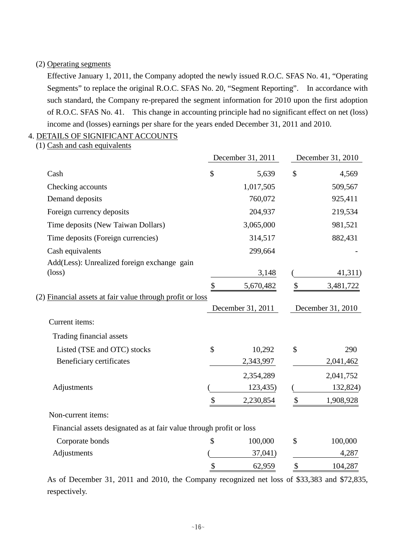# (2) Operating segments

Effective January 1, 2011, the Company adopted the newly issued R.O.C. SFAS No. 41, "Operating Segments" to replace the original R.O.C. SFAS No. 20, "Segment Reporting". In accordance with such standard, the Company re-prepared the segment information for 2010 upon the first adoption of R.O.C. SFAS No. 41. This change in accounting principle had no significant effect on net (loss) income and (losses) earnings per share for the years ended December 31, 2011 and 2010.

# 4. DETAILS OF SIGNIFICANT ACCOUNTS

(1) Cash and cash equivalents

|                                                                     |                           | December 31, 2011              |                           | December 31, 2010              |
|---------------------------------------------------------------------|---------------------------|--------------------------------|---------------------------|--------------------------------|
| Cash                                                                | \$                        | 5,639                          | \$                        | 4,569                          |
| Checking accounts                                                   |                           | 1,017,505                      |                           | 509,567                        |
| Demand deposits                                                     |                           | 760,072                        |                           | 925,411                        |
| Foreign currency deposits                                           |                           | 204,937                        |                           | 219,534                        |
| Time deposits (New Taiwan Dollars)                                  |                           | 3,065,000                      |                           | 981,521                        |
| Time deposits (Foreign currencies)                                  |                           | 314,517                        |                           | 882,431                        |
| Cash equivalents                                                    |                           | 299,664                        |                           |                                |
| Add(Less): Unrealized foreign exchange gain                         |                           |                                |                           |                                |
| $(\text{loss})$                                                     |                           | 3,148                          |                           | 41,311)                        |
| (2) Financial assets at fair value through profit or loss           | \$                        | 5,670,482<br>December 31, 2011 | \$                        | 3,481,722<br>December 31, 2010 |
| Current items:                                                      |                           |                                |                           |                                |
| Trading financial assets                                            |                           |                                |                           |                                |
| Listed (TSE and OTC) stocks                                         | \$                        | 10,292                         | \$                        | 290                            |
| Beneficiary certificates                                            |                           | 2,343,997                      |                           | 2,041,462                      |
|                                                                     |                           | 2,354,289                      |                           | 2,041,752                      |
| Adjustments                                                         |                           | 123,435)                       |                           | 132,824)                       |
|                                                                     | \$                        | 2,230,854                      | \$                        | 1,908,928                      |
| Non-current items:                                                  |                           |                                |                           |                                |
| Financial assets designated as at fair value through profit or loss |                           |                                |                           |                                |
| Corporate bonds                                                     | \$                        | 100,000                        | \$                        | 100,000                        |
| Adjustments                                                         |                           | 37,041)                        |                           | 4,287                          |
|                                                                     | $\boldsymbol{\mathsf{S}}$ | 62,959                         | $\boldsymbol{\mathsf{S}}$ | 104,287                        |

As of December 31, 2011 and 2010, the Company recognized net loss of \$33,383 and \$72,835, respectively.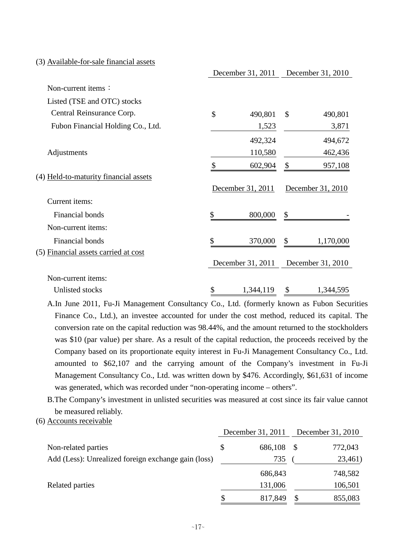#### (3) Available-for-sale financial assets

|                                       | December 31, 2011 |               | December 31, 2010 |
|---------------------------------------|-------------------|---------------|-------------------|
| Non-current items:                    |                   |               |                   |
| Listed (TSE and OTC) stocks           |                   |               |                   |
| Central Reinsurance Corp.             | \$<br>490,801     | $\mathcal{S}$ | 490,801           |
| Fubon Financial Holding Co., Ltd.     | 1,523             |               | 3,871             |
|                                       | 492,324           |               | 494,672           |
| Adjustments                           | 110,580           |               | 462,436           |
|                                       | \$<br>602,904     | \$            | 957,108           |
| (4) Held-to-maturity financial assets |                   |               |                   |
|                                       | December 31, 2011 |               | December 31, 2010 |
| Current items:                        |                   |               |                   |
| Financial bonds                       | \$<br>800,000     | \$            |                   |
| Non-current items:                    |                   |               |                   |
| Financial bonds                       | \$<br>370,000     | \$            | 1,170,000         |
| (5) Financial assets carried at cost  |                   |               |                   |
|                                       | December 31, 2011 |               | December 31, 2010 |
| Non-current items:                    |                   |               |                   |
| Unlisted stocks                       | \$<br>1,344,119   | \$            | 1,344,595         |

A.In June 2011, Fu-Ji Management Consultancy Co., Ltd. (formerly known as Fubon Securities Finance Co., Ltd.), an investee accounted for under the cost method, reduced its capital. The conversion rate on the capital reduction was 98.44%, and the amount returned to the stockholders was \$10 (par value) per share. As a result of the capital reduction, the proceeds received by the Company based on its proportionate equity interest in Fu-Ji Management Consultancy Co., Ltd. amounted to \$62,107 and the carrying amount of the Company's investment in Fu-Ji Management Consultancy Co., Ltd. was written down by \$476. Accordingly, \$61,631 of income was generated, which was recorded under "non-operating income – others".

B.The Company's investment in unlisted securities was measured at cost since its fair value cannot be measured reliably.

(6) Accounts receivable

|                                                     |    | December 31, 2011 | December 31, 2010 |         |  |
|-----------------------------------------------------|----|-------------------|-------------------|---------|--|
| Non-related parties                                 | \$ | 686,108           |                   | 772,043 |  |
| Add (Less): Unrealized foreign exchange gain (loss) |    | 735               |                   | 23,461) |  |
|                                                     |    | 686,843           |                   | 748,582 |  |
| Related parties                                     |    | 131,006           |                   | 106,501 |  |
|                                                     | S  | 817,849           |                   | 855,083 |  |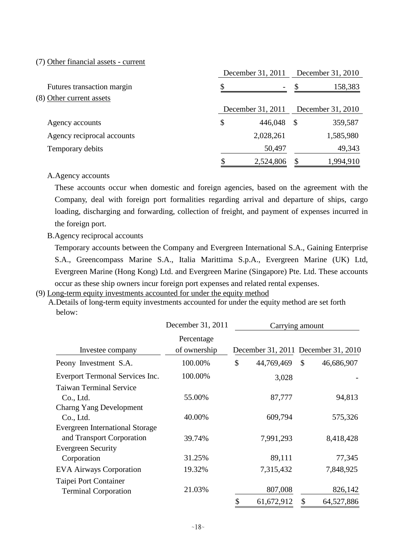#### (7) Other financial assets - current

|                            | December 31, 2011              |   | December 31, 2010 |
|----------------------------|--------------------------------|---|-------------------|
| Futures transaction margin | \$<br>$\overline{\phantom{a}}$ |   | 158,383           |
| (8) Other current assets   |                                |   |                   |
|                            | December 31, 2011              |   | December 31, 2010 |
| Agency accounts            | \$<br>446,048                  | S | 359,587           |
| Agency reciprocal accounts | 2,028,261                      |   | 1,585,980         |
| Temporary debits           | 50,497                         |   | 49,343            |
|                            | 2,524,806                      |   | 1,994,910         |

#### A.Agency accounts

These accounts occur when domestic and foreign agencies, based on the agreement with the Company, deal with foreign port formalities regarding arrival and departure of ships, cargo loading, discharging and forwarding, collection of freight, and payment of expenses incurred in the foreign port.

#### B.Agency reciprocal accounts

Temporary accounts between the Company and Evergreen International S.A., Gaining Enterprise S.A., Greencompass Marine S.A., Italia Marittima S.p.A., Evergreen Marine (UK) Ltd, Evergreen Marine (Hong Kong) Ltd. and Evergreen Marine (Singapore) Pte. Ltd. These accounts occur as these ship owners incur foreign port expenses and related rental expenses.

#### (9) Long-term equity investments accounted for under the equity method

A.Details of long-term equity investments accounted for under the equity method are set forth below:

| December 31, 2011          |                                 |            |                  |                                                              |  |  |  |
|----------------------------|---------------------------------|------------|------------------|--------------------------------------------------------------|--|--|--|
| Percentage<br>of ownership |                                 |            |                  |                                                              |  |  |  |
| 100.00%                    | \$                              | 44,769,469 | $\mathcal{S}$    | 46,686,907                                                   |  |  |  |
| 100.00%                    |                                 | 3,028      |                  |                                                              |  |  |  |
| 55.00%                     |                                 | 87,777     |                  | 94,813                                                       |  |  |  |
| 40.00%                     |                                 | 609,794    |                  | 575,326                                                      |  |  |  |
| 39.74%                     |                                 | 7,991,293  |                  | 8,418,428                                                    |  |  |  |
| 31.25%                     |                                 | 89,111     |                  | 77,345                                                       |  |  |  |
| 19.32%                     |                                 | 7,315,432  |                  | 7,848,925                                                    |  |  |  |
| 21.03%                     |                                 | 807,008    |                  | 826,142<br>64,527,886                                        |  |  |  |
|                            | Everport Termonal Services Inc. |            | \$<br>61,672,912 | Carrying amount<br>December 31, 2011 December 31, 2010<br>\$ |  |  |  |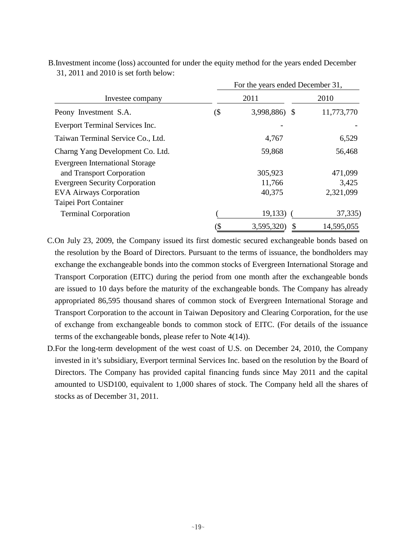|                                                                                                                                                                         | For the years ended December 31, |                             |                               |  |  |  |  |  |
|-------------------------------------------------------------------------------------------------------------------------------------------------------------------------|----------------------------------|-----------------------------|-------------------------------|--|--|--|--|--|
| Investee company                                                                                                                                                        |                                  | 2011                        | 2010                          |  |  |  |  |  |
| Peony Investment S.A.                                                                                                                                                   | (\$                              | 3,998,886) \$               | 11,773,770                    |  |  |  |  |  |
| Everport Terminal Services Inc.                                                                                                                                         |                                  |                             |                               |  |  |  |  |  |
| Taiwan Terminal Service Co., Ltd.                                                                                                                                       |                                  | 4,767                       | 6,529                         |  |  |  |  |  |
| Charng Yang Development Co. Ltd.                                                                                                                                        |                                  | 59,868                      | 56,468                        |  |  |  |  |  |
| <b>Evergreen International Storage</b><br>and Transport Corporation<br><b>Evergreen Security Corporation</b><br><b>EVA Airways Corporation</b><br>Taipei Port Container |                                  | 305,923<br>11,766<br>40,375 | 471,099<br>3,425<br>2,321,099 |  |  |  |  |  |
| <b>Terminal Corporation</b>                                                                                                                                             |                                  | 19,133)                     | 37,335)                       |  |  |  |  |  |
|                                                                                                                                                                         | (\$                              | 3,595,320)<br>S             | 14,595,055                    |  |  |  |  |  |

31, 2011 and 2010 is set forth below: B.Investment income (loss) accounted for under the equity method for the years ended December

C.On July 23, 2009, the Company issued its first domestic secured exchangeable bonds based on the resolution by the Board of Directors. Pursuant to the terms of issuance, the bondholders may exchange the exchangeable bonds into the common stocks of Evergreen International Storage and Transport Corporation (EITC) during the period from one month after the exchangeable bonds are issued to 10 days before the maturity of the exchangeable bonds. The Company has already appropriated 86,595 thousand shares of common stock of Evergreen International Storage and Transport Corporation to the account in Taiwan Depository and Clearing Corporation, for the use of exchange from exchangeable bonds to common stock of EITC. (For details of the issuance terms of the exchangeable bonds, please refer to Note 4(14)).

D.For the long-term development of the west coast of U.S. on December 24, 2010, the Company invested in it's subsidiary, Everport terminal Services Inc. based on the resolution by the Board of Directors. The Company has provided capital financing funds since May 2011 and the capital amounted to USD100, equivalent to 1,000 shares of stock. The Company held all the shares of stocks as of December 31, 2011.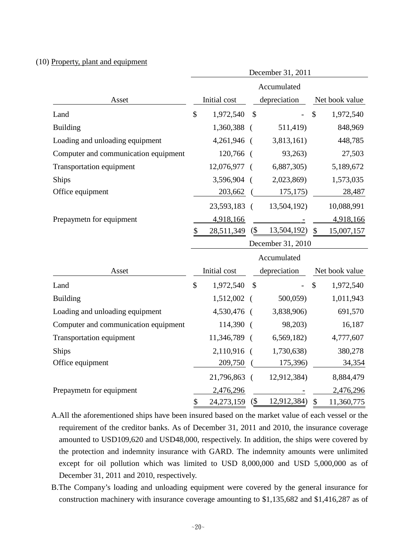### (10) Property, plant and equipment

|                                      | December 31, 2011 |              |            |              |                |                |  |  |
|--------------------------------------|-------------------|--------------|------------|--------------|----------------|----------------|--|--|
|                                      |                   |              |            | Accumulated  |                |                |  |  |
| Asset                                | Initial cost      |              |            | depreciation | Net book value |                |  |  |
| Land                                 | \$                | 1,972,540    | \$         |              | $\mathcal{S}$  | 1,972,540      |  |  |
| <b>Building</b>                      |                   | 1,360,388    | - (        | 511,419)     |                | 848,969        |  |  |
| Loading and unloading equipment      |                   | 4,261,946    | $\sqrt{ }$ | 3,813,161)   |                | 448,785        |  |  |
| Computer and communication equipment |                   | 120,766 (    |            | 93,263)      |                | 27,503         |  |  |
| <b>Transportation equipment</b>      |                   | 12,076,977   | $\sqrt{ }$ | 6,887,305    |                | 5,189,672      |  |  |
| <b>Ships</b>                         |                   | 3,596,904    | - (        | 2,023,869)   |                | 1,573,035      |  |  |
| Office equipment                     |                   | 203,662      |            | 175,175      |                | 28,487         |  |  |
|                                      |                   | 23,593,183 ( |            | 13,504,192)  |                | 10,088,991     |  |  |
| Prepaymetn for equipment             |                   | 4,918,166    |            |              |                | 4,918,166      |  |  |
|                                      | \$                | 28,511,349   | $($ \$     | 13,504,192)  | $\mathcal{S}$  | 15,007,157     |  |  |
|                                      | December 31, 2010 |              |            |              |                |                |  |  |
|                                      | Accumulated       |              |            |              |                |                |  |  |
| Asset                                |                   | Initial cost |            | depreciation |                | Net book value |  |  |
| Land                                 | \$                | 1,972,540    | \$         |              | $\mathcal{S}$  | 1,972,540      |  |  |
| <b>Building</b>                      |                   | 1,512,002    | $\sqrt{ }$ | 500,059)     |                | 1,011,943      |  |  |
| Loading and unloading equipment      |                   | 4,530,476    | $\sqrt{ }$ | 3,838,906)   |                | 691,570        |  |  |
| Computer and communication equipment |                   | 114,390      | $\sqrt{ }$ | 98,203)      |                | 16,187         |  |  |
| <b>Transportation equipment</b>      |                   | 11,346,789   | $\sqrt{2}$ | 6,569,182)   |                | 4,777,607      |  |  |
| <b>Ships</b>                         |                   | 2,110,916    | $\sqrt{ }$ | 1,730,638)   |                | 380,278        |  |  |
| Office equipment                     |                   | 209,750      |            | 175,396)     |                | 34,354         |  |  |
|                                      |                   | 21,796,863 ( |            | 12,912,384)  |                | 8,884,479      |  |  |
| Prepaymetn for equipment             |                   | 2,476,296    |            |              |                | 2,476,296      |  |  |
|                                      | \$                | 24,273,159   | $($ \$     | 12,912,384)  | $\mathcal{S}$  | 11,360,775     |  |  |

A.All the aforementioned ships have been insured based on the market value of each vessel or the requirement of the creditor banks. As of December 31, 2011 and 2010, the insurance coverage amounted to USD109,620 and USD48,000, respectively. In addition, the ships were covered by the protection and indemnity insurance with GARD. The indemnity amounts were unlimited except for oil pollution which was limited to USD 8,000,000 and USD 5,000,000 as of December 31, 2011 and 2010, respectively.

B.The Company's loading and unloading equipment were covered by the general insurance for construction machinery with insurance coverage amounting to \$1,135,682 and \$1,416,287 as of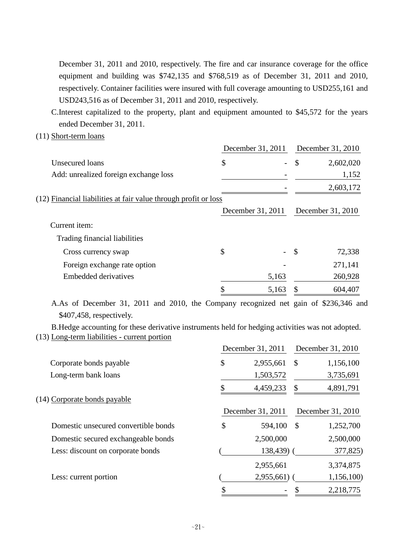December 31, 2011 and 2010, respectively. The fire and car insurance coverage for the office equipment and building was \$742,135 and \$768,519 as of December 31, 2011 and 2010, respectively. Container facilities were insured with full coverage amounting to USD255,161 and USD243,516 as of December 31, 2011 and 2010, respectively.

C.Interest capitalized to the property, plant and equipment amounted to \$45,572 for the years ended December 31, 2011.

(11) Short-term loans

|                                                                 | December 31, 2011 |       |                   | December 31, 2010 |
|-----------------------------------------------------------------|-------------------|-------|-------------------|-------------------|
| Unsecured loans                                                 | \$                |       | $\mathcal{S}$     | 2,602,020         |
| Add: unrealized foreign exchange loss                           |                   |       |                   | 1,152             |
|                                                                 |                   |       |                   | 2,603,172         |
| (12) Financial liabilities at fair value through profit or loss |                   |       |                   |                   |
|                                                                 | December 31, 2011 |       | December 31, 2010 |                   |
| Current item:                                                   |                   |       |                   |                   |
| Trading financial liabilities                                   |                   |       |                   |                   |
| Cross currency swap                                             | \$                |       | $\mathcal{S}$     | 72,338            |
| Foreign exchange rate option                                    |                   |       |                   | 271,141           |
| <b>Embedded derivatives</b>                                     |                   | 5,163 |                   | 260,928           |
|                                                                 |                   | 5,163 |                   | 604,407           |

A.As of December 31, 2011 and 2010, the Company recognized net gain of \$236,346 and \$407,458, respectively.

B.Hedge accounting for these derivative instruments held for hedging activities was not adopted. (13) Long-term liabilities - current portion

|                                      | December 31, 2011 |               | December 31, 2010 |
|--------------------------------------|-------------------|---------------|-------------------|
| Corporate bonds payable              | \$<br>2,955,661   | \$            | 1,156,100         |
| Long-term bank loans                 | 1,503,572         |               | 3,735,691         |
|                                      | 4,459,233         | \$            | 4,891,791         |
| (14) Corporate bonds payable         |                   |               |                   |
|                                      | December 31, 2011 |               | December 31, 2010 |
| Domestic unsecured convertible bonds | \$<br>594,100     | $\mathcal{S}$ | 1,252,700         |
| Domestic secured exchangeable bonds  | 2,500,000         |               | 2,500,000         |
| Less: discount on corporate bonds    | 138,439)          |               | 377,825)          |
|                                      | 2,955,661         |               | 3,374,875         |
| Less: current portion                | 2,955,661)        |               | 1,156,100)        |
|                                      | \$                |               | 2,218,775         |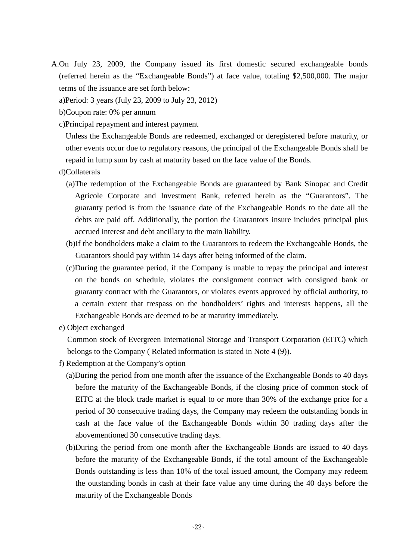- A.On July 23, 2009, the Company issued its first domestic secured exchangeable bonds (referred herein as the "Exchangeable Bonds") at face value, totaling \$2,500,000. The major terms of the issuance are set forth below:
	- a)Period: 3 years (July 23, 2009 to July 23, 2012)
	- b)Coupon rate: 0% per annum
	- c)Principal repayment and interest payment

Unless the Exchangeable Bonds are redeemed, exchanged or deregistered before maturity, or other events occur due to regulatory reasons, the principal of the Exchangeable Bonds shall be repaid in lump sum by cash at maturity based on the face value of the Bonds.

- d)Collaterals
	- (a)The redemption of the Exchangeable Bonds are guaranteed by Bank Sinopac and Credit Agricole Corporate and Investment Bank, referred herein as the "Guarantors". The guaranty period is from the issuance date of the Exchangeable Bonds to the date all the debts are paid off. Additionally, the portion the Guarantors insure includes principal plus accrued interest and debt ancillary to the main liability.
	- (b)If the bondholders make a claim to the Guarantors to redeem the Exchangeable Bonds, the Guarantors should pay within 14 days after being informed of the claim.
	- (c)During the guarantee period, if the Company is unable to repay the principal and interest on the bonds on schedule, violates the consignment contract with consigned bank or guaranty contract with the Guarantors, or violates events approved by official authority, to a certain extent that trespass on the bondholders' rights and interests happens, all the Exchangeable Bonds are deemed to be at maturity immediately.
- e) Object exchanged

Common stock of Evergreen International Storage and Transport Corporation (EITC) which belongs to the Company ( Related information is stated in Note 4 (9)).

- f) Redemption at the Company's option
	- (a)During the period from one month after the issuance of the Exchangeable Bonds to 40 days before the maturity of the Exchangeable Bonds, if the closing price of common stock of EITC at the block trade market is equal to or more than 30% of the exchange price for a period of 30 consecutive trading days, the Company may redeem the outstanding bonds in cash at the face value of the Exchangeable Bonds within 30 trading days after the abovementioned 30 consecutive trading days.
	- (b)During the period from one month after the Exchangeable Bonds are issued to 40 days before the maturity of the Exchangeable Bonds, if the total amount of the Exchangeable Bonds outstanding is less than 10% of the total issued amount, the Company may redeem the outstanding bonds in cash at their face value any time during the 40 days before the maturity of the Exchangeable Bonds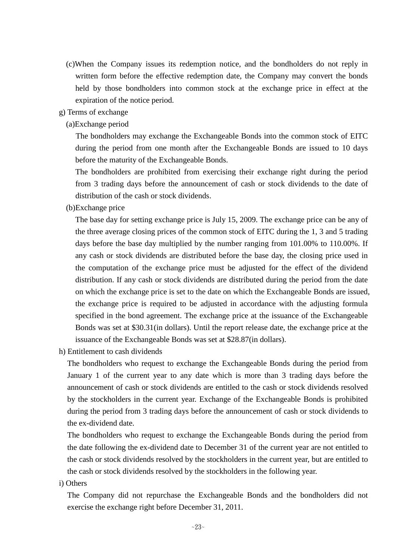- (c)When the Company issues its redemption notice, and the bondholders do not reply in written form before the effective redemption date, the Company may convert the bonds held by those bondholders into common stock at the exchange price in effect at the expiration of the notice period.
- g) Terms of exchange
	- (a)Exchange period

The bondholders may exchange the Exchangeable Bonds into the common stock of EITC during the period from one month after the Exchangeable Bonds are issued to 10 days before the maturity of the Exchangeable Bonds.

The bondholders are prohibited from exercising their exchange right during the period from 3 trading days before the announcement of cash or stock dividends to the date of distribution of the cash or stock dividends.

(b)Exchange price

The base day for setting exchange price is July 15, 2009. The exchange price can be any of the three average closing prices of the common stock of EITC during the 1, 3 and 5 trading days before the base day multiplied by the number ranging from 101.00% to 110.00%. If any cash or stock dividends are distributed before the base day, the closing price used in the computation of the exchange price must be adjusted for the effect of the dividend distribution. If any cash or stock dividends are distributed during the period from the date on which the exchange price is set to the date on which the Exchangeable Bonds are issued, the exchange price is required to be adjusted in accordance with the adjusting formula specified in the bond agreement. The exchange price at the issuance of the Exchangeable Bonds was set at \$30.31(in dollars). Until the report release date, the exchange price at the issuance of the Exchangeable Bonds was set at \$28.87(in dollars).

h) Entitlement to cash dividends

The bondholders who request to exchange the Exchangeable Bonds during the period from January 1 of the current year to any date which is more than 3 trading days before the announcement of cash or stock dividends are entitled to the cash or stock dividends resolved by the stockholders in the current year. Exchange of the Exchangeable Bonds is prohibited during the period from 3 trading days before the announcement of cash or stock dividends to the ex-dividend date.

The bondholders who request to exchange the Exchangeable Bonds during the period from the date following the ex-dividend date to December 31 of the current year are not entitled to the cash or stock dividends resolved by the stockholders in the current year, but are entitled to the cash or stock dividends resolved by the stockholders in the following year.

i) Others

The Company did not repurchase the Exchangeable Bonds and the bondholders did not exercise the exchange right before December 31, 2011.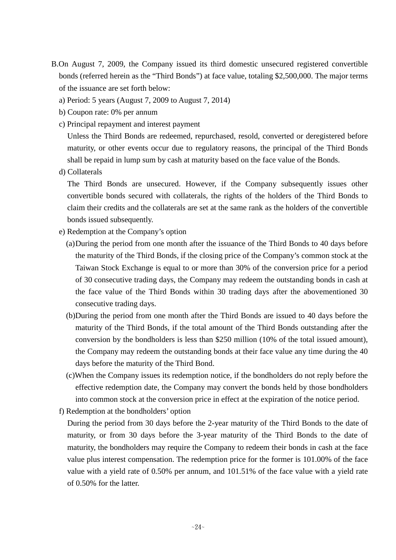- B.On August 7, 2009, the Company issued its third domestic unsecured registered convertible bonds (referred herein as the "Third Bonds") at face value, totaling \$2,500,000. The major terms of the issuance are set forth below:
	- a) Period: 5 years (August 7, 2009 to August 7, 2014)
	- b) Coupon rate: 0% per annum
	- c) Principal repayment and interest payment

Unless the Third Bonds are redeemed, repurchased, resold, converted or deregistered before maturity, or other events occur due to regulatory reasons, the principal of the Third Bonds shall be repaid in lump sum by cash at maturity based on the face value of the Bonds.

d) Collaterals

The Third Bonds are unsecured. However, if the Company subsequently issues other convertible bonds secured with collaterals, the rights of the holders of the Third Bonds to claim their credits and the collaterals are set at the same rank as the holders of the convertible bonds issued subsequently.

- e) Redemption at the Company's option
	- (a)During the period from one month after the issuance of the Third Bonds to 40 days before the maturity of the Third Bonds, if the closing price of the Company's common stock at the Taiwan Stock Exchange is equal to or more than 30% of the conversion price for a period of 30 consecutive trading days, the Company may redeem the outstanding bonds in cash at the face value of the Third Bonds within 30 trading days after the abovementioned 30 consecutive trading days.
	- (b)During the period from one month after the Third Bonds are issued to 40 days before the maturity of the Third Bonds, if the total amount of the Third Bonds outstanding after the conversion by the bondholders is less than \$250 million (10% of the total issued amount), the Company may redeem the outstanding bonds at their face value any time during the 40 days before the maturity of the Third Bond.
	- (c)When the Company issues its redemption notice, if the bondholders do not reply before the effective redemption date, the Company may convert the bonds held by those bondholders into common stock at the conversion price in effect at the expiration of the notice period.
- f) Redemption at the bondholders' option

During the period from 30 days before the 2-year maturity of the Third Bonds to the date of maturity, or from 30 days before the 3-year maturity of the Third Bonds to the date of maturity, the bondholders may require the Company to redeem their bonds in cash at the face value plus interest compensation. The redemption price for the former is 101.00% of the face value with a yield rate of 0.50% per annum, and 101.51% of the face value with a yield rate of 0.50% for the latter.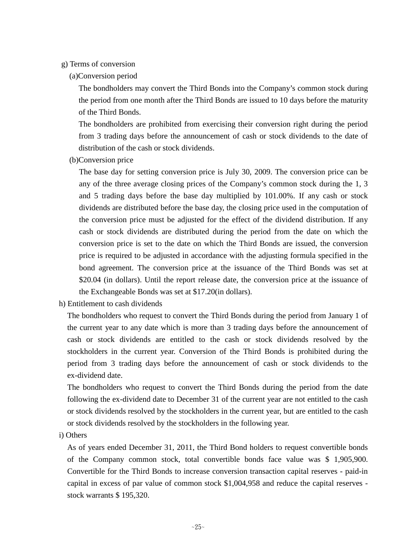#### g) Terms of conversion

(a)Conversion period

The bondholders may convert the Third Bonds into the Company's common stock during the period from one month after the Third Bonds are issued to 10 days before the maturity of the Third Bonds.

The bondholders are prohibited from exercising their conversion right during the period from 3 trading days before the announcement of cash or stock dividends to the date of distribution of the cash or stock dividends.

(b)Conversion price

The base day for setting conversion price is July 30, 2009. The conversion price can be any of the three average closing prices of the Company's common stock during the 1, 3 and 5 trading days before the base day multiplied by 101.00%. If any cash or stock dividends are distributed before the base day, the closing price used in the computation of the conversion price must be adjusted for the effect of the dividend distribution. If any cash or stock dividends are distributed during the period from the date on which the conversion price is set to the date on which the Third Bonds are issued, the conversion price is required to be adjusted in accordance with the adjusting formula specified in the bond agreement. The conversion price at the issuance of the Third Bonds was set at \$20.04 (in dollars). Until the report release date, the conversion price at the issuance of the Exchangeable Bonds was set at \$17.20(in dollars).

h) Entitlement to cash dividends

The bondholders who request to convert the Third Bonds during the period from January 1 of the current year to any date which is more than 3 trading days before the announcement of cash or stock dividends are entitled to the cash or stock dividends resolved by the stockholders in the current year. Conversion of the Third Bonds is prohibited during the period from 3 trading days before the announcement of cash or stock dividends to the ex-dividend date.

The bondholders who request to convert the Third Bonds during the period from the date following the ex-dividend date to December 31 of the current year are not entitled to the cash or stock dividends resolved by the stockholders in the current year, but are entitled to the cash or stock dividends resolved by the stockholders in the following year.

i) Others

As of years ended December 31, 2011, the Third Bond holders to request convertible bonds of the Company common stock, total convertible bonds face value was \$ 1,905,900. Convertible for the Third Bonds to increase conversion transaction capital reserves - paid-in capital in excess of par value of common stock \$1,004,958 and reduce the capital reserves stock warrants \$ 195,320.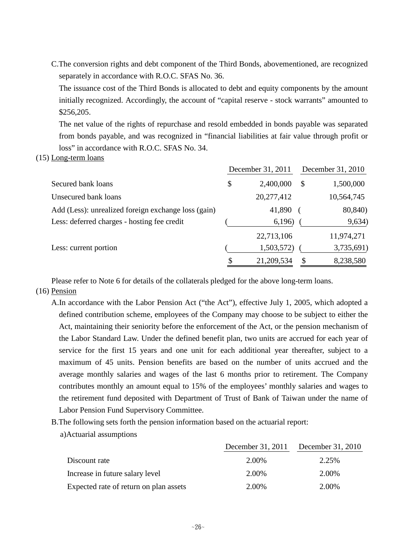C.The conversion rights and debt component of the Third Bonds, abovementioned, are recognized separately in accordance with R.O.C. SFAS No. 36.

The issuance cost of the Third Bonds is allocated to debt and equity components by the amount initially recognized. Accordingly, the account of "capital reserve - stock warrants" amounted to \$256,205.

The net value of the rights of repurchase and resold embedded in bonds payable was separated from bonds payable, and was recognized in "financial liabilities at fair value through profit or loss" in accordance with R.O.C. SFAS No. 34.

#### (15) Long-term loans

|                                                     |    | December 31, 2011 | December 31, 2010 |            |  |
|-----------------------------------------------------|----|-------------------|-------------------|------------|--|
| Secured bank loans                                  | \$ | 2,400,000         | S                 | 1,500,000  |  |
| Unsecured bank loans                                |    | 20,277,412        |                   | 10,564,745 |  |
| Add (Less): unrealized foreign exchange loss (gain) |    | 41,890            |                   | 80,840)    |  |
| Less: deferred charges - hosting fee credit         |    | 6,196)            |                   | 9,634)     |  |
|                                                     |    | 22,713,106        |                   | 11,974,271 |  |
| Less: current portion                               |    | 1,503,572)        |                   | 3,735,691) |  |
|                                                     | \$ | 21,209,534        |                   | 8,238,580  |  |

Please refer to Note 6 for details of the collaterals pledged for the above long-term loans.

#### (16) Pension

- A.In accordance with the Labor Pension Act ("the Act"), effective July 1, 2005, which adopted a defined contribution scheme, employees of the Company may choose to be subject to either the Act, maintaining their seniority before the enforcement of the Act, or the pension mechanism of the Labor Standard Law. Under the defined benefit plan, two units are accrued for each year of service for the first 15 years and one unit for each additional year thereafter, subject to a maximum of 45 units. Pension benefits are based on the number of units accrued and the average monthly salaries and wages of the last 6 months prior to retirement. The Company contributes monthly an amount equal to 15% of the employees' monthly salaries and wages to the retirement fund deposited with Department of Trust of Bank of Taiwan under the name of Labor Pension Fund Supervisory Committee.
- B.The following sets forth the pension information based on the actuarial report:
	- a)Actuarial assumptions

|                                        | December 31, 2011 December 31, 2010 |       |
|----------------------------------------|-------------------------------------|-------|
| Discount rate                          | 2.00%                               | 2.25% |
| Increase in future salary level        | 2.00%                               | 2.00% |
| Expected rate of return on plan assets | 2.00%                               | 2.00% |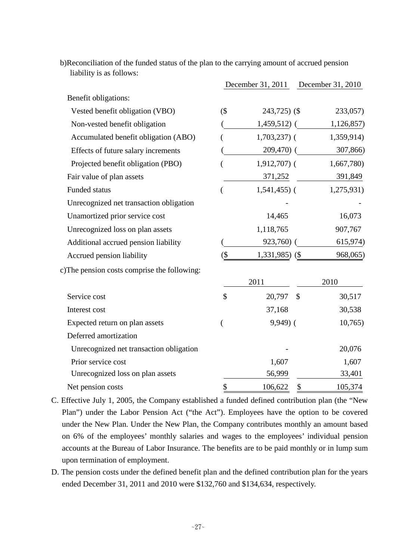|                                              |               | December 31, 2011       | December 31, 2010 |
|----------------------------------------------|---------------|-------------------------|-------------------|
| Benefit obligations:                         |               |                         |                   |
| Vested benefit obligation (VBO)              | $($ \$        | $243,725$ (\$)          | 233,057)          |
| Non-vested benefit obligation                |               | $1,459,512$ (           | 1,126,857)        |
| Accumulated benefit obligation (ABO)         |               | $1,703,237$ (           | 1,359,914)        |
| Effects of future salary increments          |               | $209,470$ (             | 307,866)          |
| Projected benefit obligation (PBO)           |               | $1,912,707$ (           | 1,667,780)        |
| Fair value of plan assets                    |               | 371,252                 | 391,849           |
| Funded status                                |               | $1,541,455$ ) (         | 1,275,931)        |
| Unrecognized net transaction obligation      |               |                         |                   |
| Unamortized prior service cost               |               | 14,465                  | 16,073            |
| Unrecognized loss on plan assets             |               | 1,118,765               | 907,767           |
| Additional accrued pension liability         |               | 923,760) (              | 615,974)          |
| Accrued pension liability                    | $(\$\)$       | $1,331,985$ (\$)        | 968,065)          |
| c) The pension costs comprise the following: |               |                         |                   |
|                                              |               | 2011                    | 2010              |
| Service cost                                 | $\mathcal{S}$ | 20,797<br>$\mathcal{S}$ | 30,517            |
| Interest cost                                |               | 37,168                  | 30,538            |
| Expected return on plan assets               |               | $9,949$ (               | 10,765            |
| Deferred amortization                        |               |                         |                   |
| Unrecognized net transaction obligation      |               |                         | 20,076            |
| Prior service cost                           |               | 1,607                   | 1,607             |
| Unrecognized loss on plan assets             |               | 56,999                  | 33,401            |
| Net pension costs                            | \$            | 106,622<br>\$           | 105,374           |

b)Reconciliation of the funded status of the plan to the carrying amount of accrued pension liability is as follows:

- C. Effective July 1, 2005, the Company established a funded defined contribution plan (the "New Plan") under the Labor Pension Act ("the Act"). Employees have the option to be covered under the New Plan. Under the New Plan, the Company contributes monthly an amount based on 6% of the employees' monthly salaries and wages to the employees' individual pension accounts at the Bureau of Labor Insurance. The benefits are to be paid monthly or in lump sum upon termination of employment.
- D. The pension costs under the defined benefit plan and the defined contribution plan for the years ended December 31, 2011 and 2010 were \$132,760 and \$134,634, respectively.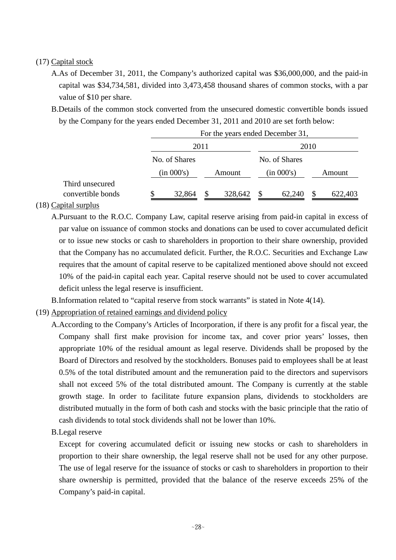### (17) Capital stock

- A.As of December 31, 2011, the Company's authorized capital was \$36,000,000, and the paid-in capital was \$34,734,581, divided into 3,473,458 thousand shares of common stocks, with a par value of \$10 per share.
- B.Details of the common stock converted from the unsecured domestic convertible bonds issued by the Company for the years ended December 31, 2011 and 2010 are set forth below:

|                                      | For the years ended December 31, |               |         |      |               |  |         |  |
|--------------------------------------|----------------------------------|---------------|---------|------|---------------|--|---------|--|
|                                      | 2011                             |               |         | 2010 |               |  |         |  |
|                                      | No. of Shares                    |               |         |      | No. of Shares |  |         |  |
|                                      | (in 000's)                       |               | Amount  |      | (in 000's)    |  | Amount  |  |
| Third unsecured<br>convertible bonds | \$<br>32,864                     | <sup>\$</sup> | 328,642 | -S   | 62,240        |  | 622,403 |  |

### (18) Capital surplus

A.Pursuant to the R.O.C. Company Law, capital reserve arising from paid-in capital in excess of par value on issuance of common stocks and donations can be used to cover accumulated deficit or to issue new stocks or cash to shareholders in proportion to their share ownership, provided that the Company has no accumulated deficit. Further, the R.O.C. Securities and Exchange Law requires that the amount of capital reserve to be capitalized mentioned above should not exceed 10% of the paid-in capital each year. Capital reserve should not be used to cover accumulated deficit unless the legal reserve is insufficient.

B.Information related to "capital reserve from stock warrants" is stated in Note 4(14).

- (19) Appropriation of retained earnings and dividend policy
	- A.According to the Company's Articles of Incorporation, if there is any profit for a fiscal year, the Company shall first make provision for income tax, and cover prior years' losses, then appropriate 10% of the residual amount as legal reserve. Dividends shall be proposed by the Board of Directors and resolved by the stockholders. Bonuses paid to employees shall be at least 0.5% of the total distributed amount and the remuneration paid to the directors and supervisors shall not exceed 5% of the total distributed amount. The Company is currently at the stable growth stage. In order to facilitate future expansion plans, dividends to stockholders are distributed mutually in the form of both cash and stocks with the basic principle that the ratio of cash dividends to total stock dividends shall not be lower than 10%.
	- B.Legal reserve

Except for covering accumulated deficit or issuing new stocks or cash to shareholders in proportion to their share ownership, the legal reserve shall not be used for any other purpose. The use of legal reserve for the issuance of stocks or cash to shareholders in proportion to their share ownership is permitted, provided that the balance of the reserve exceeds 25% of the Company's paid-in capital.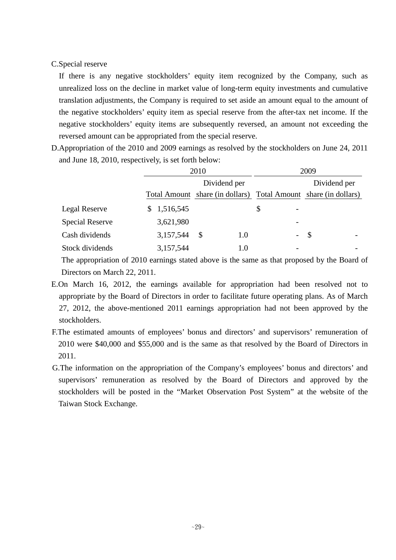### C.Special reserve

If there is any negative stockholders' equity item recognized by the Company, such as unrealized loss on the decline in market value of long-term equity investments and cumulative translation adjustments, the Company is required to set aside an amount equal to the amount of the negative stockholders' equity item as special reserve from the after-tax net income. If the negative stockholders' equity items are subsequently reversed, an amount not exceeding the reversed amount can be appropriated from the special reserve.

D.Appropriation of the 2010 and 2009 earnings as resolved by the stockholders on June 24, 2011 and June 18, 2010, respectively, is set forth below:

|                        |           | 2010         |                 | 2009                                                            |
|------------------------|-----------|--------------|-----------------|-----------------------------------------------------------------|
|                        |           | Dividend per |                 | Dividend per                                                    |
|                        |           |              |                 | Total Amount share (in dollars) Total Amount share (in dollars) |
| <b>Legal Reserve</b>   | 1,516,545 |              | \$              |                                                                 |
| <b>Special Reserve</b> | 3,621,980 |              |                 |                                                                 |
| Cash dividends         | 3,157,544 | S<br>1.0     | $\sim$ 10 $\pm$ | - \$<br>$\overline{\phantom{a}}$                                |
| Stock dividends        | 3,157,544 | 1.0          |                 |                                                                 |

The appropriation of 2010 earnings stated above is the same as that proposed by the Board of Directors on March 22, 2011.

- E.On March 16, 2012, the earnings available for appropriation had been resolved not to appropriate by the Board of Directors in order to facilitate future operating plans. As of March 27, 2012, the above-mentioned 2011 earnings appropriation had not been approved by the stockholders.
- F.The estimated amounts of employees' bonus and directors' and supervisors' remuneration of 2010 were \$40,000 and \$55,000 and is the same as that resolved by the Board of Directors in 2011.
- G.The information on the appropriation of the Company's employees' bonus and directors' and supervisors' remuneration as resolved by the Board of Directors and approved by the stockholders will be posted in the "Market Observation Post System" at the website of the Taiwan Stock Exchange.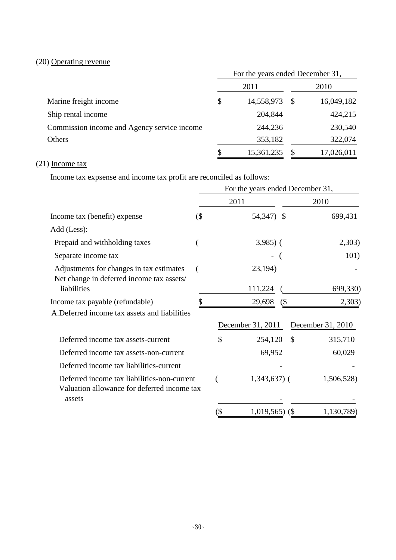# (20) Operating revenue

|                                             | For the years ended December 31, |            |    |            |  |
|---------------------------------------------|----------------------------------|------------|----|------------|--|
|                                             |                                  | 2011       |    | 2010       |  |
| Marine freight income                       |                                  | 14,558,973 | -S | 16,049,182 |  |
| Ship rental income                          |                                  | 204,844    |    | 424,215    |  |
| Commission income and Agency service income |                                  | 244,236    |    | 230,540    |  |
| Others                                      |                                  | 353,182    |    | 322,074    |  |
|                                             | \$                               | 15,361,235 |    | 17,026,011 |  |

# (21) Income tax

Income tax expsense and income tax profit are reconciled as follows:

|                                                                                            | For the years ended December 31, |       |                   |               |                   |  |
|--------------------------------------------------------------------------------------------|----------------------------------|-------|-------------------|---------------|-------------------|--|
|                                                                                            |                                  |       | 2011              | 2010          |                   |  |
| Income tax (benefit) expense                                                               | $($ \$                           |       | 54,347) \$        |               | 699,431           |  |
| Add (Less):                                                                                |                                  |       |                   |               |                   |  |
| Prepaid and withholding taxes                                                              |                                  |       | $3,985$ ) (       |               | 2,303)            |  |
| Separate income tax                                                                        |                                  |       |                   |               | 101)              |  |
| Adjustments for changes in tax estimates<br>Net change in deferred income tax assets/      |                                  |       | 23,194)           |               |                   |  |
| liabilities                                                                                |                                  |       | 111,224           |               | 699,330)          |  |
| Income tax payable (refundable)                                                            |                                  |       | 29,698            | $($ \$        | 2,303)            |  |
| A. Deferred income tax assets and liabilities                                              |                                  |       |                   |               |                   |  |
|                                                                                            |                                  |       | December 31, 2011 |               | December 31, 2010 |  |
| Deferred income tax assets-current                                                         |                                  | \$    | 254,120           | $\mathcal{S}$ | 315,710           |  |
| Deferred income tax assets-non-current                                                     |                                  |       | 69,952            |               | 60,029            |  |
| Deferred income tax liabilities-current                                                    |                                  |       |                   |               |                   |  |
| Deferred income tax liabilities-non-current<br>Valuation allowance for deferred income tax |                                  |       | $1,343,637$ (     |               | 1,506,528)        |  |
| assets                                                                                     |                                  |       |                   |               |                   |  |
|                                                                                            |                                  | $(\$$ | $1,019,565$ (\$)  |               | 1,130,789)        |  |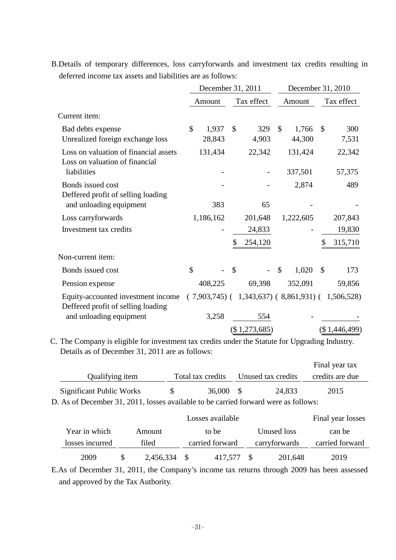|                                                                          |                                  | December 31, 2011                                       | December 31, 2010                |                               |  |  |
|--------------------------------------------------------------------------|----------------------------------|---------------------------------------------------------|----------------------------------|-------------------------------|--|--|
|                                                                          | Amount                           | Tax effect                                              | Amount                           | Tax effect                    |  |  |
| Current item:                                                            |                                  |                                                         |                                  |                               |  |  |
| Bad debts expense<br>Unrealized foreign exchange loss                    | $\mathcal{S}$<br>1,937<br>28,843 | 329<br>$\mathbb{S}$<br>4,903                            | $\mathcal{S}$<br>1,766<br>44,300 | $\mathcal{S}$<br>300<br>7,531 |  |  |
| Loss on valuation of financial assets<br>Loss on valuation of financial  | 131,434                          | 22,342                                                  | 131,424                          | 22,342                        |  |  |
| liabilities                                                              |                                  |                                                         | 337,501                          | 57,375                        |  |  |
| Bonds issued cost<br>Deffered profit of selling loading                  |                                  |                                                         | 2,874                            | 489                           |  |  |
| and unloading equipment                                                  | 383                              | 65                                                      |                                  |                               |  |  |
| Loss carryforwards                                                       | 1,186,162                        | 201,648                                                 | 1,222,605                        | 207,843                       |  |  |
| Investment tax credits                                                   |                                  | 24,833                                                  |                                  | 19,830                        |  |  |
|                                                                          |                                  | 254,120                                                 |                                  | 315,710                       |  |  |
| Non-current item:                                                        |                                  |                                                         |                                  |                               |  |  |
| Bonds issued cost                                                        | \$                               | $\mathcal{S}$                                           | $\mathcal{S}$<br>1,020           | $\mathcal{S}$<br>173          |  |  |
| Pension expense                                                          | 408,225                          | 69,398                                                  | 352,091                          | 59,856                        |  |  |
| Equity-accounted investment income<br>Deffered profit of selling loading |                                  | $(7,903,745)$ $(1,343,637)$ $(8,861,931)$ $(1,506,528)$ |                                  |                               |  |  |
| and unloading equipment                                                  | 3,258                            | 554                                                     |                                  |                               |  |  |
|                                                                          |                                  | (\$1,273,685)                                           |                                  | (\$1,446,499)                 |  |  |

B.Details of temporary differences, loss carryforwards and investment tax credits resulting in deferred income tax assets and liabilities are as follows:

C. The Company is eligible for investment tax credits under the Statute for Upgrading Industry. Details as of December 31, 2011 are as follows:

|                                                                                     |     |                   |  |                    | Final year tax  |  |  |
|-------------------------------------------------------------------------------------|-----|-------------------|--|--------------------|-----------------|--|--|
| Qualifying item                                                                     |     | Total tax credits |  | Unused tax credits | credits are due |  |  |
| Significant Public Works                                                            | -SS | 36,000 \$         |  | 24.833             | 2015            |  |  |
| D. As of December 31, 2011, losses available to be carried forward were as follows: |     |                   |  |                    |                 |  |  |

|                 |       |           | Final year losses |         |               |             |                 |
|-----------------|-------|-----------|-------------------|---------|---------------|-------------|-----------------|
| Year in which   |       | Amount    |                   | to be   |               | Unused loss | can be          |
| losses incurred | filed |           | carried forward   |         | carryforwards |             | carried forward |
| 2009            |       | 2,456,334 |                   | 417,577 |               | 201,648     | 2019            |

E.As of December 31, 2011, the Company's income tax returns through 2009 has been assessed and approved by the Tax Authority.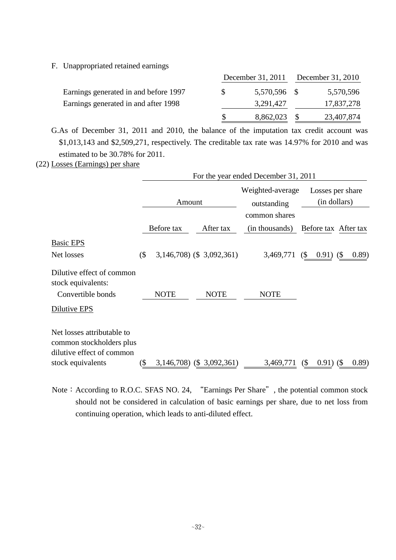F. Unappropriated retained earnings

|                                       |     |              | December 31, 2011 December 31, 2010 |            |  |
|---------------------------------------|-----|--------------|-------------------------------------|------------|--|
| Earnings generated in and before 1997 | SS. | 5,570,596 \$ |                                     | 5,570,596  |  |
| Earnings generated in and after 1998  |     | 3,291,427    |                                     | 17,837,278 |  |
|                                       |     | 8,862,023    |                                     | 23,407,874 |  |

G.As of December 31, 2011 and 2010, the balance of the imputation tax credit account was \$1,013,143 and \$2,509,271, respectively. The creditable tax rate was 14.97% for 2010 and was estimated to be 30.78% for 2011.

(22) Losses (Earnings) per share

|                                                                                                          | For the year ended December 31, 2011 |                           |  |                                                  |                                  |                                            |                      |
|----------------------------------------------------------------------------------------------------------|--------------------------------------|---------------------------|--|--------------------------------------------------|----------------------------------|--------------------------------------------|----------------------|
|                                                                                                          |                                      | Amount                    |  | Weighted-average<br>outstanding<br>common shares | Losses per share<br>(in dollars) |                                            |                      |
|                                                                                                          |                                      | Before tax                |  | After tax                                        | (in thousands)                   |                                            | Before tax After tax |
| <b>Basic EPS</b><br>Net losses                                                                           | $($ \$                               | 3,146,708) (\$ 3,092,361) |  |                                                  | 3,469,771                        | $\frac{1}{2}$<br>$0.91)$ (\$)              | (0.89)               |
| Dilutive effect of common<br>stock equivalents:<br>Convertible bonds                                     |                                      | <b>NOTE</b>               |  | <b>NOTE</b>                                      | <b>NOTE</b>                      |                                            |                      |
| Dilutive EPS                                                                                             |                                      |                           |  |                                                  |                                  |                                            |                      |
| Net losses attributable to<br>common stockholders plus<br>dilutive effect of common<br>stock equivalents | (\$                                  | 3,146,708) (\$ 3,092,361) |  |                                                  | 3,469,771                        | $0.91)$ (\$)<br>$\left( \text{\$} \right)$ | (0.89)               |

Note: According to R.O.C. SFAS NO. 24, "Earnings Per Share", the potential common stock should not be considered in calculation of basic earnings per share, due to net loss from continuing operation, which leads to anti-diluted effect.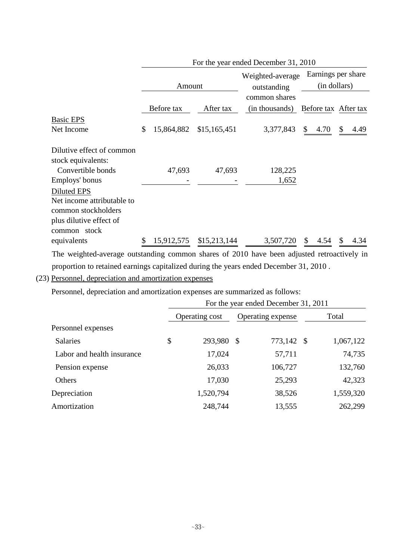|                                                 |        | For the year ended December 31, 2010 |                                                  |                                                                                                             |                                    |      |                      |  |
|-------------------------------------------------|--------|--------------------------------------|--------------------------------------------------|-------------------------------------------------------------------------------------------------------------|------------------------------------|------|----------------------|--|
|                                                 | Amount |                                      | Weighted-average<br>outstanding<br>common shares |                                                                                                             | Earnings per share<br>(in dollars) |      |                      |  |
|                                                 |        | Before tax                           | After tax                                        | (in thousands)                                                                                              |                                    |      | Before tax After tax |  |
| <b>Basic EPS</b>                                |        |                                      |                                                  |                                                                                                             |                                    |      |                      |  |
| Net Income                                      | \$     | 15,864,882                           | \$15,165,451                                     | 3,377,843                                                                                                   | \$                                 | 4.70 | \$<br>4.49           |  |
| Dilutive effect of common<br>stock equivalents: |        |                                      |                                                  |                                                                                                             |                                    |      |                      |  |
| Convertible bonds                               |        | 47,693                               | 47,693                                           | 128,225                                                                                                     |                                    |      |                      |  |
| Employs' bonus                                  |        |                                      |                                                  | 1,652                                                                                                       |                                    |      |                      |  |
| Diluted EPS                                     |        |                                      |                                                  |                                                                                                             |                                    |      |                      |  |
| Net income attributable to                      |        |                                      |                                                  |                                                                                                             |                                    |      |                      |  |
| common stockholders                             |        |                                      |                                                  |                                                                                                             |                                    |      |                      |  |
| plus dilutive effect of                         |        |                                      |                                                  |                                                                                                             |                                    |      |                      |  |
| common stock                                    |        |                                      |                                                  |                                                                                                             |                                    |      |                      |  |
| equivalents                                     | \$     | 15,912,575                           | \$15,213,144                                     | 3,507,720                                                                                                   | \$.                                | 4.54 | <b>S</b><br>4.34     |  |
| $-1$ $-1$                                       |        |                                      |                                                  | 0.0101<br>$\sim$ 1.000 $\sim$ 1.000 $\sim$ 1.000 $\sim$ 1.000 $\sim$ 1.000 $\sim$ 1.000 $\sim$ 1.000 $\sim$ |                                    |      |                      |  |

The weighted-average outstanding common shares of 2010 have been adjusted retroactively in proportion to retained earnings capitalized during the years ended December 31, 2010 .

(23) Personnel, depreciation and amortization expenses

Personnel, depreciation and amortization expenses are summarized as follows:

|                            | For the year ended December 31, 2011 |                |  |                   |  |           |  |
|----------------------------|--------------------------------------|----------------|--|-------------------|--|-----------|--|
|                            |                                      | Operating cost |  | Operating expense |  | Total     |  |
| Personnel expenses         |                                      |                |  |                   |  |           |  |
| <b>Salaries</b>            | \$                                   | 293,980 \$     |  | 773,142 \$        |  | 1,067,122 |  |
| Labor and health insurance |                                      | 17,024         |  | 57,711            |  | 74,735    |  |
| Pension expense            |                                      | 26,033         |  | 106,727           |  | 132,760   |  |
| Others                     |                                      | 17,030         |  | 25,293            |  | 42,323    |  |
| Depreciation               |                                      | 1,520,794      |  | 38,526            |  | 1,559,320 |  |
| Amortization               |                                      | 248,744        |  | 13,555            |  | 262,299   |  |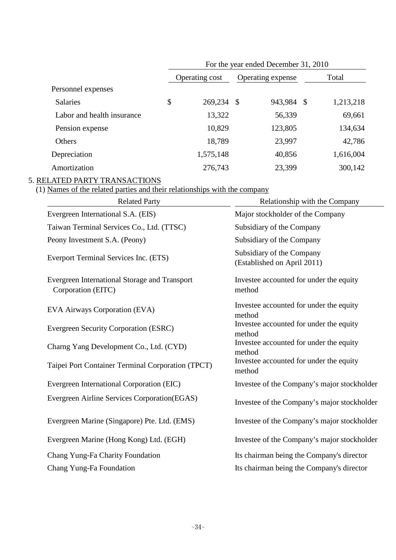|                            | For the year ended December 31, 2010 |                |    |                   |               |           |  |
|----------------------------|--------------------------------------|----------------|----|-------------------|---------------|-----------|--|
|                            |                                      | Operating cost |    | Operating expense |               | Total     |  |
| Personnel expenses         |                                      |                |    |                   |               |           |  |
| <b>Salaries</b>            | \$                                   | 269,234        | \$ | 943,984           | $\mathcal{S}$ | 1,213,218 |  |
| Labor and health insurance |                                      | 13,322         |    | 56,339            |               | 69,661    |  |
| Pension expense            |                                      | 10,829         |    | 123,805           |               | 134,634   |  |
| Others                     |                                      | 18,789         |    | 23,997            |               | 42,786    |  |
| Depreciation               |                                      | 1,575,148      |    | 40,856            |               | 1,616,004 |  |
| Amortization               |                                      | 276,743        |    | 23,399            |               | 300,142   |  |

### 5. RELATED PARTY TRANSACTIONS

#### (1) Names of the related parties and their relationships with the company

| <b>Related Party</b>                                                | Relationship with the Company                            |
|---------------------------------------------------------------------|----------------------------------------------------------|
| Evergreen International S.A. (EIS)                                  | Major stockholder of the Company                         |
| Taiwan Terminal Services Co., Ltd. (TTSC)                           | Subsidiary of the Company                                |
| Peony Investment S.A. (Peony)                                       | Subsidiary of the Company                                |
| Everport Terminal Services Inc. (ETS)                               | Subsidiary of the Company<br>(Established on April 2011) |
| Evergreen International Storage and Transport<br>Corporation (EITC) | Investee accounted for under the equity<br>method        |
| EVA Airways Corporation (EVA)                                       | Investee accounted for under the equity<br>method        |
| Evergreen Security Corporation (ESRC)                               | Investee accounted for under the equity<br>method        |
| Charng Yang Development Co., Ltd. (CYD)                             | Investee accounted for under the equity<br>method        |
| Taipei Port Container Terminal Corporation (TPCT)                   | Investee accounted for under the equity<br>method        |
| Evergreen International Corporation (EIC)                           | Investee of the Company's major stockholder              |
| Evergreen Airline Services Corporation(EGAS)                        | Investee of the Company's major stockholder              |
| Evergreen Marine (Singapore) Pte. Ltd. (EMS)                        | Investee of the Company's major stockholder              |
| Evergreen Marine (Hong Kong) Ltd. (EGH)                             | Investee of the Company's major stockholder              |
| Chang Yung-Fa Charity Foundation                                    | Its chairman being the Company's director                |
| Chang Yung-Fa Foundation                                            | Its chairman being the Company's director                |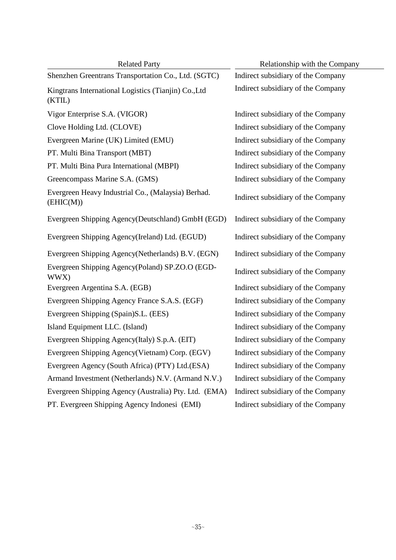| <b>Related Party</b>                                            | Relationship with the Company      |
|-----------------------------------------------------------------|------------------------------------|
| Shenzhen Greentrans Transportation Co., Ltd. (SGTC)             | Indirect subsidiary of the Company |
| Kingtrans International Logistics (Tianjin) Co., Ltd<br>(KTIL)  | Indirect subsidiary of the Company |
| Vigor Enterprise S.A. (VIGOR)                                   | Indirect subsidiary of the Company |
| Clove Holding Ltd. (CLOVE)                                      | Indirect subsidiary of the Company |
| Evergreen Marine (UK) Limited (EMU)                             | Indirect subsidiary of the Company |
| PT. Multi Bina Transport (MBT)                                  | Indirect subsidiary of the Company |
| PT. Multi Bina Pura International (MBPI)                        | Indirect subsidiary of the Company |
| Greencompass Marine S.A. (GMS)                                  | Indirect subsidiary of the Company |
| Evergreen Heavy Industrial Co., (Malaysia) Berhad.<br>(EHIC(M)) | Indirect subsidiary of the Company |
| Evergreen Shipping Agency(Deutschland) GmbH (EGD)               | Indirect subsidiary of the Company |
| Evergreen Shipping Agency(Ireland) Ltd. (EGUD)                  | Indirect subsidiary of the Company |
| Evergreen Shipping Agency(Netherlands) B.V. (EGN)               | Indirect subsidiary of the Company |
| Evergreen Shipping Agency(Poland) SP.ZO.O (EGD-<br>WWX)         | Indirect subsidiary of the Company |
| Evergreen Argentina S.A. (EGB)                                  | Indirect subsidiary of the Company |
| Evergreen Shipping Agency France S.A.S. (EGF)                   | Indirect subsidiary of the Company |
| Evergreen Shipping (Spain)S.L. (EES)                            | Indirect subsidiary of the Company |
| Island Equipment LLC. (Island)                                  | Indirect subsidiary of the Company |
| Evergreen Shipping Agency(Italy) S.p.A. (EIT)                   | Indirect subsidiary of the Company |
| Evergreen Shipping Agency(Vietnam) Corp. (EGV)                  | Indirect subsidiary of the Company |
| Evergreen Agency (South Africa) (PTY) Ltd.(ESA)                 | Indirect subsidiary of the Company |
| Armand Investment (Netherlands) N.V. (Armand N.V.)              | Indirect subsidiary of the Company |
| Evergreen Shipping Agency (Australia) Pty. Ltd. (EMA)           | Indirect subsidiary of the Company |
| PT. Evergreen Shipping Agency Indonesi (EMI)                    | Indirect subsidiary of the Company |

٠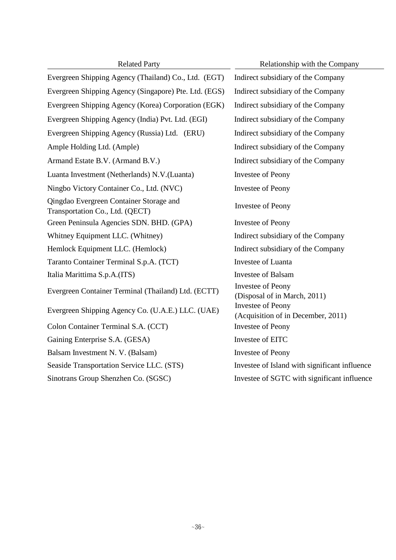Evergreen Shipping Agency (Thailand) Co., Ltd. (EGT) Indirect subsidiary of the Company Evergreen Shipping Agency (Singapore) Pte. Ltd. (EGS) Indirect subsidiary of the Company Evergreen Shipping Agency (Korea) Corporation (EGK) Indirect subsidiary of the Company Evergreen Shipping Agency (India) Pvt. Ltd. (EGI) Indirect subsidiary of the Company Evergreen Shipping Agency (Russia) Ltd. (ERU) Indirect subsidiary of the Company Ample Holding Ltd. (Ample) **Indirect subsidiary of the Company** Armand Estate B.V. (Armand B.V.) Indirect subsidiary of the Company Luanta Investment (Netherlands) N.V.(Luanta) Investee of Peony Ningbo Victory Container Co., Ltd. (NVC) Investee of Peony Qingdao Evergreen Container Storage and Transportation Co., Ltd. (QECT) Investee of Peony Green Peninsula Agencies SDN. BHD. (GPA) Investee of Peony Whitney Equipment LLC. (Whitney) Indirect subsidiary of the Company Hemlock Equipment LLC. (Hemlock) Indirect subsidiary of the Company Taranto Container Terminal S.p.A. (TCT) Investee of Luanta Italia Marittima S.p.A.(ITS) Investee of Balsam Evergreen Container Terminal (Thailand) Ltd. (ECTT) Investee of Peony Evergreen Shipping Agency Co. (U.A.E.) LLC. (UAE) Investee of Peony Colon Container Terminal S.A. (CCT) Investee of Peony Gaining Enterprise S.A. (GESA) Investee of EITC Balsam Investment N. V. (Balsam) Investee of Peony Seaside Transportation Service LLC. (STS) Investee of Island with significant influence Sinotrans Group Shenzhen Co. (SGSC) Investee of SGTC with significant influence

Related Party Relationship with the Company (Disposal of in March, 2011) (Acquisition of in December, 2011)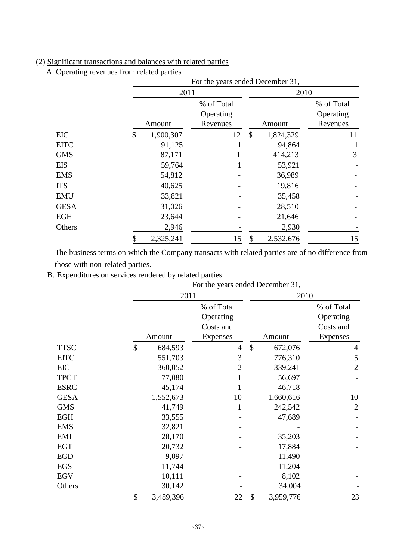## (2) Significant transactions and balances with related parties

A. Operating revenues from related parties

|             |                 |                                     | For the years ended December 31, |                                     |  |  |
|-------------|-----------------|-------------------------------------|----------------------------------|-------------------------------------|--|--|
|             | 2011            |                                     | 2010                             |                                     |  |  |
|             | Amount          | % of Total<br>Operating<br>Revenues | Amount                           | % of Total<br>Operating<br>Revenues |  |  |
| EIC         | \$<br>1,900,307 | 12                                  | \$<br>1,824,329                  | 11                                  |  |  |
| <b>EITC</b> | 91,125          |                                     | 94,864                           |                                     |  |  |
| <b>GMS</b>  | 87,171          |                                     | 414,213                          | 3                                   |  |  |
| <b>EIS</b>  | 59,764          |                                     | 53,921                           |                                     |  |  |
| <b>EMS</b>  | 54,812          |                                     | 36,989                           |                                     |  |  |
| <b>ITS</b>  | 40,625          |                                     | 19,816                           |                                     |  |  |
| <b>EMU</b>  | 33,821          |                                     | 35,458                           |                                     |  |  |
| <b>GESA</b> | 31,026          |                                     | 28,510                           |                                     |  |  |
| <b>EGH</b>  | 23,644          |                                     | 21,646                           |                                     |  |  |
| Others      | 2,946           |                                     | 2,930                            |                                     |  |  |
|             | 2,325,241<br>\$ | 15                                  | \$<br>2,532,676                  | 15                                  |  |  |

The business terms on which the Company transacts with related parties are of no difference from those with non-related parties.

B. Expenditures on services rendered by related parties

|             |                 | For the years ended December 31,     |                                      |                                      |  |  |  |
|-------------|-----------------|--------------------------------------|--------------------------------------|--------------------------------------|--|--|--|
|             | 2011            |                                      | 2010                                 |                                      |  |  |  |
|             |                 | % of Total<br>Operating<br>Costs and |                                      | % of Total<br>Operating<br>Costs and |  |  |  |
|             | Amount          | <b>Expenses</b>                      | Amount                               | <b>Expenses</b>                      |  |  |  |
| <b>TTSC</b> | \$<br>684,593   | $\overline{4}$                       | $\boldsymbol{\mathsf{S}}$<br>672,076 | 4                                    |  |  |  |
| <b>EITC</b> | 551,703         | 3                                    | 776,310                              | 5                                    |  |  |  |
| EIC         | 360,052         | 2                                    | 339,241                              | $\overline{2}$                       |  |  |  |
| <b>TPCT</b> | 77,080          | 1                                    | 56,697                               |                                      |  |  |  |
| <b>ESRC</b> | 45,174          |                                      | 46,718                               |                                      |  |  |  |
| <b>GESA</b> | 1,552,673       | 10                                   | 1,660,616                            | 10                                   |  |  |  |
| <b>GMS</b>  | 41,749          | 1                                    | 242,542                              | $\overline{2}$                       |  |  |  |
| <b>EGH</b>  | 33,555          |                                      | 47,689                               |                                      |  |  |  |
| <b>EMS</b>  | 32,821          |                                      |                                      |                                      |  |  |  |
| EMI         | 28,170          |                                      | 35,203                               |                                      |  |  |  |
| <b>EGT</b>  | 20,732          |                                      | 17,884                               |                                      |  |  |  |
| <b>EGD</b>  | 9,097           |                                      | 11,490                               |                                      |  |  |  |
| <b>EGS</b>  | 11,744          |                                      | 11,204                               |                                      |  |  |  |
| <b>EGV</b>  | 10,111          |                                      | 8,102                                |                                      |  |  |  |
| Others      | 30,142          |                                      | 34,004                               |                                      |  |  |  |
|             | \$<br>3,489,396 | 22                                   | \$<br>3,959,776                      | 23                                   |  |  |  |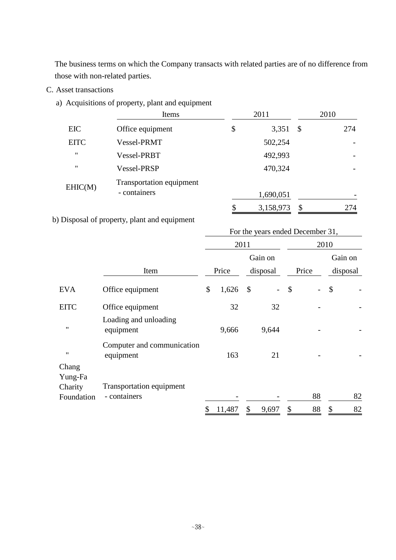The business terms on which the Company transacts with related parties are of no difference from those with non-related parties.

- C. Asset transactions
	- a) Acquisitions of property, plant and equipment

|                   | Items                    | 2011            |               | 2010 |
|-------------------|--------------------------|-----------------|---------------|------|
| EIC               | Office equipment         | \$<br>3,351     | $\mathcal{S}$ | 274  |
| <b>EITC</b>       | Vessel-PRMT              | 502,254         |               |      |
| $^{\prime\prime}$ | Vessel-PRBT              | 492,993         |               |      |
| "                 | Vessel-PRSP              | 470,324         |               | -    |
| EHIC(M)           | Transportation equipment |                 |               |      |
|                   | - containers             | 1,690,051       |               |      |
|                   |                          | \$<br>3,158,973 | \$            | 274  |

b) Disposal of property, plant and equipment

|                                           |                                          | For the years ended December 31, |        |               |          |                            |       |         |          |  |
|-------------------------------------------|------------------------------------------|----------------------------------|--------|---------------|----------|----------------------------|-------|---------|----------|--|
|                                           |                                          |                                  |        | 2011          |          |                            | 2010  |         |          |  |
|                                           |                                          |                                  |        |               | Gain on  |                            |       | Gain on |          |  |
|                                           | Item                                     |                                  | Price  |               | disposal |                            | Price |         | disposal |  |
| <b>EVA</b>                                | Office equipment                         | \$                               | 1,626  | $\mathcal{S}$ |          | $\boldsymbol{\mathcal{S}}$ |       | \$      |          |  |
| <b>EITC</b>                               | Office equipment                         |                                  | 32     |               | 32       |                            |       |         |          |  |
| $\pmb{\mathsf{H}}$                        | Loading and unloading<br>equipment       |                                  | 9,666  |               | 9,644    |                            |       |         |          |  |
| $\pmb{\mathsf{H}}$                        | Computer and communication<br>equipment  |                                  | 163    |               | 21       |                            |       |         |          |  |
| Chang<br>Yung-Fa<br>Charity<br>Foundation | Transportation equipment<br>- containers |                                  |        |               |          |                            | 88    |         | 82       |  |
|                                           |                                          | \$                               | 11,487 | \$            | 9,697    | \$                         | 88    | \$      | 82       |  |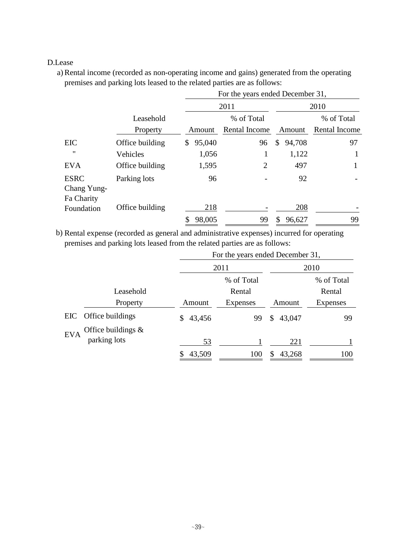### D.Lease

a) Rental income (recorded as non-operating income and gains) generated from the operating premises and parking lots leased to the related parties are as follows:

|                                          |                 | For the years ended December 31, |                |              |               |  |  |  |
|------------------------------------------|-----------------|----------------------------------|----------------|--------------|---------------|--|--|--|
|                                          |                 |                                  | 2011           | 2010         |               |  |  |  |
|                                          | Leasehold       |                                  | % of Total     |              | % of Total    |  |  |  |
|                                          | Property        | Amount                           | Rental Income  | Amount       | Rental Income |  |  |  |
| EIC                                      | Office building | 95,040<br>\$                     | 96             | \$<br>94,708 | 97            |  |  |  |
| $^{\prime\prime}$                        | Vehicles        | 1,056                            | 1              | 1,122        | 1             |  |  |  |
| <b>EVA</b>                               | Office building | 1,595                            | $\overline{2}$ | 497          |               |  |  |  |
| <b>ESRC</b><br>Chang Yung-<br>Fa Charity | Parking lots    | 96                               |                | 92           |               |  |  |  |
| Foundation                               | Office building | 218                              |                | 208          |               |  |  |  |
|                                          |                 | 98,005                           | 99             | 96,627       | 99            |  |  |  |

b) Rental expense (recorded as general and administrative expenses) incurred for operating premises and parking lots leased from the related parties are as follows:

|                                     | For the years ended December 31, |            |              |                 |  |  |
|-------------------------------------|----------------------------------|------------|--------------|-----------------|--|--|
|                                     |                                  | 2011       |              | 2010            |  |  |
|                                     |                                  | % of Total |              | % of Total      |  |  |
| Leasehold                           |                                  | Rental     |              | Rental          |  |  |
| Property                            | Amount                           | Expenses   | Amount       | <b>Expenses</b> |  |  |
| Office buildings<br>EIC             | 43,456<br>\$                     | 99         | 43,047<br>\$ | 99              |  |  |
| Office buildings $\&$<br><b>EVA</b> |                                  |            |              |                 |  |  |
| parking lots                        | 53                               |            | 221          |                 |  |  |
|                                     | 43,509                           | 100        | 43,268       | 100             |  |  |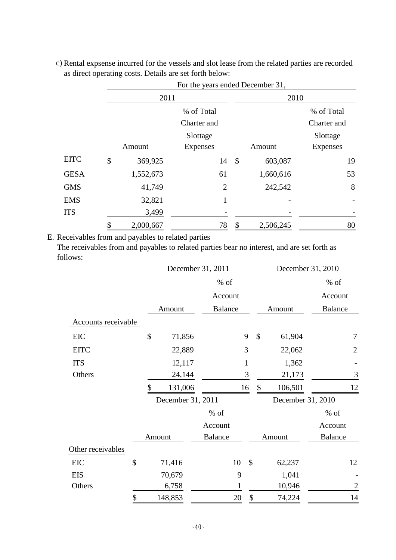|    | 2011       |                |                           | 2010      |                                  |  |  |
|----|------------|----------------|---------------------------|-----------|----------------------------------|--|--|
|    | % of Total |                |                           |           | % of Total                       |  |  |
|    |            |                |                           |           | Charter and                      |  |  |
|    |            | Slottage       |                           |           | Slottage                         |  |  |
|    | Amount     | Expenses       |                           | Amount    | <b>Expenses</b>                  |  |  |
| \$ | 369,925    | 14             | $\boldsymbol{\mathsf{S}}$ | 603,087   | 19                               |  |  |
|    | 1,552,673  | 61             |                           | 1,660,616 | 53                               |  |  |
|    | 41,749     | $\overline{2}$ |                           | 242,542   | 8                                |  |  |
|    | 32,821     | 1              |                           |           |                                  |  |  |
|    | 3,499      |                |                           |           |                                  |  |  |
| ¢  | 2,000,667  | 78             | \$                        | 2,506,245 | 80                               |  |  |
|    |            |                | Charter and               |           | For the years ended December 31, |  |  |

c) Rental expsense incurred for the vessels and slot lease from the related parties are recorded as direct operating costs. Details are set forth below:

E. Receivables from and payables to related parties

The receivables from and payables to related parties bear no interest, and are set forth as follows:

|                     |               | December 31, 2011 |                           | December 31, 2010                   |                   |  |  |
|---------------------|---------------|-------------------|---------------------------|-------------------------------------|-------------------|--|--|
|                     |               | $%$ of            |                           |                                     | % of              |  |  |
|                     |               | Account           |                           |                                     | Account           |  |  |
|                     | Amount        | <b>Balance</b>    |                           | Amount                              | <b>Balance</b>    |  |  |
| Accounts receivable |               |                   |                           |                                     |                   |  |  |
| EIC                 | \$<br>71,856  |                   | 9                         | $\boldsymbol{\mathsf{S}}$<br>61,904 | 7                 |  |  |
| <b>EITC</b>         | 22,889        |                   | 3                         | 22,062                              | $\overline{2}$    |  |  |
| <b>ITS</b>          | 12,117        |                   | $\mathbf 1$               | 1,362                               |                   |  |  |
| Others              | 24,144        |                   | 3                         | 21,173                              | 3                 |  |  |
|                     | \$<br>131,006 |                   | 16                        | \$<br>106,501                       | 12                |  |  |
|                     |               | December 31, 2011 |                           |                                     | December 31, 2010 |  |  |
|                     |               | % of              |                           |                                     | $%$ of            |  |  |
|                     |               | Account           |                           |                                     | Account           |  |  |
|                     | Amount        | <b>Balance</b>    |                           | Amount                              | <b>Balance</b>    |  |  |
| Other receivables   |               |                   |                           |                                     |                   |  |  |
| EIC                 | \$<br>71,416  | 10                | $\boldsymbol{\mathsf{S}}$ | 62,237                              | 12                |  |  |
| <b>EIS</b>          | 70,679        |                   | 9                         | 1,041                               |                   |  |  |
| Others              | 6,758         |                   |                           | 10,946                              | $\overline{2}$    |  |  |
|                     | \$<br>148,853 | 20                | $\boldsymbol{\$}$         | 74,224                              | 14                |  |  |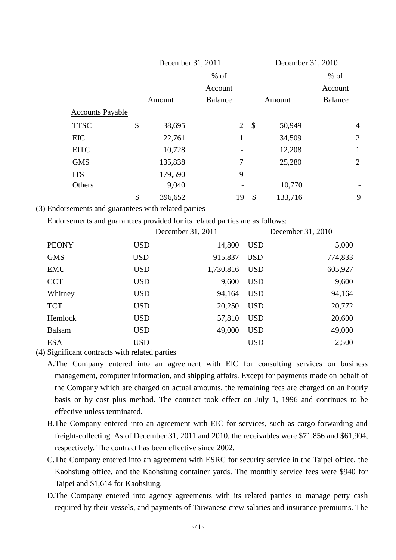|                         | December 31, 2011 |                |                | December 31, 2010 |                |  |
|-------------------------|-------------------|----------------|----------------|-------------------|----------------|--|
|                         | $%$ of            |                |                | $%$ of            |                |  |
|                         |                   | Account        |                |                   | Account        |  |
|                         | Amount            | <b>Balance</b> |                | Amount            | <b>Balance</b> |  |
| <b>Accounts Payable</b> |                   |                |                |                   |                |  |
| <b>TTSC</b>             | \$<br>38,695      |                | $\overline{2}$ | \$<br>50,949      | $\overline{4}$ |  |
| <b>EIC</b>              | 22,761            |                | 1              | 34,509            | $\overline{2}$ |  |
| <b>EITC</b>             | 10,728            |                |                | 12,208            | 1              |  |
| <b>GMS</b>              | 135,838           |                | 7              | 25,280            | $\overline{2}$ |  |
| <b>ITS</b>              | 179,590           |                | 9              |                   |                |  |
| Others                  | 9,040             |                |                | 10,770            |                |  |
|                         | 396,652           |                | 19             | \$<br>133,716     | 9              |  |

(3) Endorsements and guarantees with related parties

Endorsements and guarantees provided for its related parties are as follows:

|               |            | December 31, 2011 |            | December 31, 2010 |
|---------------|------------|-------------------|------------|-------------------|
| <b>PEONY</b>  | <b>USD</b> | 14,800            | <b>USD</b> | 5,000             |
| <b>GMS</b>    | <b>USD</b> | 915,837           | <b>USD</b> | 774,833           |
| <b>EMU</b>    | <b>USD</b> | 1,730,816         | <b>USD</b> | 605,927           |
| <b>CCT</b>    | <b>USD</b> | 9,600             | <b>USD</b> | 9,600             |
| Whitney       | <b>USD</b> | 94,164            | <b>USD</b> | 94,164            |
| <b>TCT</b>    | <b>USD</b> | 20,250            | <b>USD</b> | 20,772            |
| Hemlock       | <b>USD</b> | 57,810            | <b>USD</b> | 20,600            |
| <b>Balsam</b> | <b>USD</b> | 49,000            | <b>USD</b> | 49,000            |
| <b>ESA</b>    | <b>USD</b> |                   | <b>USD</b> | 2,500             |
|               |            |                   |            |                   |

(4) Significant contracts with related parties

A.The Company entered into an agreement with EIC for consulting services on business management, computer information, and shipping affairs. Except for payments made on behalf of the Company which are charged on actual amounts, the remaining fees are charged on an hourly basis or by cost plus method. The contract took effect on July 1, 1996 and continues to be effective unless terminated.

- B.The Company entered into an agreement with EIC for services, such as cargo-forwarding and freight-collecting. As of December 31, 2011 and 2010, the receivables were \$71,856 and \$61,904, respectively. The contract has been effective since 2002.
- C.The Company entered into an agreement with ESRC for security service in the Taipei office, the Kaohsiung office, and the Kaohsiung container yards. The monthly service fees were \$940 for Taipei and \$1,614 for Kaohsiung.
- D.The Company entered into agency agreements with its related parties to manage petty cash required by their vessels, and payments of Taiwanese crew salaries and insurance premiums. The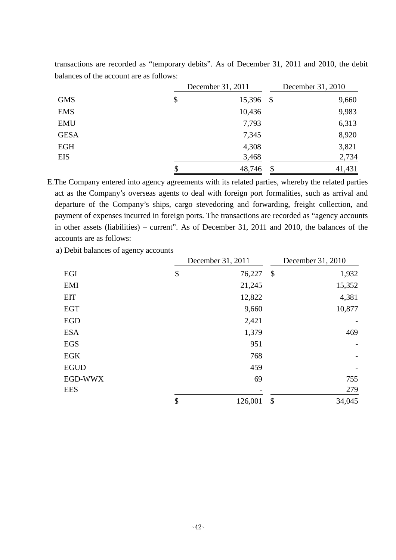|             | December 31, 2011 | December 31, 2010         |        |  |
|-------------|-------------------|---------------------------|--------|--|
| <b>GMS</b>  | \$<br>15,396      | $\boldsymbol{\mathsf{S}}$ | 9,660  |  |
| <b>EMS</b>  | 10,436            |                           | 9,983  |  |
| <b>EMU</b>  | 7,793             |                           | 6,313  |  |
| <b>GESA</b> | 7,345             |                           | 8,920  |  |
| <b>EGH</b>  | 4,308             |                           | 3,821  |  |
| <b>EIS</b>  | 3,468             |                           | 2,734  |  |
|             | \$<br>48,746      | $\boldsymbol{\mathsf{S}}$ | 41,431 |  |

transactions are recorded as "temporary debits". As of December 31, 2011 and 2010, the debit balances of the account are as follows:

E.The Company entered into agency agreements with its related parties, whereby the related parties act as the Company's overseas agents to deal with foreign port formalities, such as arrival and departure of the Company's ships, cargo stevedoring and forwarding, freight collection, and payment of expenses incurred in foreign ports. The transactions are recorded as "agency accounts in other assets (liabilities) – current". As of December 31, 2011 and 2010, the balances of the accounts are as follows:

a) Debit balances of agency accounts

|             | December 31, 2011 |         | December 31, 2010 |        |  |
|-------------|-------------------|---------|-------------------|--------|--|
| EGI         | \$                | 76,227  | \$                | 1,932  |  |
| <b>EMI</b>  |                   | 21,245  |                   | 15,352 |  |
| <b>EIT</b>  |                   | 12,822  |                   | 4,381  |  |
| <b>EGT</b>  |                   | 9,660   |                   | 10,877 |  |
| <b>EGD</b>  |                   | 2,421   |                   |        |  |
| <b>ESA</b>  |                   | 1,379   |                   | 469    |  |
| <b>EGS</b>  |                   | 951     |                   |        |  |
| <b>EGK</b>  |                   | 768     |                   |        |  |
| <b>EGUD</b> |                   | 459     |                   |        |  |
| EGD-WWX     |                   | 69      |                   | 755    |  |
| <b>EES</b>  |                   |         |                   | 279    |  |
|             | \$                | 126,001 | \$                | 34,045 |  |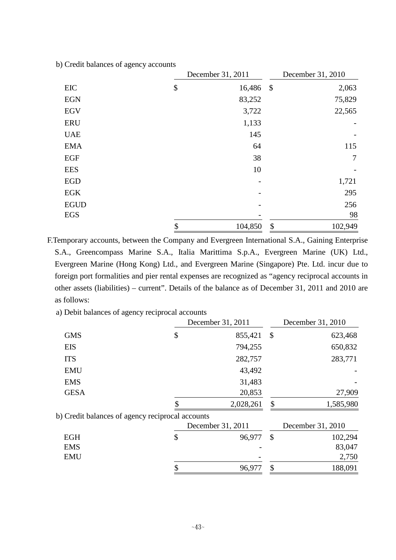|             | December 31, 2011         |         |            | December 31, 2010 |
|-------------|---------------------------|---------|------------|-------------------|
| EIC         | $\$\,$                    | 16,486  | $\sqrt{3}$ | 2,063             |
| <b>EGN</b>  |                           | 83,252  |            | 75,829            |
| <b>EGV</b>  |                           | 3,722   |            | 22,565            |
| <b>ERU</b>  |                           | 1,133   |            |                   |
| <b>UAE</b>  |                           | 145     |            |                   |
| <b>EMA</b>  |                           | 64      |            | 115               |
| EGF         |                           | 38      |            | 7                 |
| <b>EES</b>  |                           | 10      |            |                   |
| <b>EGD</b>  |                           |         |            | 1,721             |
| EGK         |                           |         |            | 295               |
| <b>EGUD</b> |                           |         |            | 256               |
| <b>EGS</b>  |                           |         |            | 98                |
|             | $\boldsymbol{\mathsf{S}}$ | 104,850 | \$         | 102,949           |

b) Credit balances of agency accounts

F.Temporary accounts, between the Company and Evergreen International S.A., Gaining Enterprise S.A., Greencompass Marine S.A., Italia Marittima S.p.A., Evergreen Marine (UK) Ltd., Evergreen Marine (Hong Kong) Ltd., and Evergreen Marine (Singapore) Pte. Ltd. incur due to foreign port formalities and pier rental expenses are recognized as "agency reciprocal accounts in other assets (liabilities) – current". Details of the balance as of December 31, 2011 and 2010 are as follows:

a) Debit balances of agency reciprocal accounts

|                                                  | December 31, 2011 | December 31, 2010 |                   |  |
|--------------------------------------------------|-------------------|-------------------|-------------------|--|
| <b>GMS</b>                                       | \$<br>855,421     | $\mathcal{S}$     | 623,468           |  |
| <b>EIS</b>                                       | 794,255           |                   | 650,832           |  |
| <b>ITS</b>                                       | 282,757           |                   | 283,771           |  |
| <b>EMU</b>                                       | 43,492            |                   |                   |  |
| <b>EMS</b>                                       | 31,483            |                   |                   |  |
| <b>GESA</b>                                      | 20,853            |                   | 27,909            |  |
|                                                  | 2,028,261         | \$                | 1,585,980         |  |
| b) Credit balances of agency reciprocal accounts |                   |                   |                   |  |
|                                                  | December 31, 2011 |                   | December 31, 2010 |  |
| <b>EGH</b>                                       | \$<br>96,977      | $\mathbb{S}$      | 102,294           |  |
| <b>EMS</b>                                       |                   |                   | 83,047            |  |
| <b>EMU</b>                                       |                   |                   | 2,750             |  |
|                                                  | 96,977            | \$                | 188,091           |  |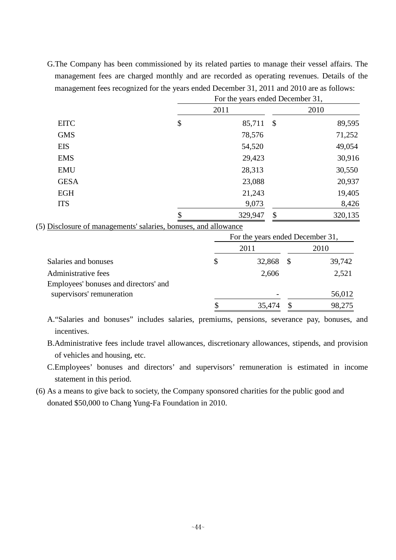G.The Company has been commissioned by its related parties to manage their vessel affairs. The management fees are charged monthly and are recorded as operating revenues. Details of the management fees recognized for the years ended December 31, 2011 and 2010 are as follows:

|             | For the years ended December 31, |                           |         |  |  |  |
|-------------|----------------------------------|---------------------------|---------|--|--|--|
|             | 2011                             |                           | 2010    |  |  |  |
| <b>EITC</b> | \$<br>85,711                     | $\boldsymbol{\mathsf{S}}$ | 89,595  |  |  |  |
| <b>GMS</b>  | 78,576                           |                           | 71,252  |  |  |  |
| <b>EIS</b>  | 54,520                           |                           | 49,054  |  |  |  |
| <b>EMS</b>  | 29,423                           |                           | 30,916  |  |  |  |
| <b>EMU</b>  | 28,313                           |                           | 30,550  |  |  |  |
| <b>GESA</b> | 23,088                           |                           | 20,937  |  |  |  |
| <b>EGH</b>  | 21,243                           |                           | 19,405  |  |  |  |
| <b>ITS</b>  | 9,073                            |                           | 8,426   |  |  |  |
|             | \$<br>329,947                    | \$                        | 320,135 |  |  |  |

(5) Disclosure of managements' salaries, bonuses, and allowance

|                                       | For the years ended December 31, |      |        |
|---------------------------------------|----------------------------------|------|--------|
|                                       | 2011                             |      | 2010   |
| Salaries and bonuses                  | \$<br>32,868                     | - \$ | 39,742 |
| Administrative fees                   | 2,606                            |      | 2,521  |
| Employees' bonuses and directors' and |                                  |      |        |
| supervisors' remuneration             |                                  |      | 56,012 |
|                                       | 35,474                           |      | 98,275 |

A."Salaries and bonuses" includes salaries, premiums, pensions, severance pay, bonuses, and incentives.

B.Administrative fees include travel allowances, discretionary allowances, stipends, and provision of vehicles and housing, etc.

C.Employees' bonuses and directors' and supervisors' remuneration is estimated in income statement in this period.

(6) As a means to give back to society, the Company sponsored charities for the public good and donated \$50,000 to Chang Yung-Fa Foundation in 2010.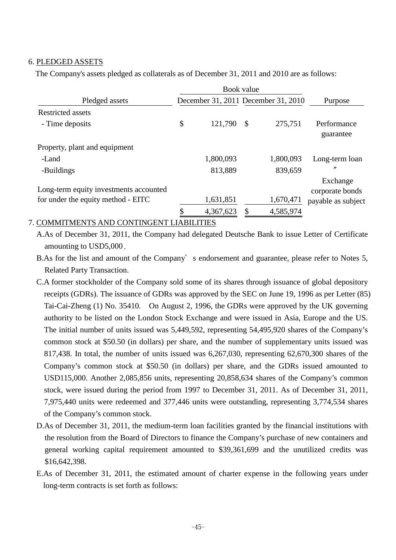#### 6. PLEDGED ASSETS

The Company's assets pledged as collaterals as of December 31, 2011 and 2010 are as follows:

|                                        |    | Book value                          |                           |           |                             |
|----------------------------------------|----|-------------------------------------|---------------------------|-----------|-----------------------------|
| Pledged assets                         |    | December 31, 2011 December 31, 2010 | Purpose                   |           |                             |
| <b>Restricted assets</b>               |    |                                     |                           |           |                             |
| - Time deposits                        | \$ | 121,790                             | $\boldsymbol{\mathsf{S}}$ | 275,751   | Performance<br>guarantee    |
| Property, plant and equipment          |    |                                     |                           |           |                             |
| -Land                                  |    | 1,800,093                           |                           | 1,800,093 | Long-term loan              |
| -Buildings                             |    | 813,889                             |                           | 839,659   | n                           |
| Long-term equity investments accounted |    |                                     |                           |           | Exchange<br>corporate bonds |
| for under the equity method - EITC     |    | 1,631,851                           |                           | 1,670,471 | payable as subject          |
|                                        | ¢  | 4,367,623                           |                           | 4,585,974 |                             |

#### 7. COMMITMENTS AND CONTINGENT LIABILITIES

A.As of December 31, 2011, the Company had delegated Deutsche Bank to issue Letter of Certificate amounting to USD5,000.

B.As for the list and amount of the Company's endorsement and guarantee, please refer to Notes 5, Related Party Transaction.

- C.A former stockholder of the Company sold some of its shares through issuance of global depository receipts (GDRs). The issuance of GDRs was approved by the SEC on June 19, 1996 as per Letter (85) Tai-Cai-Zheng (1) No. 35410. On August 2, 1996, the GDRs were approved by the UK governing authority to be listed on the London Stock Exchange and were issued in Asia, Europe and the US. The initial number of units issued was 5,449,592, representing 54,495,920 shares of the Company's common stock at \$50.50 (in dollars) per share, and the number of supplementary units issued was 817,438. In total, the number of units issued was 6,267,030, representing 62,670,300 shares of the Company's common stock at \$50.50 (in dollars) per share, and the GDRs issued amounted to USD115,000. Another 2,085,856 units, representing 20,858,634 shares of the Company's common stock, were issued during the period from 1997 to December 31, 2011. As of December 31, 2011, 7,975,440 units were redeemed and 377,446 units were outstanding, representing 3,774,534 shares of the Company's common stock.
- D.As of December 31, 2011, the medium-term loan facilities granted by the financial institutions with the resolution from the Board of Directors to finance the Company's purchase of new containers and general working capital requirement amounted to \$39,361,699 and the unutilized credits was \$16,642,398.
- E.As of December 31, 2011, the estimated amount of charter expense in the following years under long-term contracts is set forth as follows: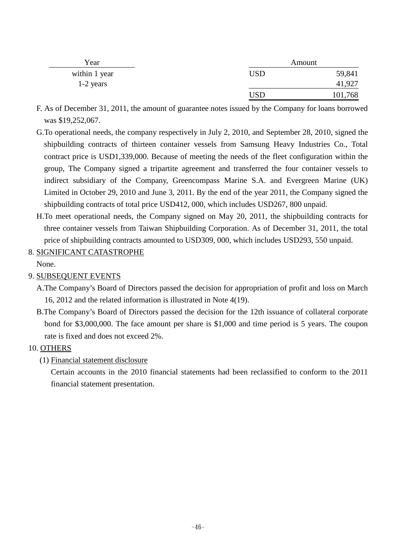| Year          |     | Amount  |
|---------------|-----|---------|
| within 1 year | USD | 59,841  |
| $1-2$ years   |     | 41,927  |
|               | USD | 101,768 |

- F. As of December 31, 2011, the amount of guarantee notes issued by the Company for loans borrowed was \$19,252,067.
- G.To operational needs, the company respectively in July 2, 2010, and September 28, 2010, signed the shipbuilding contracts of thirteen container vessels from Samsung Heavy Industries Co., Total contract price is USD1,339,000. Because of meeting the needs of the fleet configuration within the group, The Company signed a tripartite agreement and transferred the four container vessels to indirect subsidiary of the Company, Greencompass Marine S.A. and Evergreen Marine (UK) Limited in October 29, 2010 and June 3, 2011. By the end of the year 2011, the Company signed the shipbuilding contracts of total price USD412, 000, which includes USD267, 800 unpaid.
- H.To meet operational needs, the Company signed on May 20, 2011, the shipbuilding contracts for three container vessels from Taiwan Shipbuilding Corporation. As of December 31, 2011, the total price of shipbuilding contracts amounted to USD309, 000, which includes USD293, 550 unpaid.

# 8. SIGNIFICANT CATASTROPHE

None.

## 9. SUBSEQUENT EVENTS

A.The Company's Board of Directors passed the decision for appropriation of profit and loss on March 16, 2012 and the related information is illustrated in Note 4(19).

B.The Company's Board of Directors passed the decision for the 12th issuance of collateral corporate bond for \$3,000,000. The face amount per share is \$1,000 and time period is 5 years. The coupon rate is fixed and does not exceed 2%.

## 10. OTHERS

(1) Financial statement disclosure

Certain accounts in the 2010 financial statements had been reclassified to conform to the 2011 financial statement presentation.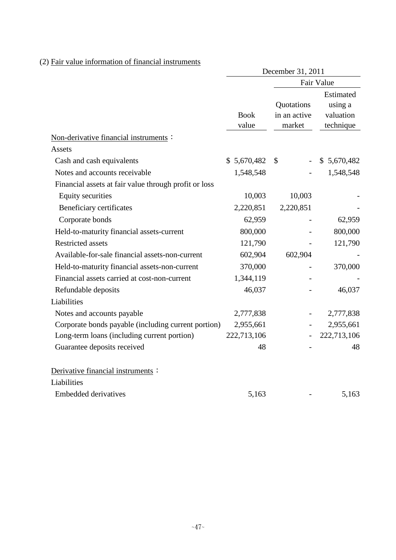## (2) Fair value information of financial instruments

|                                                       | December 31, 2011    |                                      |                                                |  |  |
|-------------------------------------------------------|----------------------|--------------------------------------|------------------------------------------------|--|--|
|                                                       |                      |                                      | Fair Value                                     |  |  |
|                                                       | <b>Book</b><br>value | Quotations<br>in an active<br>market | Estimated<br>using a<br>valuation<br>technique |  |  |
| Non-derivative financial instruments :                |                      |                                      |                                                |  |  |
| Assets                                                |                      |                                      |                                                |  |  |
| Cash and cash equivalents                             | \$5,670,482          | $\mathbb{S}$                         | \$5,670,482                                    |  |  |
| Notes and accounts receivable                         | 1,548,548            |                                      | 1,548,548                                      |  |  |
| Financial assets at fair value through profit or loss |                      |                                      |                                                |  |  |
| <b>Equity securities</b>                              | 10,003               | 10,003                               |                                                |  |  |
| Beneficiary certificates                              | 2,220,851            | 2,220,851                            |                                                |  |  |
| Corporate bonds                                       | 62,959               |                                      | 62,959                                         |  |  |
| Held-to-maturity financial assets-current             | 800,000              |                                      | 800,000                                        |  |  |
| <b>Restricted assets</b>                              | 121,790              |                                      | 121,790                                        |  |  |
| Available-for-sale financial assets-non-current       | 602,904              | 602,904                              |                                                |  |  |
| Held-to-maturity financial assets-non-current         | 370,000              |                                      | 370,000                                        |  |  |
| Financial assets carried at cost-non-current          | 1,344,119            |                                      |                                                |  |  |
| Refundable deposits                                   | 46,037               |                                      | 46,037                                         |  |  |
| Liabilities                                           |                      |                                      |                                                |  |  |
| Notes and accounts payable                            | 2,777,838            |                                      | 2,777,838                                      |  |  |
| Corporate bonds payable (including current portion)   | 2,955,661            |                                      | 2,955,661                                      |  |  |
| Long-term loans (including current portion)           | 222,713,106          |                                      | 222,713,106                                    |  |  |
| Guarantee deposits received                           | 48                   |                                      | 48                                             |  |  |
| Derivative financial instruments :                    |                      |                                      |                                                |  |  |
| Liabilities                                           |                      |                                      |                                                |  |  |
| <b>Embedded derivatives</b>                           | 5,163                |                                      | 5,163                                          |  |  |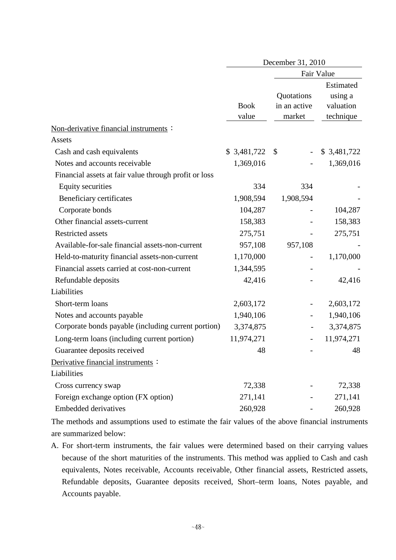| December 31, 2010    |                                      |                                                |  |  |
|----------------------|--------------------------------------|------------------------------------------------|--|--|
|                      |                                      | Fair Value                                     |  |  |
| <b>Book</b><br>value | Quotations<br>in an active<br>market | Estimated<br>using a<br>valuation<br>technique |  |  |
|                      |                                      |                                                |  |  |
|                      |                                      |                                                |  |  |
|                      |                                      | \$ 3,481,722                                   |  |  |
|                      |                                      | 1,369,016                                      |  |  |
|                      |                                      |                                                |  |  |
| 334                  | 334                                  |                                                |  |  |
| 1,908,594            | 1,908,594                            |                                                |  |  |
| 104,287              |                                      | 104,287                                        |  |  |
| 158,383              |                                      | 158,383                                        |  |  |
| 275,751              |                                      | 275,751                                        |  |  |
| 957,108              | 957,108                              |                                                |  |  |
| 1,170,000            |                                      | 1,170,000                                      |  |  |
| 1,344,595            |                                      |                                                |  |  |
| 42,416               |                                      | 42,416                                         |  |  |
|                      |                                      |                                                |  |  |
| 2,603,172            |                                      | 2,603,172                                      |  |  |
| 1,940,106            |                                      | 1,940,106                                      |  |  |
| 3,374,875            |                                      | 3,374,875                                      |  |  |
| 11,974,271           |                                      | 11,974,271                                     |  |  |
| 48                   |                                      | 48                                             |  |  |
|                      |                                      |                                                |  |  |
|                      |                                      |                                                |  |  |
| 72,338               |                                      | 72,338                                         |  |  |
| 271,141              |                                      | 271,141                                        |  |  |
| 260,928              |                                      | 260,928                                        |  |  |
|                      | \$3,481,722<br>1,369,016             | $\mathbb{S}$                                   |  |  |

The methods and assumptions used to estimate the fair values of the above financial instruments are summarized below:

A. For short-term instruments, the fair values were determined based on their carrying values because of the short maturities of the instruments. This method was applied to Cash and cash equivalents, Notes receivable, Accounts receivable, Other financial assets, Restricted assets, Refundable deposits, Guarantee deposits received, Short–term loans, Notes payable, and Accounts payable.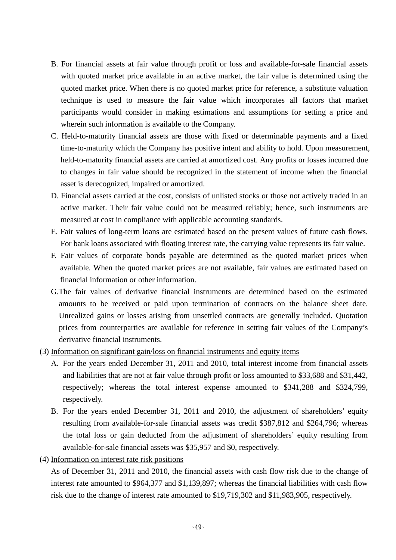- B. For financial assets at fair value through profit or loss and available-for-sale financial assets with quoted market price available in an active market, the fair value is determined using the quoted market price. When there is no quoted market price for reference, a substitute valuation technique is used to measure the fair value which incorporates all factors that market participants would consider in making estimations and assumptions for setting a price and wherein such information is available to the Company.
- C. Held-to-maturity financial assets are those with fixed or determinable payments and a fixed time-to-maturity which the Company has positive intent and ability to hold. Upon measurement, held-to-maturity financial assets are carried at amortized cost. Any profits or losses incurred due to changes in fair value should be recognized in the statement of income when the financial asset is derecognized, impaired or amortized.
- D. Financial assets carried at the cost, consists of unlisted stocks or those not actively traded in an active market. Their fair value could not be measured reliably; hence, such instruments are measured at cost in compliance with applicable accounting standards.
- E. Fair values of long-term loans are estimated based on the present values of future cash flows. For bank loans associated with floating interest rate, the carrying value represents its fair value.
- F. Fair values of corporate bonds payable are determined as the quoted market prices when available. When the quoted market prices are not available, fair values are estimated based on financial information or other information.
- G.The fair values of derivative financial instruments are determined based on the estimated amounts to be received or paid upon termination of contracts on the balance sheet date. Unrealized gains or losses arising from unsettled contracts are generally included. Quotation prices from counterparties are available for reference in setting fair values of the Company's derivative financial instruments.
- (3) Information on significant gain/loss on financial instruments and equity items
	- A. For the years ended December 31, 2011 and 2010, total interest income from financial assets and liabilities that are not at fair value through profit or loss amounted to \$33,688 and \$31,442, respectively; whereas the total interest expense amounted to \$341,288 and \$324,799, respectively.
	- B. For the years ended December 31, 2011 and 2010, the adjustment of shareholders' equity resulting from available-for-sale financial assets was credit \$387,812 and \$264,796; whereas the total loss or gain deducted from the adjustment of shareholders' equity resulting from available-for-sale financial assets was \$35,957 and \$0, respectively.
- (4) Information on interest rate risk positions

As of December 31, 2011 and 2010, the financial assets with cash flow risk due to the change of interest rate amounted to \$964,377 and \$1,139,897; whereas the financial liabilities with cash flow risk due to the change of interest rate amounted to \$19,719,302 and \$11,983,905, respectively.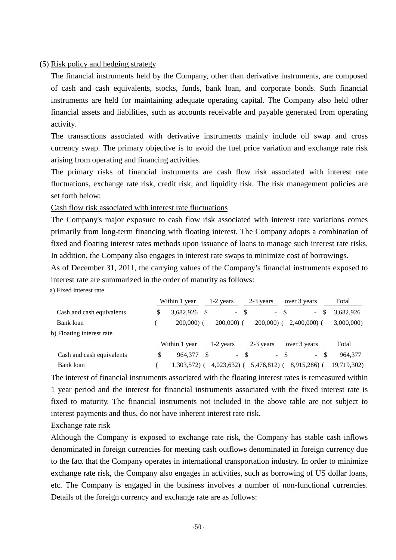#### (5) Risk policy and hedging strategy

The financial instruments held by the Company, other than derivative instruments, are composed of cash and cash equivalents, stocks, funds, bank loan, and corporate bonds. Such financial instruments are held for maintaining adequate operating capital. The Company also held other financial assets and liabilities, such as accounts receivable and payable generated from operating activity.

The transactions associated with derivative instruments mainly include oil swap and cross currency swap. The primary objective is to avoid the fuel price variation and exchange rate risk arising from operating and financing activities.

The primary risks of financial instruments are cash flow risk associated with interest rate fluctuations, exchange rate risk, credit risk, and liquidity risk. The risk management policies are set forth below:

#### Cash flow risk associated with interest rate fluctuations

The Company's major exposure to cash flow risk associated with interest rate variations comes primarily from long-term financing with floating interest. The Company adopts a combination of fixed and floating interest rates methods upon issuance of loans to manage such interest rate risks. In addition, the Company also engages in interest rate swaps to minimize cost of borrowings.

As of December 31, 2011, the carrying values of the Company's financial instruments exposed to interest rate are summarized in the order of maturity as follows:

a) Fixed interest rate

|                           | Within 1 year  | $1-2$ years    | 2-3 years     | over 3 years     | Total       |
|---------------------------|----------------|----------------|---------------|------------------|-------------|
| Cash and cash equivalents | 3,682,926<br>S | $\sim$         | - \$          | - \$<br>$\sim$   | 3.682.926   |
| Bank loan                 | $200,000$ $($  | $200,000$ (    | $200,000$ (   | $2,400,000$ (    | 3,000,000)  |
| b) Floating interest rate |                |                |               |                  |             |
|                           | Within 1 year  | 1-2 years      | 2-3 years     | over 3 years     | Total       |
| Cash and cash equivalents | 964.377<br>S   |                | $-$ \$        | $-$ \$<br>$\sim$ | 964.377     |
| Bank loan                 | 1.303.572) (   | $4,023,632)$ ( | $5,476,812$ ( | 8,915,286) (     | 19,719,302) |

The interest of financial instruments associated with the floating interest rates is remeasured within 1 year period and the interest for financial instruments associated with the fixed interest rate is fixed to maturity. The financial instruments not included in the above table are not subject to interest payments and thus, do not have inherent interest rate risk.

#### Exchange rate risk

Although the Company is exposed to exchange rate risk, the Company has stable cash inflows denominated in foreign currencies for meeting cash outflows denominated in foreign currency due to the fact that the Company operates in international transportation industry. In order to minimize exchange rate risk, the Company also engages in activities, such as borrowing of US dollar loans, etc. The Company is engaged in the business involves a number of non-functional currencies. Details of the foreign currency and exchange rate are as follows: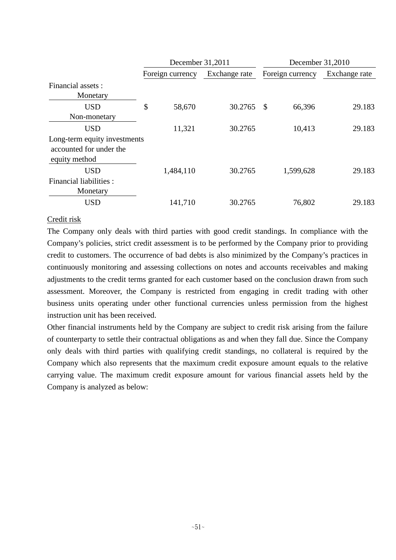|                                                                          | December 31,2011 |           |               | December 31,2010 |                  |               |  |
|--------------------------------------------------------------------------|------------------|-----------|---------------|------------------|------------------|---------------|--|
|                                                                          | Foreign currency |           | Exchange rate |                  | Foreign currency | Exchange rate |  |
| Financial assets :                                                       |                  |           |               |                  |                  |               |  |
| Monetary                                                                 |                  |           |               |                  |                  |               |  |
| <b>USD</b><br>Non-monetary                                               | \$               | 58,670    | 30.2765       | \$               | 66,396           | 29.183        |  |
| <b>USD</b>                                                               |                  | 11,321    | 30.2765       |                  | 10,413           | 29.183        |  |
| Long-term equity investments<br>accounted for under the<br>equity method |                  |           |               |                  |                  |               |  |
| <b>USD</b>                                                               |                  | 1,484,110 | 30.2765       |                  | 1,599,628        | 29.183        |  |
| Financial liabilities :<br>Monetary                                      |                  |           |               |                  |                  |               |  |
| <b>USD</b>                                                               |                  | 141,710   | 30.2765       |                  | 76,802           | 29.183        |  |

#### Credit risk

The Company only deals with third parties with good credit standings. In compliance with the Company's policies, strict credit assessment is to be performed by the Company prior to providing credit to customers. The occurrence of bad debts is also minimized by the Company's practices in continuously monitoring and assessing collections on notes and accounts receivables and making adjustments to the credit terms granted for each customer based on the conclusion drawn from such assessment. Moreover, the Company is restricted from engaging in credit trading with other business units operating under other functional currencies unless permission from the highest instruction unit has been received.

Other financial instruments held by the Company are subject to credit risk arising from the failure of counterparty to settle their contractual obligations as and when they fall due. Since the Company only deals with third parties with qualifying credit standings, no collateral is required by the Company which also represents that the maximum credit exposure amount equals to the relative carrying value. The maximum credit exposure amount for various financial assets held by the Company is analyzed as below: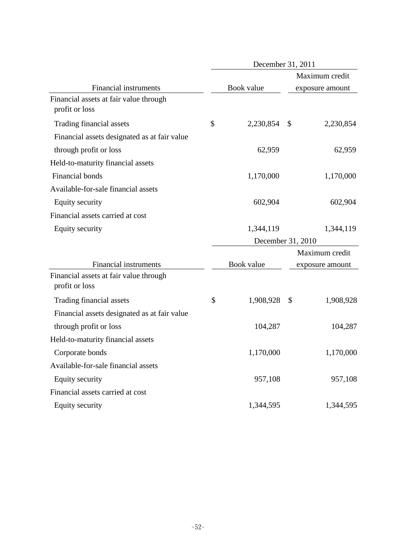|                                                          | December 31, 2011 |            |                |                 |  |  |
|----------------------------------------------------------|-------------------|------------|----------------|-----------------|--|--|
|                                                          |                   |            | Maximum credit |                 |  |  |
| <b>Financial instruments</b>                             |                   | Book value |                | exposure amount |  |  |
| Financial assets at fair value through<br>profit or loss |                   |            |                |                 |  |  |
| Trading financial assets                                 | \$                | 2,230,854  | $\mathbb{S}$   | 2,230,854       |  |  |
| Financial assets designated as at fair value             |                   |            |                |                 |  |  |
| through profit or loss                                   |                   | 62,959     |                | 62,959          |  |  |
| Held-to-maturity financial assets                        |                   |            |                |                 |  |  |
| Financial bonds                                          |                   | 1,170,000  |                | 1,170,000       |  |  |
| Available-for-sale financial assets                      |                   |            |                |                 |  |  |
| Equity security                                          |                   | 602,904    |                | 602,904         |  |  |
| Financial assets carried at cost                         |                   |            |                |                 |  |  |
| Equity security                                          |                   | 1,344,119  |                | 1,344,119       |  |  |
|                                                          | December 31, 2010 |            |                |                 |  |  |
|                                                          |                   |            |                | Maximum credit  |  |  |
| <b>Financial instruments</b>                             |                   | Book value |                | exposure amount |  |  |
| Financial assets at fair value through<br>profit or loss |                   |            |                |                 |  |  |
| Trading financial assets                                 | \$                | 1,908,928  | \$             | 1,908,928       |  |  |
| Financial assets designated as at fair value             |                   |            |                |                 |  |  |
| through profit or loss                                   |                   | 104,287    |                | 104,287         |  |  |
| Held-to-maturity financial assets                        |                   |            |                |                 |  |  |
| Corporate bonds                                          |                   | 1,170,000  |                | 1,170,000       |  |  |
| Available-for-sale financial assets                      |                   |            |                |                 |  |  |
| <b>Equity security</b>                                   |                   | 957,108    |                | 957,108         |  |  |
| Financial assets carried at cost                         |                   |            |                |                 |  |  |
| <b>Equity security</b>                                   |                   | 1,344,595  |                | 1,344,595       |  |  |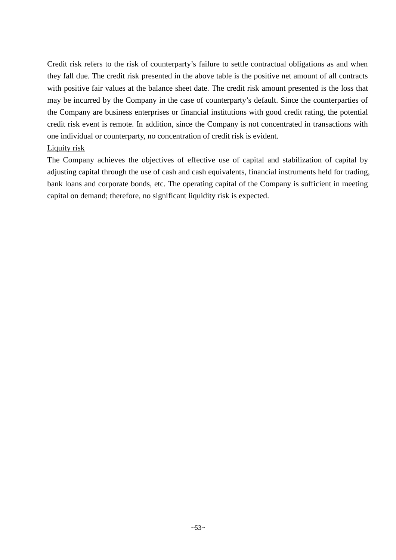Credit risk refers to the risk of counterparty's failure to settle contractual obligations as and when they fall due. The credit risk presented in the above table is the positive net amount of all contracts with positive fair values at the balance sheet date. The credit risk amount presented is the loss that may be incurred by the Company in the case of counterparty's default. Since the counterparties of the Company are business enterprises or financial institutions with good credit rating, the potential credit risk event is remote. In addition, since the Company is not concentrated in transactions with one individual or counterparty, no concentration of credit risk is evident.

## Liquity risk

The Company achieves the objectives of effective use of capital and stabilization of capital by adjusting capital through the use of cash and cash equivalents, financial instruments held for trading, bank loans and corporate bonds, etc. The operating capital of the Company is sufficient in meeting capital on demand; therefore, no significant liquidity risk is expected.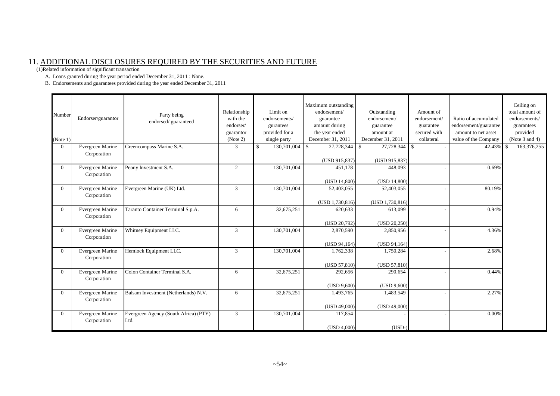## 11. ADDITIONAL DISCLOSURES REQUIRED BY THE SECURITIES AND FUTURE

(1)Related information of significant transaction

A. Loans granted during the year period ended December 31, 2011 : None.

B. Endorsements and guarantees provided during the year ended December 31, 2011

| Number<br>(Note 1) | Endorser/guarantor | Party being<br>endorsed/guaranteed    | Relationship<br>with the<br>endorser/<br>guarantor<br>(Note 2) | Limit on<br>endorsements/<br>gurantees<br>provided for a<br>single party | Maximum outstanding<br>endorsement/<br>guarantee<br>amount during<br>the year ended<br>December 31, 2011 | Outstanding<br>endorsement/<br>guarantee<br>amount at<br>December 31, 2011 | Amount of<br>endorsement/<br>guarantee<br>secured with<br>collateral | Ratio of accumulated<br>endorsement/guarantee<br>amount to net asset<br>value of the Company | Ceiling on<br>total amount of<br>endorsements/<br>guarantees<br>provided<br>(Note $3$ and $4$ ) |
|--------------------|--------------------|---------------------------------------|----------------------------------------------------------------|--------------------------------------------------------------------------|----------------------------------------------------------------------------------------------------------|----------------------------------------------------------------------------|----------------------------------------------------------------------|----------------------------------------------------------------------------------------------|-------------------------------------------------------------------------------------------------|
| $\Omega$           | Evergreen Marine   | Greencompass Marine S.A.              | 3                                                              | <sup>\$</sup><br>130,701,004                                             | 27,728,344<br>l \$                                                                                       | 27,728,344 \$<br>- \$                                                      |                                                                      | 42.43% \$                                                                                    | 163,376,255                                                                                     |
|                    | Corporation        |                                       |                                                                |                                                                          | (USD 915,837)                                                                                            | (USD 915,837)                                                              |                                                                      |                                                                                              |                                                                                                 |
| $\Omega$           | Evergreen Marine   | Peony Investment S.A.                 | 2                                                              | 130,701,004                                                              | 451.178                                                                                                  | 448,093                                                                    |                                                                      | 0.69%                                                                                        |                                                                                                 |
|                    | Corporation        |                                       |                                                                |                                                                          | (USD 14,800)                                                                                             | (USD 14,800)                                                               |                                                                      |                                                                                              |                                                                                                 |
| $\Omega$           | Evergreen Marine   | Evergreen Marine (UK) Ltd.            | 3                                                              | 130,701,004                                                              | 52,403,055                                                                                               | 52,403,055                                                                 |                                                                      | 80.19%                                                                                       |                                                                                                 |
|                    | Corporation        |                                       |                                                                |                                                                          |                                                                                                          | (USD 1,730,816)                                                            |                                                                      |                                                                                              |                                                                                                 |
| $\theta$           | Evergreen Marine   | Taranto Container Terminal S.p.A.     | 6                                                              | 32,675,251                                                               | $(USD\ 1,730,816)$<br>620.633                                                                            | 613,099                                                                    |                                                                      | 0.94%                                                                                        |                                                                                                 |
|                    | Corporation        |                                       |                                                                |                                                                          |                                                                                                          |                                                                            |                                                                      |                                                                                              |                                                                                                 |
| $\Omega$           | Evergreen Marine   | Whitney Equipment LLC.                | 3                                                              | 130,701,004                                                              | (USD 20,792)<br>2,870,590                                                                                | (USD 20,250)<br>2,850,956                                                  |                                                                      | 4.36%                                                                                        |                                                                                                 |
|                    | Corporation        |                                       |                                                                |                                                                          |                                                                                                          |                                                                            |                                                                      |                                                                                              |                                                                                                 |
|                    |                    |                                       |                                                                |                                                                          | (USD 94,164)                                                                                             | (USD 94,164)                                                               |                                                                      |                                                                                              |                                                                                                 |
| $\Omega$           | Evergreen Marine   | Hemlock Equipment LLC.                | 3                                                              | 130,701,004                                                              | 1,762,338                                                                                                | 1,750,284                                                                  |                                                                      | 2.68%                                                                                        |                                                                                                 |
|                    | Corporation        |                                       |                                                                |                                                                          | (USD 57,810)                                                                                             | (USD 57,810)                                                               |                                                                      |                                                                                              |                                                                                                 |
| $\Omega$           | Evergreen Marine   | Colon Container Terminal S.A.         | 6                                                              | 32,675,251                                                               | 292,656                                                                                                  | 290,654                                                                    |                                                                      | 0.44%                                                                                        |                                                                                                 |
|                    | Corporation        |                                       |                                                                |                                                                          |                                                                                                          |                                                                            |                                                                      |                                                                                              |                                                                                                 |
| $\Omega$           | Evergreen Marine   | Balsam Investment (Netherlands) N.V.  | 6                                                              | 32,675,251                                                               | (USD 9,600)<br>1,493,765                                                                                 | (USD 9,600)<br>1,483,549                                                   |                                                                      | 2.27%                                                                                        |                                                                                                 |
|                    | Corporation        |                                       |                                                                |                                                                          |                                                                                                          |                                                                            |                                                                      |                                                                                              |                                                                                                 |
|                    |                    |                                       |                                                                |                                                                          | (USD 49,000)                                                                                             | (USD 49,000)                                                               |                                                                      |                                                                                              |                                                                                                 |
| $\Omega$           | Evergreen Marine   | Evergreen Agency (South Africa) (PTY) | 3                                                              | 130,701,004                                                              | 117,854                                                                                                  |                                                                            |                                                                      | 0.00%                                                                                        |                                                                                                 |
|                    | Corporation        | Ltd.                                  |                                                                |                                                                          | (USD 4.000)                                                                                              | $(USD-)$                                                                   |                                                                      |                                                                                              |                                                                                                 |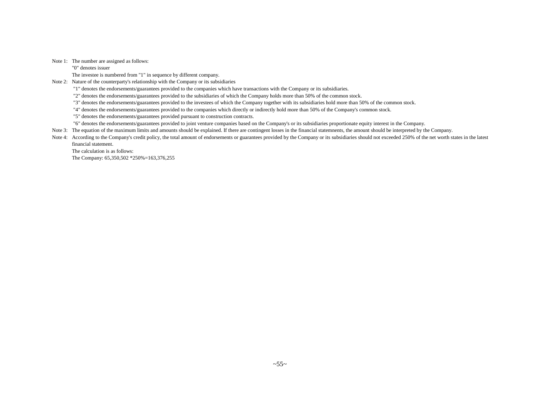Note 1: The number are assigned as follows:

"0" denotes issuer

The investee is numbered from "1" in sequence by different company.

Note 2: Nature of the counterparty's relationship with the Company or its subsidiaries

"1" denotes the endorsements/guarantees provided to the companies which have transactions with the Company or its subsidiaries.

"2" denotes the endorsements/guarantees provided to the subsidiaries of which the Company holds more than 50% of the common stock.

"3" denotes the endorsements/guarantees provided to the investees of which the Company together with its subsidiaries hold more than 50% of the common stock.

"4" denotes the endorsements/guarantees provided to the companies which directly or indirectly hold more than 50% of the Company's common stock.

"5" denotes the endorsements/guarantees provided pursuant to construction contracts.

"6" denotes the endorsements/guarantees provided to joint venture companies based on the Company's or its subsidiaries proportionate equity interest in the Company.

Note 3: The equation of the maximum limits and amounts should be explained. If there are contingent losses in the financial statemnents, the amount should be interpreted by the Company.

Note 4: According to the Company's credit policy, the total amount of endorsements or guarantees provided by the Company or its subsidiaries should not exceeded 250% of the net worth states in the latest financial statement.

The calculation is as follows: The Company: 65,350,502 \*250%=163,376,255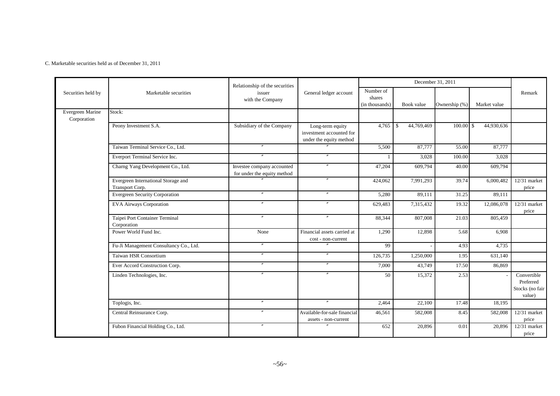C. Marketable securities held as of December 31, 2011

|                                 |                                                        | Relationship of the securities                            |                                                                         |                                       |                   | December 31, 2011 |              |                                                       |
|---------------------------------|--------------------------------------------------------|-----------------------------------------------------------|-------------------------------------------------------------------------|---------------------------------------|-------------------|-------------------|--------------|-------------------------------------------------------|
| Securities held by              | Marketable securities                                  | issuer<br>with the Company                                | General ledger account                                                  | Number of<br>shares<br>(in thousands) | Book value        | Ownership (%)     | Market value | Remark                                                |
| Evergreen Marine<br>Corporation | Stock:                                                 |                                                           |                                                                         |                                       |                   |                   |              |                                                       |
|                                 | Peony Investment S.A.                                  | Subsidiary of the Company                                 | Long-term equity<br>investment accounted for<br>under the equity method | 4,765                                 | 44,769,469<br>-\$ | $100.00$ \$       | 44,930,636   |                                                       |
|                                 | Taiwan Terminal Service Co., Ltd.                      | $\overline{''}$                                           |                                                                         | 5,500                                 | 87,777            | 55.00             | 87,777       |                                                       |
|                                 | Everport Terminal Service Inc.                         |                                                           |                                                                         |                                       | 3,028             | 100.00            | 3,028        |                                                       |
|                                 | Charng Yang Development Co., Ltd.                      | Investee company accounted<br>for under the equity method | $\overline{''}$                                                         | 47,204                                | 609,794           | 40.00             | 609,794      |                                                       |
|                                 | Evergreen International Storage and<br>Transport Corp. | $\mathbf{v}$                                              | $^{\prime\prime}$                                                       | 424,062                               | 7,991,293         | 39.74             | 6,000,482    | $12/31$ market<br>price                               |
|                                 | Evergreen Security Corporation                         | $\prime\prime$                                            | $\prime\prime$                                                          | 5,280                                 | 89,111            | 31.25             | 89,111       |                                                       |
|                                 | <b>EVA Airways Corporation</b>                         | $^{\prime\prime}$                                         | $^{\prime\prime}$                                                       | 629,483                               | 7,315,432         | 19.32             | 12,086,078   | $12/31$ market<br>price                               |
|                                 | Taipei Port Container Terminal<br>Corporation          | $\prime$                                                  | $\overline{v}$                                                          | 88,344                                | 807,008           | 21.03             | 805,459      |                                                       |
|                                 | Power World Fund Inc.                                  | None                                                      | Financial assets carried at<br>cost - non-current                       | 1,290                                 | 12,898            | 5.68              | 6,908        |                                                       |
|                                 | Fu-Ji Management Consultancy Co., Ltd.                 | $^{\prime\prime}$                                         | $\mathbf{r}$                                                            | 99                                    |                   | 4.93              | 4,735        |                                                       |
|                                 | Taiwan HSR Consortium                                  | $^{\prime\prime}$                                         | $^{\prime\prime}$                                                       | 126,735                               | 1,250,000         | 1.95              | 631,140      |                                                       |
|                                 | Ever Accord Construction Corp.                         | $^{\prime\prime}$                                         | $^{\prime\prime}$                                                       | 7,000                                 | 43,749            | 17.50             | 86,869       |                                                       |
|                                 | Linden Technologies, Inc.                              | $^{\prime\prime}$                                         | $\mathbf{r}$                                                            | 50                                    | 15,372            | 2.53              |              | Convertible<br>Preferred<br>Stocks (no fair<br>value) |
|                                 | Toplogis, Inc.                                         | $^{\prime\prime}$                                         | $\mathbf{r}$                                                            | 2,464                                 | 22,100            | 17.48             | 18,195       |                                                       |
|                                 | Central Reinsurance Corp.                              | $\theta$                                                  | Available-for-sale financial<br>assets - non-current                    | 46,561                                | 582,008           | 8.45              | 582,008      | $12/31$ market<br>price                               |
|                                 | Fubon Financial Holding Co., Ltd.                      | $\overline{''}$                                           | $\theta$                                                                | 652                                   | 20,896            | 0.01              | 20,896       | 12/31 market<br>price                                 |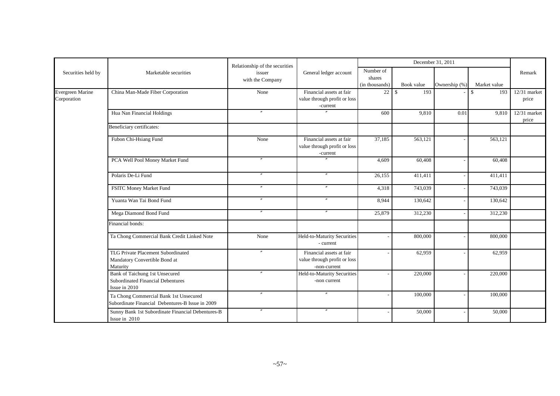|                                 |                                                                                                    | Relationship of the securities |                                                                          |                                       | December 31, 2011 |               |                    |                       |
|---------------------------------|----------------------------------------------------------------------------------------------------|--------------------------------|--------------------------------------------------------------------------|---------------------------------------|-------------------|---------------|--------------------|-----------------------|
| Securities held by              | Marketable securities                                                                              | issuer<br>with the Company     | General ledger account                                                   | Number of<br>shares<br>(in thousands) | Book value        | Ownership (%) | Market value       | Remark                |
| Evergreen Marine<br>Corporation | China Man-Made Fiber Corporation                                                                   | None                           | Financial assets at fair<br>value through profit or loss<br>-current     | 22                                    | 193<br>l \$       |               | $\mathbf S$<br>193 | 12/31 market<br>price |
|                                 | Hua Nan Financial Holdings                                                                         |                                |                                                                          | 600                                   | 9,810             | 0.01          | 9,810              | 12/31 market<br>price |
|                                 | Beneficiary certificates:                                                                          |                                |                                                                          |                                       |                   |               |                    |                       |
|                                 | Fubon Chi-Hsiang Fund                                                                              | None                           | Financial assets at fair<br>value through profit or loss<br>-current     | 37,185                                | 563,121           |               | 563,121            |                       |
|                                 | PCA Well Pool Money Market Fund                                                                    | $\prime\prime$                 |                                                                          | 4,609                                 | 60,408            |               | 60,408             |                       |
|                                 | Polaris De-Li Fund                                                                                 | $\overline{v}$                 | $\overline{v}$                                                           | 26,155                                | 411,411           |               | 411,411            |                       |
|                                 | FSITC Money Market Fund                                                                            | $\overline{v}$                 | $^{\prime\prime}$                                                        | 4,318                                 | 743,039           |               | 743,039            |                       |
|                                 | Yuanta Wan Tai Bond Fund                                                                           | $\mathbf{v}$                   | $\overline{''}$                                                          | 8,944                                 | 130,642           |               | 130,642            |                       |
|                                 | Mega Diamond Bond Fund                                                                             | $\mathbf{v}$                   |                                                                          | 25,879                                | 312,230           |               | 312,230            |                       |
|                                 | Financial bonds:                                                                                   |                                |                                                                          |                                       |                   |               |                    |                       |
|                                 | Ta Chong Commercial Bank Credit Linked Note                                                        | None                           | Held-to-Maturity Securities<br>- current                                 |                                       | 800,000           |               | 800,000            |                       |
|                                 | TLG Private Placement Subordinated<br>Mandatory Convertible Bond at<br>Maturity                    | $^{\prime\prime}$              | Financial assets at fair<br>value through profit or loss<br>-non-current |                                       | 62,959            |               | 62,959             |                       |
|                                 | <b>Bank of Taichung 1st Unsecured</b><br><b>Subordinated Financial Debentures</b><br>Issue in 2010 | $^{\prime\prime}$              | Held-to-Maturity Securities<br>-non current                              |                                       | 220,000           |               | 220,000            |                       |
|                                 | Ta Chong Commercial Bank 1st Unsecured<br>Subordinate Financial Debentures-B Issue in 2009         | $^{\prime\prime}$              | $^{\prime\prime}$                                                        |                                       | 100,000           |               | 100,000            |                       |
|                                 | Sunny Bank 1st Subordinate Financial Debentures-B<br>Issue in 2010                                 | $^{\prime\prime}$              | $^{\prime\prime}$                                                        |                                       | 50,000            |               | 50,000             |                       |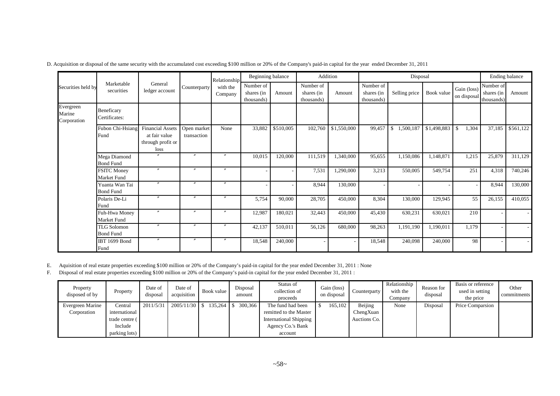|                                    |                                        |                                                                       |                            | Relationship        | Beginning balance                     |           | Addition                              |             |                                       | Disposal                   |             |                            |                                       | Ending balance |
|------------------------------------|----------------------------------------|-----------------------------------------------------------------------|----------------------------|---------------------|---------------------------------------|-----------|---------------------------------------|-------------|---------------------------------------|----------------------------|-------------|----------------------------|---------------------------------------|----------------|
| Securities held by                 | Marketable<br>securities               | General<br>ledger account                                             | Counterparty               | with the<br>Company | Number of<br>shares (in<br>thousands) | Amount    | Number of<br>shares (in<br>thousands) | Amount      | Number of<br>shares (in<br>thousands) | Selling price              | Book value  | Gain (loss)<br>on disposal | Number of<br>shares (in<br>thousands) | Amount         |
| Evergreen<br>Marine<br>Corporation | Beneficary<br>Certificates:            |                                                                       |                            |                     |                                       |           |                                       |             |                                       |                            |             |                            |                                       |                |
|                                    | Fubon Chi-Hsiang<br>Fund               | <b>Financial Assets</b><br>at fair value<br>through profit or<br>loss | Open market<br>transaction | None                | 33,882                                | \$510,005 | 102,760                               | \$1,550,000 | 99,457                                | 1,500,187<br><sup>\$</sup> | \$1,498,883 | 1,304<br>-\$               | 37,185                                | \$561,122      |
|                                    | Mega Diamond<br><b>Bond Fund</b>       |                                                                       | $\boldsymbol{''}$          | $\boldsymbol{''}$   | 10,015                                | 120,000   | 111,519                               | 1,340,000   | 95,655                                | 1,150,086                  | 1,148,871   | 1,215                      | 25,879                                | 311,129        |
|                                    | <b>FSITC Money</b><br>Market Fund      | $\boldsymbol{''}$                                                     | $\boldsymbol{''}$          | $\prime\prime$      | ٠                                     |           | 7,531                                 | 1,290,000   | 3,213                                 | 550,005                    | 549,754     | 251                        | 4,318                                 | 740,246        |
|                                    | Yuanta Wan Tai<br><b>Bond Fund</b>     | $\overline{''}$                                                       | $\prime\prime$             | $^{\prime\prime}$   |                                       |           | 8,944                                 | 130,000     |                                       |                            |             |                            | 8,944                                 | 130,000        |
|                                    | Polaris De-Li<br>Fund                  | $\overline{v}$                                                        | $\boldsymbol{''}$          | $^{\prime\prime}$   | 5,754                                 | 90,000    | 28,705                                | 450,000     | 8,304                                 | 130,000                    | 129,945     | 55                         | 26,155                                | 410,055        |
|                                    | Fuh-Hwa Money<br>Market Fund           | $\prime\prime$                                                        | $\prime\prime$             | $^{\prime\prime}$   | 12,987                                | 180,021   | 32,443                                | 450,000     | 45,430                                | 630,231                    | 630,021     | 210                        |                                       |                |
|                                    | <b>TLG Solomon</b><br><b>Bond Fund</b> | $\overline{''}$                                                       | $^{\prime\prime}$          | $^{\prime\prime}$   | 42,137                                | 510,011   | 56,126                                | 680,000     | 98,263                                | 1,191,190                  | 1,190,011   | 1,179                      |                                       |                |
|                                    | IBT 1699 Bond<br>Fund                  | $\prime\prime$                                                        | $\prime\prime$             | $^{\prime\prime}$   | 18,548                                | 240,000   |                                       |             | 18,548                                | 240,098                    | 240,000     | 98                         |                                       |                |

D. Acquisition or disposal of the same security with the accumulated cost exceeding \$100 million or 20% of the Company's paid-in capital for the year ended December 31, 2011

E. Aquisition of real estate properties exceeding \$100 million or 20% of the Company's paid-in capital for the year ended December 31, 2011 : None

F. Disposal of real estate properties exceeding \$100 million or 20% of the Company's paid-in capital for the year ended December 31, 2011 :

| Property<br>disposed of by | Property       | Date of<br>disposal | Date of<br>acquisition                            | Book value | Disposal<br>amount | Status of<br>collection of<br>proceeds | Gain (loss)<br>on disposal | Counterparty | Relationship<br>with the<br>Company | Reason for<br>disposal | Basis or reference<br>used in setting<br>the price | Other<br>commitments |
|----------------------------|----------------|---------------------|---------------------------------------------------|------------|--------------------|----------------------------------------|----------------------------|--------------|-------------------------------------|------------------------|----------------------------------------------------|----------------------|
| Evergreen Marine           | Central        | 2011/5/31           | $\mid$ 2005/11/30 \ \ \$ 135,264 \ \ \$ 300,366 \ |            |                    | The fund had been                      | 165.102                    | Beijing      | None                                | Disposal               | Price Comparsion                                   |                      |
| Corporation                | international  |                     |                                                   |            |                    | remitted to the Master                 |                            | ChengXuan    |                                     |                        |                                                    |                      |
|                            | trade centre ( |                     |                                                   |            |                    | <b>International Shipping</b>          |                            | Auctions Co. |                                     |                        |                                                    |                      |
|                            | Include        |                     |                                                   |            |                    | Agency Co.'s Bank                      |                            |              |                                     |                        |                                                    |                      |
|                            | parking lots)  |                     |                                                   |            |                    | account                                |                            |              |                                     |                        |                                                    |                      |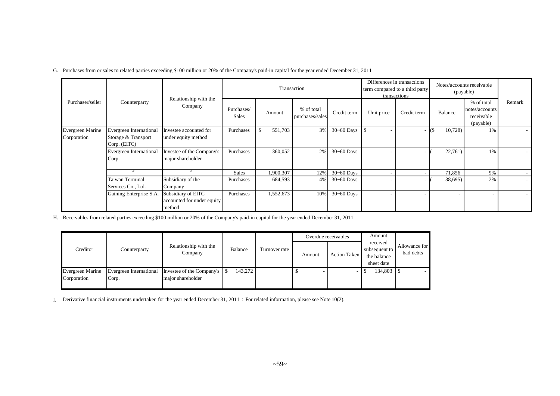G. Purchases from or sales to related parties exceeding \$100 million or 20% of the Company's paid-in capital for the year ended December 31, 2011

|                                        |                                                                |                                                            |                     | Transaction    |                               |                | term compared to a third party | Differences in transactions<br>transactions |         | Notes/accounts receivable<br>(payable)                  |        |
|----------------------------------------|----------------------------------------------------------------|------------------------------------------------------------|---------------------|----------------|-------------------------------|----------------|--------------------------------|---------------------------------------------|---------|---------------------------------------------------------|--------|
| Purchaser/seller                       | Counterparty                                                   | Relationship with the<br>Company                           | Purchases/<br>Sales | Amount         | % of total<br>purchases/sales | Credit term    | Unit price                     | Credit term                                 | Balance | % of total<br>notes/accounts<br>receivable<br>(payable) | Remark |
| <b>Evergreen Marine</b><br>Corporation | Evergreen International<br>Storage & Transport<br>Corp. (EITC) | Investee accounted for<br>under equity method              | Purchases           | 551,703<br>\$. | 3%                            | 30~60 Days     |                                |                                             | 10,728  | 1%                                                      |        |
|                                        | Evergreen International<br>Corp.                               | Investee of the Company's<br>major shareholder             | Purchases           | 360,052        | 2%                            | $30 - 60$ Days |                                |                                             | 22,761) | 1%                                                      |        |
|                                        | $\boldsymbol{''}$                                              | $\boldsymbol{''}$                                          | <b>Sales</b>        | 1,900,307      | 12%                           | $30 - 60$ Days |                                |                                             | 71,856  | 9%                                                      |        |
|                                        | Taiwan Terminal<br>Services Co., Ltd.                          | Subsidiary of the<br>Company                               | Purchases           | 684,593        | 4%                            | $30 - 60$ Days |                                |                                             | 38,695) | 2%                                                      |        |
|                                        | Gaining Enterprise S.A.                                        | Subsidiary of EITC<br>accounted for under equity<br>method | Purchases           | 1,552,673      | 10%                           | $30 - 60$ Days |                                |                                             |         |                                                         |        |

H. Receivables from related parties exceeding \$100 million or 20% of the Company's paid-in capital for the year ended December 31, 2011

|                                        |                                  |                                                  |         |               |        | Overdue receivables | Amount                                                 |                            |
|----------------------------------------|----------------------------------|--------------------------------------------------|---------|---------------|--------|---------------------|--------------------------------------------------------|----------------------------|
| Creditor                               | Counterparty                     | Relationship with the<br>Company                 | Balance | Turnover rate | Amount | Action Taken        | received<br>subsequent to<br>the balance<br>sheet date | Allowance for<br>bad debts |
| <b>Evergreen Marine</b><br>Corporation | Evergreen International<br>Corp. | Investee of the Company's S<br>major shareholder | 143,272 |               |        |                     | 134,803                                                |                            |

I. Derivative financial instruments undertaken for the year ended December 31, 2011: For related information, please see Note 10(2).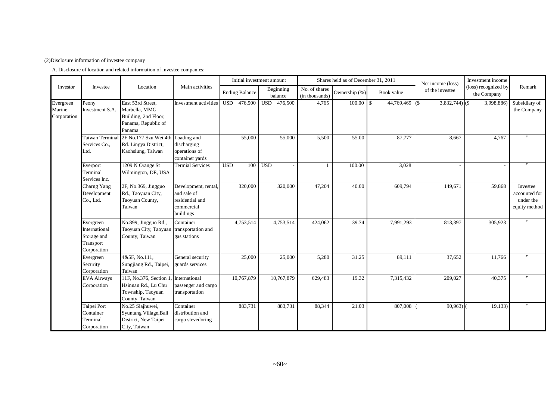#### (2)Disclosure information of investee company

A. Disclosure of location and related information of investee companies:

|                                    |                                                                       |                                                                                             |                                                                                   |                       | Initial investment amount |                                 | Shares held as of December 31, 2011 |            | Net income (loss)       | Investment income                   |                                                         |
|------------------------------------|-----------------------------------------------------------------------|---------------------------------------------------------------------------------------------|-----------------------------------------------------------------------------------|-----------------------|---------------------------|---------------------------------|-------------------------------------|------------|-------------------------|-------------------------------------|---------------------------------------------------------|
| Investor                           | Investee                                                              | Location                                                                                    | Main activities                                                                   | <b>Ending Balance</b> | Beginning<br>balance      | No. of shares<br>(in thousands) | Ownership (%)                       | Book value | of the investee         | (loss) recognized by<br>the Company | Remark                                                  |
| Evergreen<br>Marine<br>Corporation | Peony<br>Investment S.A.                                              | East 53rd Street,<br>Marbella, MMG<br>Building, 2nd Floor,<br>Panama, Republic of<br>Panama | Investment activities                                                             | USD 476,500           | USD 476,500               | 4,765                           | $100.00$ \$                         | 44,769,469 | $3,832,744$ (\$)<br>(\$ | 3,998,886                           | Subsidiary of<br>the Company                            |
|                                    | Taiwan Termina<br>Services Co.,<br>Ltd.                               | 2F No.177 Szu Wei 4th Loading and<br>Rd. Lingya District,<br>Kaohsiung, Taiwan              | discharging<br>operations of<br>container yards                                   | 55,000                | 55,000                    | 5,500                           | 55.00                               | 87,777     | 8,667                   | 4,767                               |                                                         |
|                                    | Everport<br>Terminal<br>Services Inc.                                 | 1209 N Orange St<br>Wilmington, DE, USA                                                     | <b>Termial Services</b>                                                           | <b>USD</b><br>100     | <b>USD</b>                |                                 | 100.00                              | 3,028      |                         |                                     |                                                         |
|                                    | Charng Yang<br>Development<br>Co., Ltd.                               | 2F, No.369, Jingguo<br>Rd., Taoyuan City,<br>Taoyuan County,<br>Taiwan                      | Development, rental,<br>and sale of<br>residential and<br>commercial<br>buildings | 320,000               | 320,000                   | 47,204                          | 40.00                               | 609,794    | 149,671                 | 59,868                              | Investee<br>accounted for<br>under the<br>equity method |
|                                    | Evergreen<br>International<br>Storage and<br>Transport<br>Corporation | No.899, Jingguo Rd.,<br>Taoyuan City, Taoyuan<br>County, Taiwan                             | Container<br>transportation and<br>gas stations                                   | 4,753,514             | 4,753,514                 | 424,062                         | 39.74                               | 7,991,293  | 813,397                 | 305,923                             |                                                         |
|                                    | Evergreen<br>Security<br>Corporation                                  | 4&5F, No.111,<br>Sungjiang Rd., Taipei,<br>Taiwan                                           | General security<br>guards services                                               | 25,000                | 25,000                    | 5,280                           | 31.25                               | 89,111     | 37,652                  | 11,766                              |                                                         |
|                                    | <b>EVA Airways</b><br>Corporation                                     | 11F, No.376, Section 1<br>Hsinnan Rd., Lu Chu<br>Township, Taoyuan<br>County, Taiwan        | International<br>passenger and cargo<br>transportation                            | 10,767,879            | 10,767,879                | 629,483                         | 19.32                               | 7,315,432  | 209,027                 | 40,375                              |                                                         |
|                                    | Taipei Port<br>Container<br>Terminal<br>Corporation                   | No.25 Siajhuwei,<br>Syuntang Village, Bali<br>District, New Taipei<br>City, Taiwan          | Container<br>distribution and<br>cargo stevedoring                                | 883,731               | 883,731                   | 88,344                          | 21.03                               | 807,008    | 90,963)                 | 19,133)                             |                                                         |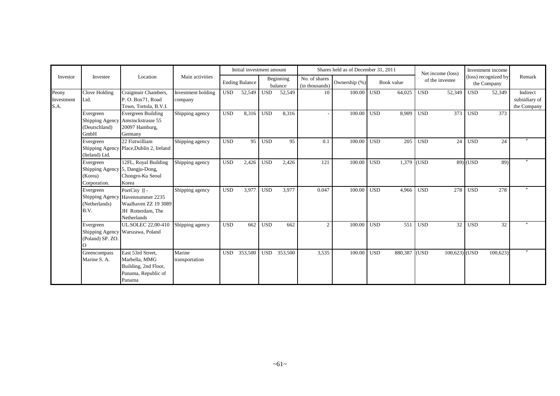|                             |                                                                         |                                                                                                               |                               |            | Initial investment amount |            |                      |                                 | Shares held as of December 31, 2011 |            |            |            | Net income (loss) |            | Investment income                   |                                          |
|-----------------------------|-------------------------------------------------------------------------|---------------------------------------------------------------------------------------------------------------|-------------------------------|------------|---------------------------|------------|----------------------|---------------------------------|-------------------------------------|------------|------------|------------|-------------------|------------|-------------------------------------|------------------------------------------|
| Investor                    | Investee                                                                | Location                                                                                                      | Main activities               |            | <b>Ending Balance</b>     |            | Beginning<br>balance | No. of shares<br>(in thousands) | Ownership (%)                       |            | Book value |            | of the investee   |            | (loss) recognized by<br>the Company | Remark                                   |
| Peony<br>Investment<br>S.A. | Clove Holding<br>Ltd.                                                   | Craigmuir Chambers,<br>P. O. Box71, Road<br>Town, Tortola, B.V.I.                                             | Investment holding<br>company | <b>USD</b> | 52,549                    | <b>USD</b> | 52,549               | 10                              | 100.00                              | <b>USD</b> | 64,025     | <b>USD</b> | 52,349            | <b>USD</b> | 52,349                              | Indirect<br>subsidiary of<br>the Company |
|                             | Evergreen<br>(Deutschland)<br>GmbH                                      | <b>Evergreen Building</b><br>Shipping Agency Amsinckstrasse 55<br>20097 Hamburg,<br>Germany                   | Shipping agency               | <b>USD</b> | 8,316                     | <b>USD</b> | 8,316                |                                 | 100.00                              | <b>USD</b> | 8.909      | <b>USD</b> | 373               | <b>USD</b> | 373                                 |                                          |
|                             | Evergreen<br>(Iteland) Ltd.                                             | 22 Fiztwilliam<br>Shipping Agency Place, Dublin 2, Ireland                                                    | Shipping agency               | <b>USD</b> | 95                        | <b>USD</b> | 95                   | 0.1                             | 100.00                              | <b>USD</b> | 205        | <b>USD</b> | 24                | <b>USD</b> | 24                                  |                                          |
|                             | Evergreen<br>Shipping Agency 5, Dangju-Dong,<br>(Korea)<br>Corporation. | 12FL, Royal Building<br>Chongro-Ku Seoul<br>Korea                                                             | Shipping agency               | <b>USD</b> | 2,426                     | <b>USD</b> | 2,426                | 121                             | 100.00                              | <b>USD</b> | 1,379 (USD |            |                   | $89$ (USD  | 89)                                 |                                          |
|                             | Evergreen<br>(Netherlands)<br>B.V.                                      | PortCity II -<br>Shipping Agency Havennummer 2235<br>Waalhaven ZZ 19 3089<br>JH Rotterdam, The<br>Netherlands | Shipping agency               | <b>USD</b> | 3,977                     | <b>USD</b> | 3,977                | 0.047                           | 100.00                              | <b>USD</b> | 4,966      | <b>USD</b> | 278               | <b>USD</b> | 278                                 | $\prime\prime$                           |
|                             | Evergreen<br>(Poland) SP. ZO.                                           | UL.SOLEC 22,00-410<br>Shipping Agency Warszawa, Poland                                                        | Shipping agency               | <b>USD</b> | 662                       | <b>USD</b> | 662                  | 2                               | 100.00                              | <b>USD</b> | 551        | <b>USD</b> | $\overline{32}$   | <b>USD</b> | 32                                  | $\prime$                                 |
|                             | Greencompass<br>Marine S. A.                                            | East 53rd Street,<br>Marbella, MMG<br>Building, 2nd Floor,<br>Panama, Republic of<br>Panama                   | Marine<br>transportation      | <b>USD</b> | 353,500                   | <b>USD</b> | 353,500              | 3,535                           | 100.00                              | <b>USD</b> | 880,387    | (USD)      | $100,623$ (USD    |            | 100,623                             | $\prime\prime$                           |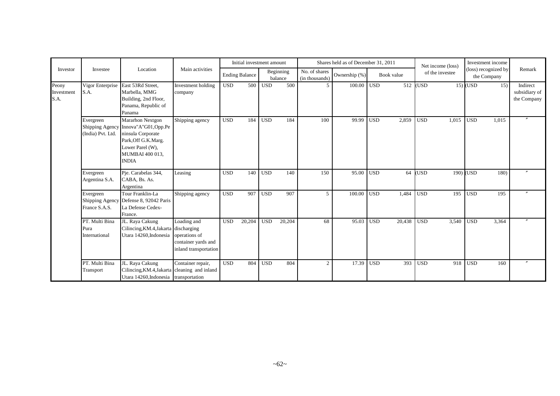|                             |                                         |                                                                                                                                                                    |                                                                              |            | Initial investment amount |                  |                      |                                 | Shares held as of December 31, 2011 |            |            |            | Net income (loss) |                  | Investment income                   |                                          |
|-----------------------------|-----------------------------------------|--------------------------------------------------------------------------------------------------------------------------------------------------------------------|------------------------------------------------------------------------------|------------|---------------------------|------------------|----------------------|---------------------------------|-------------------------------------|------------|------------|------------|-------------------|------------------|-------------------------------------|------------------------------------------|
| Investor                    | Investee                                | Location                                                                                                                                                           | Main activities                                                              |            | <b>Ending Balance</b>     |                  | Beginning<br>balance | No. of shares<br>(in thousands) | Ownership (%)                       |            | Book value |            | of the investee   |                  | (loss) recognized by<br>the Company | Remark                                   |
| Peony<br>Investment<br>S.A. | Vigor Enterprise<br>S.A.                | East 53Rd Street,<br>Marbella, MMG<br>Building, 2nd Floor,<br>Panama, Republic of<br>Panama                                                                        | Investment holding<br>company                                                | <b>USD</b> | 500                       | <b>USD</b>       | 500                  | 5                               | 100.00                              | <b>USD</b> |            | 512 (USD   |                   | $15)$ (USD       | 15)                                 | Indirect<br>subsidiary of<br>the Company |
|                             | Evergreen<br>(India) Pvt. Ltd.          | <b>Mararhon Nextgon</b><br>Shipping Agency Innova"A"G01, Opp.Pe<br>ninsula Corporate<br>Park, Off G.K.Marg.<br>Lower Parel (W),<br>MUMBAI 400 013,<br><b>INDIA</b> | Shipping agency                                                              | <b>USD</b> | 184                       | <b>USD</b>       | 184                  | 100                             | 99.99                               | <b>USD</b> | 2,859      | <b>USD</b> | 1,015             | <b>USD</b>       | 1,015                               | $\prime\prime$                           |
|                             | Evergreen<br>Argentina S.A.             | Pje. Carabelas 344,<br>CABA, Bs. As.<br>Argentina                                                                                                                  | Leasing                                                                      | <b>USD</b> | 140                       | <b>USD</b>       | 140                  | 150                             | 95.00                               | <b>USD</b> | 64         | (USD       |                   | 190) (USD        | 180)                                | $^{\prime\prime}$                        |
|                             | Evergreen<br>France S.A.S.              | Tour Franklin-La<br>Shipping Agency Defense 8, 92042 Paris<br>La Defense Cedex-<br>France.                                                                         | Shipping agency                                                              | <b>USD</b> | 907                       | <b>USD</b>       | 907                  | 5                               | 100.00                              | <b>USD</b> | 1.484      | <b>USD</b> | 195               | <b>USD</b>       | 195                                 |                                          |
|                             | PT. Multi Bina<br>Pura<br>International | JL. Raya Cakung<br>Cilincing, KM.4, Jakarta discharging<br>Utara 14260, Indonesia                                                                                  | Loading and<br>operations of<br>container yards and<br>inland transportation | <b>USD</b> | 20,204                    | $\overline{USD}$ | 20,204               | 68                              | 95.03                               | <b>USD</b> | 20,438     | <b>USD</b> | 3,540             | $\overline{USD}$ | 3,364                               |                                          |
|                             | PT. Multi Bina<br>Transport             | JL. Raya Cakung<br>Cilincing, KM.4, Jakarta cleaning and inland<br>Utara 14260, Indonesia transportation                                                           | Container repair,                                                            | <b>USD</b> | 804                       | <b>USD</b>       | 804                  | $\boldsymbol{2}$                | 17.39                               | <b>USD</b> | 393        | <b>USD</b> | 918               | <b>USD</b>       | 160                                 | $\prime$                                 |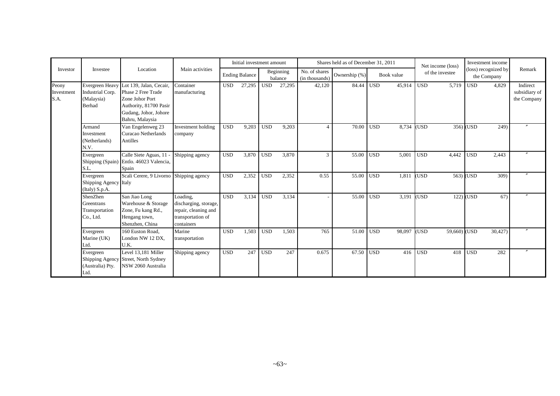|                             |                                                              |                                                                                                                                        |                                                                                              |            | Initial investment amount |            |                      |                                 | Shares held as of December 31, 2011 |            |            |            | Net income (loss) |                  | Investment income                   |                                          |
|-----------------------------|--------------------------------------------------------------|----------------------------------------------------------------------------------------------------------------------------------------|----------------------------------------------------------------------------------------------|------------|---------------------------|------------|----------------------|---------------------------------|-------------------------------------|------------|------------|------------|-------------------|------------------|-------------------------------------|------------------------------------------|
| Investor                    | Investee                                                     | Location                                                                                                                               | Main activities                                                                              |            | <b>Ending Balance</b>     |            | Beginning<br>balance | No. of shares<br>(in thousands) | Ownership (%)                       |            | Book value |            | of the investee   |                  | (loss) recognized by<br>the Company | Remark                                   |
| Peony<br>Investment<br>S.A. | Evergreen Heavy<br>Industrial Corp.<br>(Malaysia)<br>Berhad  | Lot 139, Jalan, Cecair,<br>Phase 2 Free Trade<br>Zone Johor Port<br>Authority, 81700 Pasir<br>Gudang, Johor, Johore<br>Bahru, Malaysia | Container<br>manufacturing                                                                   | <b>USD</b> | 27,295                    | <b>USD</b> | 27,295               | 42,120                          | 84.44                               | <b>USD</b> | 45,914     | <b>USD</b> | 5,719             | <b>USD</b>       | 4,829                               | Indirect<br>subsidiary of<br>the Company |
|                             | Armand<br>Investment<br>(Netherlands)<br>N.V.                | Van Engelenweg 23<br>Curacao Netherlands<br>Antilles                                                                                   | Investment holding<br>company                                                                | <b>USD</b> | 9,203                     | <b>USD</b> | 9,203                | $\overline{4}$                  | 70.00                               | <b>USD</b> | 8.734      | (USD       |                   | 356) (USD        | 249)                                |                                          |
|                             | Evergreen<br>S.L.                                            | Calle Siete Aguas, 11<br>Shipping (Spain) Entlo. 46023 Valencia,<br>Spain                                                              | Shipping agency                                                                              | <b>USD</b> | 3,870                     | <b>USD</b> | 3,870                | 3                               | 55.00                               | <b>USD</b> | 5,001      | <b>USD</b> | 4,442             | <b>USD</b>       | 2,443                               |                                          |
|                             | Evergreen<br>Shipping Agency Italy<br>(Italy) S.p.A.         | Scali Cerere, 9 Livorno                                                                                                                | Shipping agency                                                                              | <b>USD</b> | 2,352                     | <b>USD</b> | 2,352                | 0.55                            | 55.00                               | <b>USD</b> | 1,811      | <b>USD</b> |                   | 563) <b>(USD</b> | 309)                                |                                          |
|                             | <b>ShenZhen</b><br>Greentrans<br>Transportation<br>Co., Ltd. | San Jiao Long<br>Warehouse & Storage<br>Zone, Fu kang Rd.,<br>Hengang town,<br>Shenzhen, China                                         | Loading,<br>discharging, storage,<br>repair, cleaning and<br>transportation of<br>containers | <b>USD</b> | 3,134                     | <b>USD</b> | 3,134                |                                 | 55.00                               | <b>USD</b> | 3,191      | (USD)      |                   | $122)$ (USD      | 67)                                 |                                          |
|                             | Evergreen<br>Marine (UK)<br>Ltd.                             | 160 Euston Road.<br>London NW 12 DX,<br>U.K.                                                                                           | Marine<br>transportation                                                                     | <b>USD</b> | 1,503                     | <b>USD</b> | 1,503                | 765                             | 51.00                               | <b>USD</b> | 98,097     | (USD)      | 59,660) (USD      |                  | 30,427)                             |                                          |
|                             | Evergreen<br>Shipping Agency<br>(Australia) Pty.<br>Ltd.     | Level 13.181 Miller<br>Street, North Sydney<br>NSW 2060 Australia                                                                      | Shipping agency                                                                              | <b>USD</b> | 247                       | <b>USD</b> | 247                  | 0.675                           | 67.50                               | <b>USD</b> | 416        | <b>USD</b> | 418               | <b>USD</b>       | 282                                 |                                          |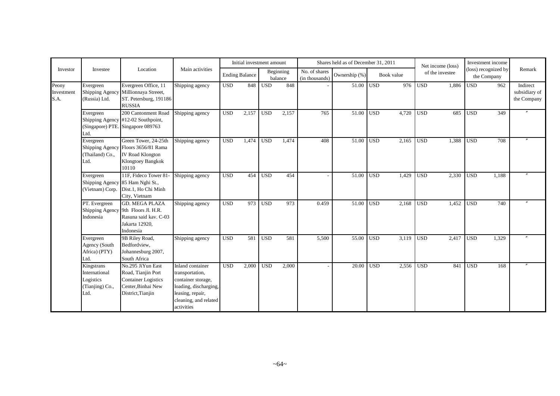|                             |                                                                     |                                                                                                                  |                                                                                                                                               |            | Initial investment amount |            |                      |                                 | Shares held as of December 31, 2011 |                  |            |                  | Net income (loss) |                  | Investment income                   |                                          |
|-----------------------------|---------------------------------------------------------------------|------------------------------------------------------------------------------------------------------------------|-----------------------------------------------------------------------------------------------------------------------------------------------|------------|---------------------------|------------|----------------------|---------------------------------|-------------------------------------|------------------|------------|------------------|-------------------|------------------|-------------------------------------|------------------------------------------|
| Investor                    | Investee                                                            | Location                                                                                                         | Main activities                                                                                                                               |            | <b>Ending Balance</b>     |            | Beginning<br>balance | No. of shares<br>(in thousands) | Ownership (%)                       |                  | Book value |                  | of the investee   |                  | (loss) recognized by<br>the Company | Remark                                   |
| Peony<br>Investment<br>S.A. | Evergreen<br>Shipping Agency<br>(Russia) Ltd.                       | Evergreen Office, 11<br>Millionnaya Streeet,<br>ST. Petersburg, 191186<br><b>RUSSIA</b>                          | Shipping agency                                                                                                                               | <b>USD</b> | 848                       | <b>USD</b> | 848                  |                                 | 51.00                               | <b>USD</b>       | 976        | <b>USD</b>       | 1.886             | <b>USD</b>       | 962                                 | Indirect<br>subsidiary of<br>the Company |
|                             | Evergreen<br>Shipping Agency<br>(Singapore) PTE<br>Ltd.             | 200 Cantonment Road<br>#12-02 Southpoint,<br>Singapore 089763                                                    | Shipping agency                                                                                                                               | <b>USD</b> | 2,157                     | <b>USD</b> | 2,157                | 765                             | 51.00                               | <b>USD</b>       | 4,720      | <b>USD</b>       | 685               | <b>USD</b>       | 349                                 |                                          |
|                             | Evergreen<br>Shipping Agency<br>(Thailand) Co.,<br>Ltd.             | Green Tower, 24-25th<br>Floors 3656/81 Rama<br>IV Road Klongton<br>Klongtoey Bangkok<br>10110                    | Shipping agency                                                                                                                               | <b>USD</b> | 1.474                     | <b>USD</b> | 1.474                | 408                             | 51.00                               | <b>USD</b>       | 2.165      | <b>USD</b>       | 1.388             | <b>USD</b>       | 708                                 |                                          |
|                             | Evergreen<br>Shipping Agency<br>(Vietnam) Corp.                     | 11F. Fideco Tower 81-<br>85 Ham Nghi St.,<br>Dist.1, Ho Chi Minh<br>City, Vietnam                                | Shipping agency                                                                                                                               | <b>USD</b> | 454                       | <b>USD</b> | 454                  |                                 | 51.00                               | <b>USD</b>       | 1,429      | <b>USD</b>       | 2,330             | <b>USD</b>       | 1,188                               |                                          |
|                             | PT. Evergreen<br>Shipping Agency<br>Indonesia                       | <b>GD. MEGA PLAZA</b><br>9th Floors Jl. H.R.<br>Rasuna said kav. C-03<br>Jakarta 12920,<br>Indonesia             | Shipping agency                                                                                                                               | <b>USD</b> | 973                       | <b>USD</b> | 973                  | 0.459                           | 51.00                               | <b>USD</b>       | 2,168      | <b>USD</b>       | 1,452             | <b>USD</b>       | 740                                 |                                          |
|                             | Evergreen<br>Agency (South<br>Africa) (PTY)<br>Ltd.                 | 9B Riley Road,<br>Bedfordview,<br>Johannesburg 2007,<br>South Africa                                             | Shipping agency                                                                                                                               | <b>USD</b> | 581                       | <b>USD</b> | 581                  | 5,500                           | 55.00                               | <b>USD</b>       | 3,119      | <b>USD</b>       | 2,417             | <b>USD</b>       | 1.329                               |                                          |
|                             | Kingstrans<br>International<br>Logistics<br>(Tianjing) Co.,<br>Ltd. | No.295 JiYun East<br>Road, Tianjin Port<br><b>Container Logistics</b><br>Center, Binhai New<br>District, Tianjin | Inland container<br>transportation,<br>container storage,<br>loading, discharging,<br>leasing, repair,<br>cleaning, and related<br>activities | <b>USD</b> | 2,000                     | <b>USD</b> | 2,000                |                                 | 20.00                               | USD <sub>1</sub> | 2,556      | $\overline{USD}$ | 841               | $\overline{USD}$ | 168                                 | $\boldsymbol{''}$                        |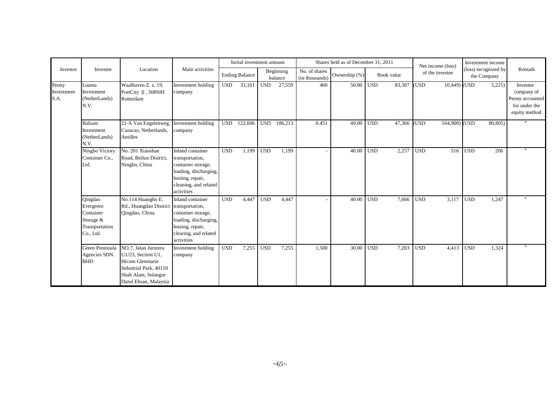|                             |                                                                               |                                                                                                                                                |                                                                                                                                               |            | Initial investment amount |            |                      |                                 | Shares held as of December 31, 2011 |                  |            | Net income (loss)   |             | Investment income                   |                                                                             |
|-----------------------------|-------------------------------------------------------------------------------|------------------------------------------------------------------------------------------------------------------------------------------------|-----------------------------------------------------------------------------------------------------------------------------------------------|------------|---------------------------|------------|----------------------|---------------------------------|-------------------------------------|------------------|------------|---------------------|-------------|-------------------------------------|-----------------------------------------------------------------------------|
| Investor                    | Investee                                                                      | Location                                                                                                                                       | Main activities                                                                                                                               |            | <b>Ending Balance</b>     |            | Beginning<br>balance | No. of shares<br>(in thousands) | Ownership (%)                       |                  | Book value | of the investee     |             | (loss) recognized by<br>the Company | Remark                                                                      |
| Peony<br>Investment<br>S.A. | Luanta<br>Investment<br>(NetherLands)<br>N.V.                                 | Waalhaven Z. z. 19,<br>PortCity II, 3089JH<br>Rotterdam                                                                                        | Investment holding<br>company                                                                                                                 | <b>USD</b> | 33,161                    | <b>USD</b> | 27,559               | 460                             | 50.00                               | USD <sup>1</sup> | 83,307     | (USD                | 10,449) USD | 5,225                               | Investee<br>company of<br>Peony accounted<br>for under the<br>equity method |
|                             | Balsam<br>Investment<br>(NetherLands)<br>N.V.                                 | 21-A Van Engelenweg,<br>Curacao, Netherlands,<br>Antilles                                                                                      | Investment holding<br>company                                                                                                                 | <b>USD</b> | 122,696                   | <b>USD</b> | 106,213              | 0.451                           | 49.00                               | <b>USD</b>       | 47,366     | (USD<br>164,908)    | (USD        | 80,805)                             |                                                                             |
|                             | Ningbo Victory<br>Container Co.,<br>Ltd.                                      | No. 201 Xiaoshan<br>Road, Beilun District,<br>Ningbo, China                                                                                    | Inland container<br>transportation,<br>container storage,<br>loading, discharging,<br>leasing, repair,<br>cleaning, and related<br>activities | <b>USD</b> | 1,199                     | <b>USD</b> | 1,199                |                                 | 40.00                               | <b>USD</b>       | 2,257      | <b>USD</b><br>516   | <b>USD</b>  | 206                                 |                                                                             |
|                             | Qingdao<br>Evergreen<br>Container<br>Storage &<br>Transportation<br>Co., Ltd. | No.114 Huangho E.<br>Rd., Huangdao District<br>Qingdao, China                                                                                  | Inland container<br>transportation,<br>container storage,<br>loading, discharging,<br>leasing, repair,<br>clearing, and related<br>activities | <b>USD</b> | 4,447                     | <b>USD</b> | 4,447                |                                 | 40.00                               | <b>USD</b>       | 7,666      | <b>USD</b><br>3,117 | <b>USD</b>  | 1,247                               |                                                                             |
|                             | Green Peninsula<br>Agencies SDN.<br><b>BHD</b>                                | NO.7, Jalan Jurutera<br>U1/23, Section U1,<br><b>Hicom Glenmarie</b><br>Industrial Park, 40150<br>Shah Alam, Selangor<br>Darul Ehsan, Malaysia | Investment holding<br>company                                                                                                                 | <b>USD</b> | 7,255                     | <b>USD</b> | 7,255                | 1,500                           | 30.00                               | <b>USD</b>       | 7,203      | <b>USD</b><br>4,413 | <b>USD</b>  | 1,324                               |                                                                             |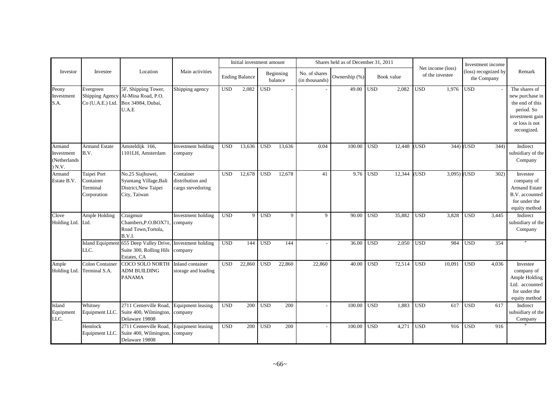|                                                |                                                     |                                                                                                          |                                                    | Initial investment amount |                       |              |                      | Shares held as of December 31, 2011 |               |              |            |            |                                      | Investment income |                                     |                                                                                                                       |
|------------------------------------------------|-----------------------------------------------------|----------------------------------------------------------------------------------------------------------|----------------------------------------------------|---------------------------|-----------------------|--------------|----------------------|-------------------------------------|---------------|--------------|------------|------------|--------------------------------------|-------------------|-------------------------------------|-----------------------------------------------------------------------------------------------------------------------|
| Investor                                       | Investee                                            | Location                                                                                                 | Main activities                                    |                           | <b>Ending Balance</b> |              | Beginning<br>balance | No. of shares<br>(in thousands)     | Ownership (%) |              | Book value |            | Net income (loss)<br>of the investee |                   | (loss) recognized by<br>the Company | Remark                                                                                                                |
| Peony<br>Investment<br>S.A.                    | Evergreen                                           | 5F, Shipping Tower,<br>Shipping Agency Al-Mina Road, P.O.<br>Co (U.A.E.) Ltd. Box 34984, Dubai,<br>U.A.E | Shipping agency                                    | <b>USD</b>                | 2,082                 | $_{\rm USD}$ |                      |                                     | 49.00         | $_{\rm USD}$ | 2,082      | <b>USD</b> | 1,976                                | <b>USD</b>        |                                     | The shares of<br>new purchase in<br>the end of this<br>period. So<br>investment gain<br>or loss is not<br>recongized. |
| Armand<br>Investment<br>(Netherlands<br>) N.V. | <b>Armand Estate</b><br>B.V.                        | Amsteldijk 166,<br>1101LH, Amsterdam                                                                     | Investment holding<br>company                      | <b>USD</b>                | 13,636                | <b>USD</b>   | 13,636               | 0.04                                | 100.00        | <b>USD</b>   | 12.448     | (USD       |                                      | $344)$ (USD       | 344)                                | Indirect<br>subsidiary of the<br>Company                                                                              |
| Armand<br>Estate B.V.                          | Taipei Port<br>Container<br>Terminal<br>Corporation | No.25 Siajhuwei,<br>Syuntang Village, Bali<br>District, New Taipei<br>City, Taiwan                       | Container<br>distribution and<br>cargo stevedoring | <b>USD</b>                | 12,678                | <b>USD</b>   | 12,678               | 41                                  | 9.76          | <b>USD</b>   | 12,344     | <b>USD</b> | 3,095                                | <b>USD</b>        | 302)                                | Investee<br>company of<br><b>Armand Estate</b><br>B.V. accounted<br>for under the<br>equity method                    |
| Clove<br>Holding Ltd. Ltd.                     | Ample Holding                                       | Craigmuir<br>Chambers, P.O.BOX71,<br>Road Town, Tortola,<br>B.V.I.                                       | Investment holding<br>company                      | <b>USD</b>                | $\overline{9}$        | <b>USD</b>   | 9                    | 9                                   | 90.00         | <b>USD</b>   | 35,882     | <b>USD</b> | 3,828                                | <b>USD</b>        | 3.445                               | Indirect<br>subsidiary of the<br>Company                                                                              |
|                                                | LLC.                                                | Island Equipment 655 Deep Valley Drive, Investment holding<br>Suite 300, Rolling Hils<br>Estates, CA     | company                                            | <b>USD</b>                | 144                   | <b>USD</b>   | 144                  |                                     | 36.00         | <b>USD</b>   | 2,050      | <b>USD</b> | 984                                  | <b>USD</b>        | 354                                 |                                                                                                                       |
| Ample<br>Holding Ltd.                          | <b>Colon Container</b><br>Terminal S.A.             | COCO SOLO NORTH Inland container<br><b>ADM BUILDING</b><br><b>PANAMA</b>                                 | storage and loading                                | <b>USD</b>                | 22,860                | <b>USD</b>   | 22,860               | 22,860                              | 40.00         | <b>USD</b>   | 72,514     | <b>USD</b> | 10,091                               | <b>USD</b>        | 4,036                               | Investee<br>company of<br>Ample Holding<br>Ltd. accounted<br>for under the<br>equity method                           |
| Island<br>Equipment<br>LLC.                    | Whitney<br>Equipment LLC.                           | 2711 Centerville Road,<br>Suite 400, Wilmington,<br>Delaware 19808                                       | Equipment leasing<br>company                       | <b>USD</b>                | 200                   | <b>USD</b>   | 200                  |                                     | 100.00        | <b>USD</b>   | 1.883      | <b>USD</b> | 617                                  | <b>USD</b>        | 617                                 | Indirect<br>subsidiary of the<br>Company                                                                              |
|                                                | Hemlock<br>Equipment LLC.                           | 2711 Centerville Road,<br>Suite 400, Wilmington,<br>Delaware 19808                                       | <b>Equipment leasing</b><br>company                | <b>USD</b>                | 200                   | <b>USD</b>   | 200                  |                                     | 100.00        | <b>USD</b>   | 4,271      | <b>USD</b> | 916                                  | <b>USD</b>        | 916                                 |                                                                                                                       |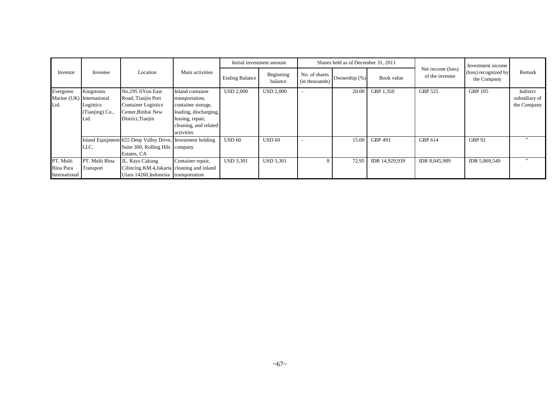|                                         |                                                                                 |                                                                                                                  |                                                                                                                                               |                                               | Initial investment amount |                                 | Shares held as of December 31, 2011 |                |                                      | Investment income                   |                                          |
|-----------------------------------------|---------------------------------------------------------------------------------|------------------------------------------------------------------------------------------------------------------|-----------------------------------------------------------------------------------------------------------------------------------------------|-----------------------------------------------|---------------------------|---------------------------------|-------------------------------------|----------------|--------------------------------------|-------------------------------------|------------------------------------------|
| Investor                                | Investee                                                                        | Location                                                                                                         | Main activities                                                                                                                               | Beginning<br><b>Ending Balance</b><br>balance |                           | No. of shares<br>(in thousands) | Ownership (%)                       | Book value     | Net income (loss)<br>of the investee | (loss) recognized by<br>the Company | Remark                                   |
| Evergreen<br>Ltd.                       | Kingstrans<br>Marine (UK) International<br>Logistics<br>(Tianjing) Co.,<br>Ltd. | No.295 JiYun East<br>Road, Tianjin Port<br><b>Container Logistics</b><br>Center, Binhai New<br>District, Tianjin | Inland container<br>transportation,<br>container storage,<br>loading, discharging,<br>leasing, repair,<br>cleaning, and related<br>activities | <b>USD 2,000</b>                              | <b>USD 2,000</b>          |                                 | 20.00                               | GBP 1,350      | GBP 525                              | GBP 105                             | Indirect<br>subsidiary of<br>the Company |
|                                         | LLC.                                                                            | Island Equipment 655 Deep Valley Drive, Investment holding<br>Suite 300, Rolling Hils company<br>Estates, CA     |                                                                                                                                               | <b>USD 60</b>                                 | <b>USD 60</b>             |                                 | 15.00                               | GBP 493        | GBP 614                              | <b>GBP 92</b>                       | $\boldsymbol{\prime}$                    |
| PT. Multi<br>Bina Pura<br>International | PT. Multi Bina<br>Transport                                                     | JL. Raya Cakung<br>Cilincing KM.4, Jakarta cleaning and inland<br>Utara 14260, Indonesia transportation          | Container repair,                                                                                                                             | <b>USD 3,301</b>                              | <b>USD 3.301</b>          | 8                               | 72.95                               | IDR 14.929.939 | IDR 8,045,989                        | IDR 5,869,549                       |                                          |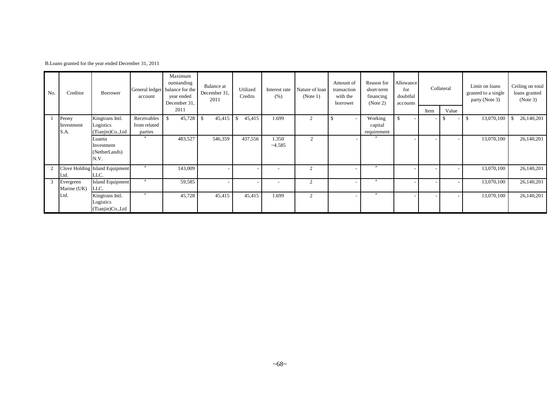|  |  |  |  |  |  |  | B. Loans granted for the year ended December 31, 2011 |  |  |  |
|--|--|--|--|--|--|--|-------------------------------------------------------|--|--|--|
|--|--|--|--|--|--|--|-------------------------------------------------------|--|--|--|

| No. | Creditor    | <b>Borrower</b>                | account        | Maximum<br>outstanding<br>General ledger balance for the<br>year ended<br>December 31,<br>2011 | Balance at<br>December 31,<br>2011 | Utilized<br>Credits | Interest rate<br>(% ) | Nature of loan<br>(Note 1) | Amount of<br>transaction<br>with the<br>borrower | Reason for<br>short-term<br>financing<br>(Note 2) | Allowance<br>for<br>doubtful<br>accounts |      | Collateral | Limit on loans<br>granted to a single<br>party (Note 3) | Ceiling on total<br>loans granted<br>(Note 3) |
|-----|-------------|--------------------------------|----------------|------------------------------------------------------------------------------------------------|------------------------------------|---------------------|-----------------------|----------------------------|--------------------------------------------------|---------------------------------------------------|------------------------------------------|------|------------|---------------------------------------------------------|-----------------------------------------------|
|     |             |                                |                |                                                                                                |                                    |                     |                       |                            |                                                  |                                                   |                                          | Item | Value      |                                                         |                                               |
|     | Peony       | Kingtrans Intl.                | Receivables    | 45,728<br>-S                                                                                   | 45,415                             | 45,415              | 1.699                 | $\overline{2}$             |                                                  | Working                                           | <sup>\$</sup>                            |      |            | 13,070,100<br>-S                                        | 26,140,201<br>S                               |
|     | Investment  | Logistics                      | from related   |                                                                                                |                                    |                     |                       |                            |                                                  | capital                                           |                                          |      |            |                                                         |                                               |
|     | S.A.        | (Tianjin)Co.,Ltd               | parties        |                                                                                                |                                    |                     |                       |                            |                                                  | requirement                                       |                                          |      |            |                                                         |                                               |
|     |             | Luanta                         |                | 483,527                                                                                        | 546,359                            | 437,556             | 1.350                 | $\overline{2}$             | $\overline{\phantom{0}}$                         |                                                   |                                          |      |            | 13,070,100                                              | 26,140,201                                    |
|     |             | Investment                     |                |                                                                                                |                                    |                     | $-4.585$              |                            |                                                  |                                                   |                                          |      |            |                                                         |                                               |
|     |             | (NetherLands)                  |                |                                                                                                |                                    |                     |                       |                            |                                                  |                                                   |                                          |      |            |                                                         |                                               |
|     |             | N.V.                           |                |                                                                                                |                                    |                     |                       |                            |                                                  |                                                   |                                          |      |            |                                                         |                                               |
|     |             | Clove Holding Island Equipment |                | 143,009                                                                                        |                                    |                     |                       | $\overline{2}$             | $\overline{\phantom{a}}$                         | $\overline{\phantom{a}}$                          |                                          |      |            | 13,070,100                                              | 26,140,201                                    |
|     | Ltd.        | LLC.                           |                |                                                                                                |                                    |                     |                       |                            |                                                  |                                                   |                                          |      |            |                                                         |                                               |
| 3   | Evergreen   | <b>Island Equipment</b>        | $\prime\prime$ | 59,585                                                                                         |                                    |                     |                       | $\overline{2}$             | $\overline{\phantom{a}}$                         |                                                   |                                          |      |            | 13,070,100                                              | 26,140,201                                    |
|     | Marine (UK) | LLC.                           |                |                                                                                                |                                    |                     |                       |                            |                                                  |                                                   |                                          |      |            |                                                         |                                               |
|     | Ltd.        | Kingtrans Intl.                | $\prime\prime$ | 45,728                                                                                         | 45,415                             | 45,415              | 1.699                 | 2                          | -                                                | $\boldsymbol{''}$                                 |                                          |      |            | 13,070,100                                              | 26,140,201                                    |
|     |             | Logistics                      |                |                                                                                                |                                    |                     |                       |                            |                                                  |                                                   |                                          |      |            |                                                         |                                               |
|     |             | (Tianjin)Co.,Ltd               |                |                                                                                                |                                    |                     |                       |                            |                                                  |                                                   |                                          |      |            |                                                         |                                               |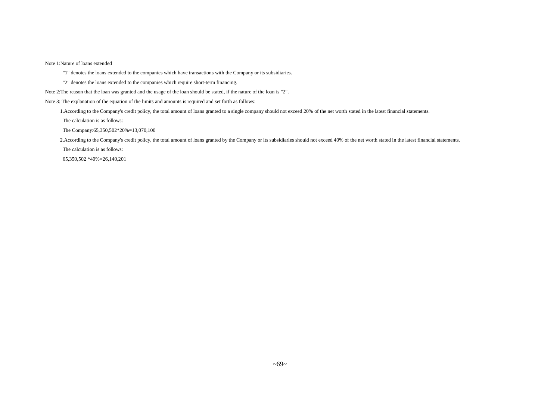Note 1:Nature of loans extended

"1" denotes the loans extended to the companies which have transactions with the Company or its subsidiaries.

"2" denotes the loans extended to the companies which require short-term financing.

Note 2:The reason that the loan was granted and the usage of the loan should be stated, if the nature of the loan is "2".

Note 3: The explanation of the equation of the limits and amounts is required and set forth as follows:

1.According to the Company's credit policy, the total amount of loans granted to a single company should not exceed 20% of the net worth stated in the latest financial statements.

The calculation is as follows:

The Company:65,350,502\*20%=13,070,100

2.According to the Company's credit policy, the total amount of loans granted by the Company or its subsidiaries should not exceed 40% of the net worth stated in the latest financial statements.

The calculation is as follows:

65,350,502 \*40%=26,140,201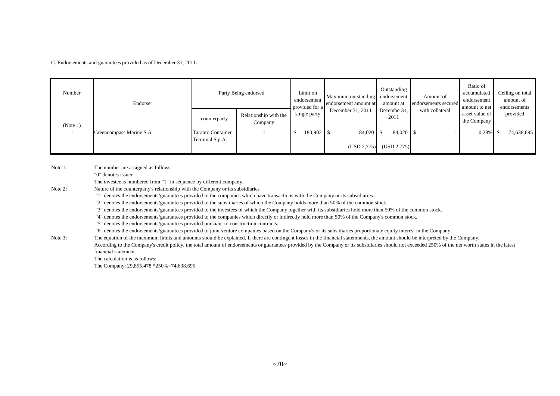C. Endorsements and guarantees provided as of December 31, 2011:

| Number   | Endorser                 |                                                  | Party Being endorsed | Limit on<br>endorsement<br>provided for a | Maximum outstanding endorsement<br>endorsement amount at | Outstanding<br>amount at    | Amount of<br>endorsements secured | Ratio of<br>accumulated<br>endorsement<br>amount to net | Ceiling on total<br>amount of<br>endorsements |  |
|----------|--------------------------|--------------------------------------------------|----------------------|-------------------------------------------|----------------------------------------------------------|-----------------------------|-----------------------------------|---------------------------------------------------------|-----------------------------------------------|--|
| (Note 1) |                          | Relationship with the<br>counterparty<br>Company |                      | single party                              | December 31, 2011                                        | December 31,<br>2011        | with collateral                   | asset value of<br>$\blacksquare$ the Company            | provided                                      |  |
|          | Greencompass Marine S.A. | <b>Taranto Container</b><br>Terminal S.p.A.      |                      | $180,902$ \$                              | $84,020$ \$                                              |                             |                                   | $0.28\%$ \$                                             | 74,638,695                                    |  |
|          |                          |                                                  |                      |                                           |                                                          | $(USD 2,775)$ $(USD 2,775)$ |                                   |                                                         |                                               |  |

Note 1: The number are assigned as follows:

"0" denotes issuer

The investee is numbered from "1" in sequence by different company.

Note 2: Nature of the counterparty's relationship with the Company or its subsidiaries

"1" denotes the endorsements/guarantees provided to the companies which have transactions with the Company or its subsidiaries.

"2" denotes the endorsements/guarantees provided to the subsidiaries of which the Company holds more than 50% of the common stock.

"3" denotes the endorsements/guarantees provided to the investees of which the Company together with its subsidiaries hold more than 50% of the common stock.

"4" denotes the endorsements/guarantees provided to the companies which directly or indirectly hold more than 50% of the Company's common stock.

"5" denotes the endorsements/guarantees provided pursuant to construction contracts.

"6" denotes the endorsements/guarantees provided to joint venture companies based on the Company's or its subsidiaries proportionate equity interest in the Company.

Note 3: The equation of the maximum limits and amounts should be explained. If there are contingent losses in the financial statemnents, the amount should be interpreted by the Company. According to the Company's credit policy, the total amount of endorsements or guarantees provided by the Company or its subsidiaries should not exceeded 250% of the net worth states in the latest financial statement.

The calculation is as follows: The Company: 29,855,478 \*250%=74,638,695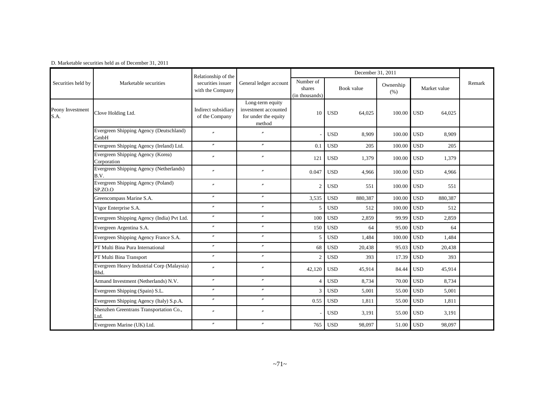|                          |                                                    | Relationship of the                   |                                                                            |                                       |            |         |                   |              |         |        |
|--------------------------|----------------------------------------------------|---------------------------------------|----------------------------------------------------------------------------|---------------------------------------|------------|---------|-------------------|--------------|---------|--------|
| Securities held by       | Marketable securities                              | securities issuer<br>with the Company | General ledger account                                                     | Number of<br>shares<br>(in thousands) | Book value |         | Ownership<br>(% ) | Market value |         | Remark |
| Peony Investment<br>S.A. | Clove Holding Ltd.                                 | Indirect subsidiary<br>of the Company | Long-term equity<br>investment accounted<br>for under the equity<br>method | 10                                    | <b>USD</b> | 64,025  | 100.00            | <b>USD</b>   | 64,025  |        |
|                          | Evergreen Shipping Agency (Deutschland)<br>GmbH    | $\theta$                              | $\theta$                                                                   |                                       | <b>USD</b> | 8,909   | 100.00            | <b>USD</b>   | 8,909   |        |
|                          | Evergreen Shipping Agency (Ireland) Ltd.           | $^{\prime\prime}$                     | $^{\prime\prime}$                                                          | 0.1                                   | <b>USD</b> | 205     | 100.00            | <b>USD</b>   | 205     |        |
|                          | Evergreen Shipping Agency (Korea)<br>Corporation   | $^{\prime\prime}$                     | $\theta$                                                                   | 121                                   | <b>USD</b> | 1,379   | 100.00            | <b>USD</b>   | 1,379   |        |
|                          | Evergreen Shipping Agency (Netherlands)<br>B.V.    | $^{\prime\prime}$                     | $^{\prime\prime}$                                                          | 0.047                                 | <b>USD</b> | 4,966   | 100.00            | <b>USD</b>   | 4,966   |        |
|                          | Evergreen Shipping Agency (Poland)<br>SP.ZO.O      | $^{\prime\prime}$                     | $^{\prime\prime}$                                                          | $\overline{2}$                        | <b>USD</b> | 551     | 100.00            | <b>USD</b>   | 551     |        |
|                          | Greencompass Marine S.A.                           | $^{\prime\prime}$                     | $^{\prime\prime}$                                                          | 3,535                                 | <b>USD</b> | 880,387 | 100.00            | <b>USD</b>   | 880,387 |        |
|                          | Vigor Enterprise S.A.                              | $^{\prime\prime}$                     | $^{\prime\prime}$                                                          | 5                                     | <b>USD</b> | 512     | 100.00            | <b>USD</b>   | 512     |        |
|                          | Evergreen Shipping Agency (India) Pvt Ltd.         | $^{\prime\prime}$                     | $^{\prime\prime}$                                                          | 100                                   | <b>USD</b> | 2,859   | 99.99             | <b>USD</b>   | 2,859   |        |
|                          | Evergreen Argentina S.A.                           | $^{\prime\prime}$                     | $^{\prime\prime}$                                                          | 150                                   | <b>USD</b> | 64      | 95.00             | <b>USD</b>   | 64      |        |
|                          | Evergreen Shipping Agency France S.A.              | $^{\prime\prime}$                     | $^{\prime\prime}$                                                          | 5                                     | <b>USD</b> | 1,484   | 100.00            | <b>USD</b>   | 1,484   |        |
|                          | PT Multi Bina Pura International                   | $^{\prime\prime}$                     | $^{\prime\prime}$                                                          | 68                                    | <b>USD</b> | 20,438  | 95.03             | <b>USD</b>   | 20,438  |        |
|                          | PT Multi Bina Transport                            | $^{\prime\prime}$                     | $\prime\prime$                                                             | $\overline{2}$                        | <b>USD</b> | 393     | 17.39             | <b>USD</b>   | 393     |        |
|                          | Evergreen Heavy Industrial Corp (Malaysia)<br>Bhd. | $\overline{v}$                        | $^{\prime\prime}$                                                          | 42,120                                | <b>USD</b> | 45,914  | 84.44             | <b>USD</b>   | 45,914  |        |
|                          | Armand Investment (Netherlands) N.V.               | $^{\prime\prime}$                     | $^{\prime\prime}$                                                          | $\overline{4}$                        | <b>USD</b> | 8,734   | 70.00             | <b>USD</b>   | 8,734   |        |
|                          | Evergreen Shipping (Spain) S.L.                    | $^{\prime\prime}$                     | $^{\prime\prime}$                                                          | $\overline{3}$                        | <b>USD</b> | 5.001   | 55.00             | <b>USD</b>   | 5,001   |        |
|                          | Evergreen Shipping Agency (Italy) S.p.A.           | $^{\prime\prime}$                     | $^{\prime\prime}$                                                          | 0.55                                  | <b>USD</b> | 1,811   | 55.00             | <b>USD</b>   | 1,811   |        |
|                          | Shenzhen Greentrans Transportation Co.,<br>Ltd.    | $^{\prime\prime}$                     | $\theta$                                                                   |                                       | <b>USD</b> | 3,191   | 55.00             | <b>USD</b>   | 3,191   |        |
|                          | Evergreen Marine (UK) Ltd.                         | $^{\prime\prime}$                     | $\theta$                                                                   | 765                                   | <b>USD</b> | 98,097  | 51.00             | <b>USD</b>   | 98,097  |        |

D. Marketable securities held as of December 31, 2011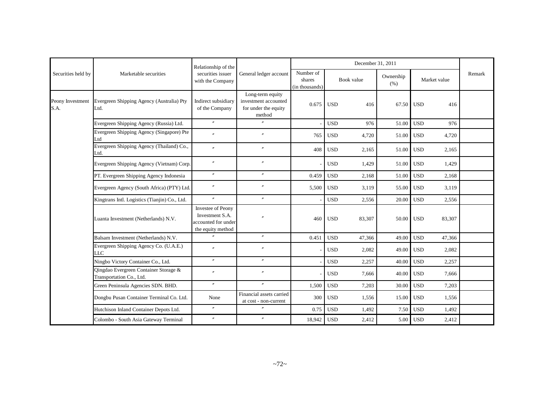|                          |                                                                   | Relationship of the                                                                     |                                                                            |                                       |            | December 31, 2011 |                   |                      |        |
|--------------------------|-------------------------------------------------------------------|-----------------------------------------------------------------------------------------|----------------------------------------------------------------------------|---------------------------------------|------------|-------------------|-------------------|----------------------|--------|
| Securities held by       | Marketable securities                                             | securities issuer<br>with the Company                                                   | General ledger account                                                     | Number of<br>shares<br>(in thousands) | Book value |                   | Ownership<br>(% ) | Market value         | Remark |
| Peony Investment<br>S.A. | Evergreen Shipping Agency (Australia) Pty<br>Ltd.                 | Indirect subsidiary<br>of the Company                                                   | Long-term equity<br>investment accounted<br>for under the equity<br>method | 0.675                                 | <b>USD</b> | 416               | 67.50             | <b>USD</b><br>416    |        |
|                          | Evergreen Shipping Agency (Russia) Ltd.                           | $\prime\prime$                                                                          | $^{\prime\prime}$                                                          |                                       | <b>USD</b> | 976               | 51.00             | <b>USD</b><br>976    |        |
|                          | Evergreen Shipping Agency (Singapore) Pte<br>Ltd                  | $\theta$                                                                                | $\overline{v}$                                                             | 765                                   | <b>USD</b> | 4,720             | 51.00             | <b>USD</b><br>4,720  |        |
|                          | Evergreen Shipping Agency (Thailand) Co.,<br>Ltd.                 | $\overline{r}$                                                                          | $\prime\prime$                                                             | 408                                   | <b>USD</b> | 2,165             | 51.00             | <b>USD</b><br>2,165  |        |
|                          | Evergreen Shipping Agency (Vietnam) Corp.                         | $\prime\prime$                                                                          | $^{\prime\prime}$                                                          |                                       | <b>USD</b> | 1,429             | 51.00             | <b>USD</b><br>1,429  |        |
|                          | PT. Evergreen Shipping Agency Indonesia                           |                                                                                         | $^{\prime\prime}$                                                          | 0.459                                 | <b>USD</b> | 2,168             | 51.00             | <b>USD</b><br>2.168  |        |
|                          | Evergreen Agency (South Africa) (PTY) Ltd.                        | $^{\prime\prime}$                                                                       |                                                                            | 5,500                                 | <b>USD</b> | 3,119             | 55.00             | <b>USD</b><br>3,119  |        |
|                          | Kingtrans Intl. Logistics (Tianjin) Co., Ltd.                     | $^{\prime\prime}$                                                                       | $^{\prime\prime}$                                                          |                                       | <b>USD</b> | 2,556             | 20.00             | <b>USD</b><br>2,556  |        |
|                          | Luanta Investment (Netherlands) N.V.                              | <b>Investee of Peony</b><br>Investment S.A.<br>accounted for under<br>the equity method |                                                                            | 460                                   | <b>USD</b> | 83,307            | 50.00             | <b>USD</b><br>83,307 |        |
|                          | Balsam Investment (Netherlands) N.V.                              | $\overline{r}$                                                                          | $\prime\prime$                                                             | 0.451                                 | <b>USD</b> | 47,366            | 49.00             | <b>USD</b><br>47,366 |        |
|                          | Evergreen Shipping Agency Co. (U.A.E.)<br><b>LLC</b>              | $\theta$                                                                                | $\overline{''}$                                                            |                                       | <b>USD</b> | 2,082             | 49.00             | <b>USD</b><br>2,082  |        |
|                          | Ningbo Victory Container Co., Ltd.                                | $^{\prime\prime}$                                                                       | $\theta$                                                                   |                                       | <b>USD</b> | 2,257             | 40.00             | <b>USD</b><br>2,257  |        |
|                          | Qingdao Evergreen Container Storage &<br>Transportation Co., Ltd. | $\theta$                                                                                |                                                                            |                                       | <b>USD</b> | 7,666             | 40.00             | <b>USD</b><br>7,666  |        |
|                          | Green Peninsula Agencies SDN. BHD.                                | $\prime\prime$                                                                          | $^{\prime\prime}$                                                          | 1,500                                 | <b>USD</b> | 7,203             | 30.00             | <b>USD</b><br>7,203  |        |
|                          | Dongbu Pusan Container Terminal Co. Ltd.                          | None                                                                                    | Financial assets carried<br>at cost - non-current                          | 300                                   | <b>USD</b> | 1,556             | 15.00             | <b>USD</b><br>1,556  |        |
|                          | Hutchison Inland Container Depots Ltd.                            | $\prime\prime$                                                                          | $^{\prime\prime}$                                                          | 0.75                                  | <b>USD</b> | 1,492             | 7.50              | <b>USD</b><br>1,492  |        |
|                          | Colombo - South Asia Gateway Terminal                             | $\overline{r}$                                                                          | $\overline{v}$                                                             | 18,942                                | <b>USD</b> | 2,412             | 5.00              | <b>USD</b><br>2,412  |        |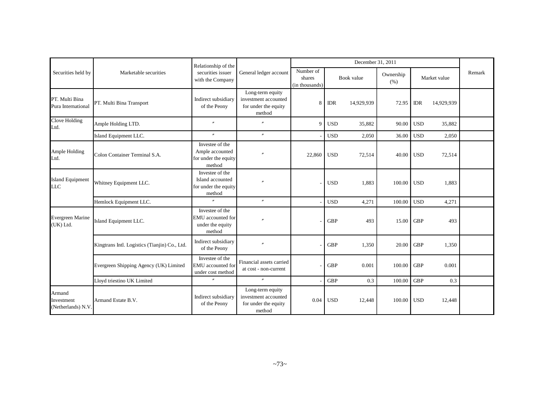|                                            |                                               | Relationship of the                                                       |                                                                            |                                       |                      | December 31, 2011 |                   |              |            |        |
|--------------------------------------------|-----------------------------------------------|---------------------------------------------------------------------------|----------------------------------------------------------------------------|---------------------------------------|----------------------|-------------------|-------------------|--------------|------------|--------|
| Securities held by                         | Marketable securities                         | securities issuer<br>with the Company                                     | General ledger account                                                     | Number of<br>shares<br>(in thousands) | Book value           |                   | Ownership<br>(% ) | Market value |            | Remark |
| PT. Multi Bina<br>Pura International       | PT. Multi Bina Transport                      | Indirect subsidiary<br>of the Peony                                       | Long-term equity<br>investment accounted<br>for under the equity<br>method | 8                                     | <b>IDR</b>           | 14,929,939        | 72.95             | <b>IDR</b>   | 14,929,939 |        |
| Clove Holding<br>Ltd.                      | Ample Holding LTD.                            | $\prime$                                                                  |                                                                            | 9                                     | <b>USD</b>           | 35,882            | 90.00             | <b>USD</b>   | 35,882     |        |
|                                            | Island Equipment LLC.                         | $\overline{v}$                                                            | $^{\prime\prime}$                                                          |                                       | <b>USD</b>           | 2,050             | 36.00             | <b>USD</b>   | 2,050      |        |
| Ample Holding<br>Ltd.                      | Colon Container Terminal S.A.                 | Investee of the<br>Ample accounted<br>for under the equity<br>method      |                                                                            | 22,860                                | <b>USD</b><br>72,514 |                   | 40.00             | <b>USD</b>   | 72,514     |        |
| <b>Island Equipment</b><br><b>LLC</b>      | Whitney Equipment LLC.                        | Investee of the<br>Island accounted<br>for under the equity<br>method     |                                                                            |                                       | <b>USD</b>           | 1,883             | 100.00            | <b>USD</b>   | 1,883      |        |
|                                            | Hemlock Equipment LLC.                        | $\theta$                                                                  | $\prime$                                                                   |                                       | <b>USD</b>           | 4,271             | 100.00            | <b>USD</b>   | 4,271      |        |
| <b>Evergreen Marine</b><br>(UK) Ltd.       | Island Equipment LLC.                         | Investee of the<br><b>EMU</b> accounted for<br>under the equity<br>method |                                                                            |                                       | <b>GBP</b>           | 493               | 15.00             | <b>GBP</b>   | 493        |        |
|                                            | Kingtrans Intl. Logistics (Tianjin) Co., Ltd. | Indirect subsidiary<br>of the Peony                                       |                                                                            |                                       | <b>GBP</b>           | 1,350             | 20.00             | <b>GBP</b>   | 1,350      |        |
|                                            | Evergreen Shipping Agency (UK) Limited        | Investee of the<br><b>EMU</b> accounted for<br>under cost method          | Financial assets carried<br>at cost - non-current                          |                                       | <b>GBP</b>           | 0.001             | 100.00            | <b>GBP</b>   | 0.001      |        |
|                                            | Lloyd triestino UK Limited                    | $\theta$                                                                  | $^{\prime\prime}$                                                          |                                       | <b>GBP</b>           | 0.3               | 100.00            | <b>GBP</b>   | 0.3        |        |
| Armand<br>Investment<br>(Netherlands) N.V. | Armand Estate B.V.                            | Indirect subsidiary<br>of the Peony                                       | Long-term equity<br>investment accounted<br>for under the equity<br>method | 0.04                                  | <b>USD</b>           | 12,448            | 100.00            | <b>USD</b>   | 12,448     |        |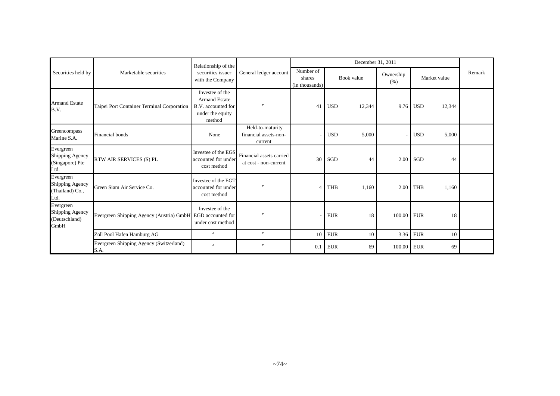| Securities held by                                      |                                                            | Relationship of the                                                                         |                                                      |                                       |             | December 31, 2011 |                   |              |        |        |
|---------------------------------------------------------|------------------------------------------------------------|---------------------------------------------------------------------------------------------|------------------------------------------------------|---------------------------------------|-------------|-------------------|-------------------|--------------|--------|--------|
|                                                         | Marketable securities                                      | securities issuer<br>with the Company                                                       | General ledger account                               | Number of<br>shares<br>(in thousands) | Book value  |                   | Ownership<br>(% ) | Market value |        | Remark |
| <b>Armand Estate</b><br>B.V.                            | Taipei Port Container Terminal Corporation                 | Investee of the<br><b>Armand Estate</b><br>B.V. accounted for<br>under the equity<br>method |                                                      | 41                                    | <b>USD</b>  | 12,344            | 9.76              | <b>USD</b>   | 12,344 |        |
| Greencompass<br>Marine S.A.                             | Financial bonds                                            | None                                                                                        | Held-to-maturity<br>financial assets-non-<br>current |                                       | <b>USD</b>  | 5,000             |                   | <b>USD</b>   | 5,000  |        |
| Evergreen<br>Shipping Agency<br>(Singapore) Pte<br>Ltd. | RTW AIR SERVICES (S) PL                                    | Investee of the EGS<br>accounted for under<br>cost method                                   | Financial assets carried<br>at cost - non-current    | 30                                    | SGD         | 44                | 2.00              | SGD          | 44     |        |
| Evergreen<br>Shipping Agency<br>(Thailand) Co.,<br>Ltd. | Green Siam Air Service Co.                                 | Investee of the EGT<br>accounted for under<br>cost method                                   |                                                      | $\overline{A}$                        | <b>THB</b>  | 1,160             | 2.00              | <b>THB</b>   | 1,160  |        |
| Evergreen<br>Shipping Agency<br>(Deutschland)<br>GmbH   | Evergreen Shipping Agency (Austria) GmbH EGD accounted for | Investee of the<br>under cost method                                                        |                                                      |                                       | <b>EUR</b>  | 18                | 100.00 EUR        |              | 18     |        |
|                                                         | Zoll Pool Hafen Hamburg AG                                 | $\prime\prime$                                                                              | $\prime\prime$                                       | 10                                    | ${\rm EUR}$ | 10                | 3.36              | <b>EUR</b>   | 10     |        |
|                                                         | Evergreen Shipping Agency (Switzerland)<br>S.A.            | $^{\prime\prime}$                                                                           |                                                      | 0.1                                   | <b>EUR</b>  | 69                | 100.00            | <b>EUR</b>   | 69     |        |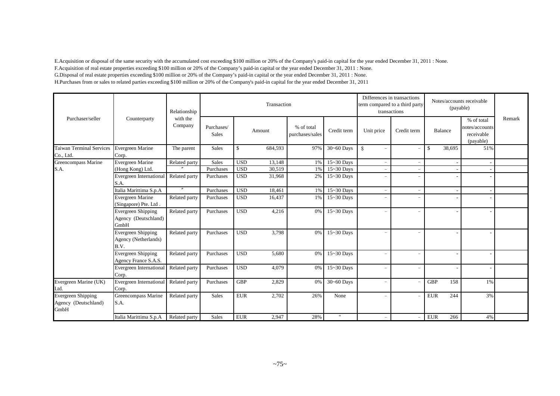E.Acquisition or disposal of the same security with the accumulated cost exceeding \$100 million or 20% of the Company's paid-in capital for the year ended December 31, 2011 : None. F.Acquisition of real estate properties exceeding \$100 million or 20% of the Company's paid-in capital or the year ended December 31, 2011 : None. G.Disposal of real estate properties exceeding \$100 million or 20% of the Company's paid-in capital or the year ended December 31, 2011 : None. H.Purchases from or sales to related parties exceeding \$100 million or 20% of the Company's paid-in capital for the year ended December 31, 2011

|                                                    |                                                           | Relationship<br>with the<br>Company |                            |            | Transaction | Differences in transactions<br>term compared to a third party<br>transactions | Notes/accounts receivable<br>(payable) |                                           |                          |               |         |                                                         |        |
|----------------------------------------------------|-----------------------------------------------------------|-------------------------------------|----------------------------|------------|-------------|-------------------------------------------------------------------------------|----------------------------------------|-------------------------------------------|--------------------------|---------------|---------|---------------------------------------------------------|--------|
| Purchaser/seller                                   | Counterparty                                              |                                     | Purchases/<br><b>Sales</b> |            | Amount      | % of total<br>purchases/sales                                                 | Credit term                            | Unit price                                | Credit term              |               | Balance | % of total<br>notes/accounts<br>receivable<br>(payable) | Remark |
| <b>Taiwan Terminal Services</b><br>Co., Ltd.       | Evergreen Marine<br>Corp.                                 | The parent                          | Sales                      | \$         | 684,593     | 97%                                                                           | $30 - 60$ Days                         | $\mathbf{\$}$<br>$\overline{\phantom{m}}$ |                          | $\mathbf{\$}$ | 38,695  | 51%                                                     |        |
| Greencompass Marine                                | Evergreen Marine                                          | Related party                       | Sales                      | <b>USD</b> | 13,148      | 1%                                                                            | $15 - 30$ Days                         | $\overline{\phantom{a}}$                  |                          |               |         |                                                         |        |
| S.A.                                               | (Hong Kong) Ltd.                                          |                                     | Purchases                  | <b>USD</b> | 30,519      | 1%                                                                            | $\overline{15}$ ~30 Days               |                                           |                          |               |         |                                                         |        |
|                                                    | <b>Evergreen International</b><br>S.A.                    | Related party                       | Purchases                  | <b>USD</b> | 31,968      | 2%                                                                            | $15 - 30$ Days                         | $\overline{\phantom{m}}$                  |                          |               |         |                                                         |        |
|                                                    | Italia Marittima S.p.A                                    | $^{\prime\prime}$                   | Purchases                  | <b>USD</b> | 18,461      | 1%                                                                            | $15 - 30$ Days                         | $\equiv$                                  |                          |               |         |                                                         |        |
|                                                    | Evergreen Marine<br>(Singapore) Pte. Ltd.                 | Related party                       | Purchases                  | <b>USD</b> | 16,437      | 1%                                                                            | $15 - 30$ Days                         | $\overline{\phantom{m}}$                  |                          |               |         |                                                         |        |
|                                                    | <b>Evergreen Shipping</b><br>Agency (Deutschland)<br>GmbH | Related party                       | Purchases                  | <b>USD</b> | 4,216       | 0%                                                                            | 15~30 Days                             | $\overline{\phantom{a}}$                  |                          |               |         |                                                         |        |
|                                                    | Evergreen Shipping<br>Agency (Netherlands)<br>B.V.        | Related party                       | Purchases                  | <b>USD</b> | 3,798       | 0%                                                                            | 15~30 Days                             | $\overline{\phantom{m}}$                  |                          |               |         |                                                         |        |
|                                                    | Evergreen Shipping<br>Agency France S.A.S.                | Related party                       | Purchases                  | <b>USD</b> | 5,680       | 0%                                                                            | 15~30 Days                             | $\equiv$                                  |                          |               |         |                                                         |        |
|                                                    | Evergreen International<br>Corp.                          | Related party                       | Purchases                  | <b>USD</b> | 4,079       | 0%                                                                            | $15 - 30$ Days                         | $\overline{\phantom{m}}$                  | $\overline{\phantom{a}}$ |               |         |                                                         |        |
| Evergreen Marine (UK)<br>Ltd.                      | Evergreen International<br>Corp.                          | Related party                       | Purchases                  | <b>GBP</b> | 2,829       | 0%                                                                            | $30 - 60$ Days                         | $\overline{\phantom{a}}$                  |                          | <b>GBP</b>    | 158     | 1%                                                      |        |
| Evergreen Shipping<br>Agency (Deutschland)<br>GmbH | Greencompass Marine<br>S.A.                               | Related party                       | <b>Sales</b>               | <b>EUR</b> | 2,702       | 26%                                                                           | None                                   | $\overline{\phantom{m}}$                  |                          | <b>EUR</b>    | 244     | 3%                                                      |        |
|                                                    | Italia Marittima S.p.A                                    | Related party                       | <b>Sales</b>               | <b>EUR</b> | 2.947       | 28%                                                                           | $\mathbf{u}$                           | $\qquad \qquad =$                         |                          | <b>EUR</b>    | 266     | 4%                                                      |        |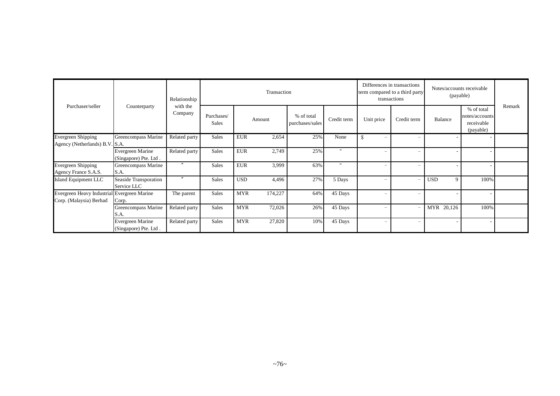|                                                                        | Counterparty                              | Relationship<br>with the<br>Company |                            |            | Transaction |                               |              | term compared to a third party | Differences in transactions<br>transactions | Notes/accounts receivable<br>(payable) |                                                         |        |
|------------------------------------------------------------------------|-------------------------------------------|-------------------------------------|----------------------------|------------|-------------|-------------------------------|--------------|--------------------------------|---------------------------------------------|----------------------------------------|---------------------------------------------------------|--------|
| Purchaser/seller                                                       |                                           |                                     | Purchases/<br><b>Sales</b> |            | Amount      | % of total<br>purchases/sales | Credit term  | Unit price                     | Credit term                                 | Balance                                | % of total<br>notes/accounts<br>receivable<br>(payable) | Remark |
| Evergreen Shipping<br>Agency (Netherlands) B.V. S.A.                   | Greencompass Marine                       | Related party                       | Sales                      | <b>EUR</b> | 2,654       | 25%                           | None         | \$<br>$\overline{\phantom{a}}$ | $\overline{\phantom{m}}$                    |                                        |                                                         |        |
|                                                                        | Evergreen Marine<br>(Singapore) Pte. Ltd. | Related party                       | <b>Sales</b>               | <b>EUR</b> | 2,749       | 25%                           | $\mathbf{u}$ | $\overline{\phantom{m}}$       | $\qquad \qquad -$                           |                                        |                                                         |        |
| Evergreen Shipping<br>Agency France S.A.S.                             | Greencompass Marine<br>S.A.               | $^{\prime\prime}$                   | <b>Sales</b>               | <b>EUR</b> | 3,999       | 63%                           | $\mathbf{u}$ | $\overline{\phantom{0}}$       | $\overline{\phantom{m}}$                    |                                        |                                                         |        |
| Island Equipment LLC                                                   | Seaside Transporation<br>Service LLC      | $^{\prime\prime}$                   | <b>Sales</b>               | <b>USD</b> | 4,496       | 27%                           | 5 Days       | $\overline{\phantom{m}}$       | $\qquad \qquad -$                           | <b>USD</b><br>9                        | 100%                                                    |        |
| Evergreen Heavy Industrial Evergreen Marine<br>Corp. (Malaysia) Berhad | Corp.                                     | The parent                          | Sales                      | <b>MYR</b> | 174,227     | 64%                           | 45 Days      | $\overline{\phantom{0}}$       | $\overline{\phantom{m}}$                    |                                        |                                                         |        |
|                                                                        | Greencompass Marine<br>S.A.               | Related party                       | <b>Sales</b>               | <b>MYR</b> | 72,026      | 26%                           | 45 Days      | $\overline{\phantom{0}}$       |                                             | MYR 20,126                             | 100%                                                    |        |
|                                                                        | Evergreen Marine<br>(Singapore) Pte. Ltd. | Related party                       | Sales                      | <b>MYR</b> | 27,820      | 10%                           | 45 Days      | $\overline{\phantom{m}}$       | $\qquad \qquad -$                           |                                        |                                                         |        |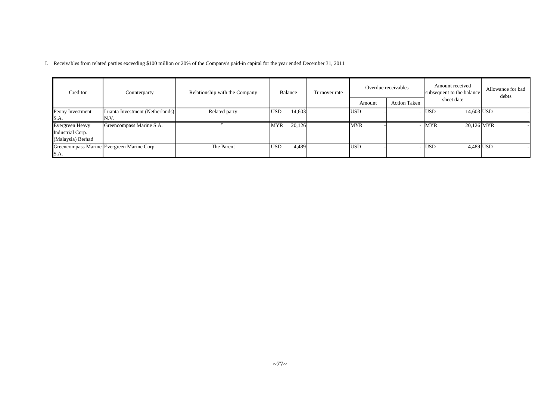I. Receivables from related parties exceeding \$100 million or 20% of the Company's paid-in capital for the year ended December 31, 2011

| Creditor          | Counterparty                               | Relationship with the Company | Balance              | Turnover rate |            | Overdue receivables | Amount received<br>subsequent to the balance | Allowance for bad<br>debts |  |
|-------------------|--------------------------------------------|-------------------------------|----------------------|---------------|------------|---------------------|----------------------------------------------|----------------------------|--|
|                   |                                            |                               |                      |               | Amount     | <b>Action Taken</b> | sheet date                                   |                            |  |
| Peony Investment  | Luanta Investment (Netherlands)            | Related party                 | 14,603<br><b>USD</b> |               | <b>USD</b> |                     | · IUSD<br>14,603 USD                         |                            |  |
| S.A.              | IN.V.                                      |                               |                      |               |            |                     |                                              |                            |  |
| Evergreen Heavy   | Greencompass Marine S.A.                   |                               | 20,126<br><b>MYR</b> |               | <b>MYR</b> |                     | 20,126 MYR<br>· <b>IMYR</b>                  |                            |  |
| Industrial Corp.  |                                            |                               |                      |               |            |                     |                                              |                            |  |
| (Malaysia) Berhad |                                            |                               |                      |               |            |                     |                                              |                            |  |
|                   | Greencompass Marine Evergreen Marine Corp. | The Parent                    | <b>USD</b><br>4,489  |               | <b>USD</b> |                     | 4,489 USD<br><b>USD</b>                      |                            |  |
| S.A.              |                                            |                               |                      |               |            |                     |                                              |                            |  |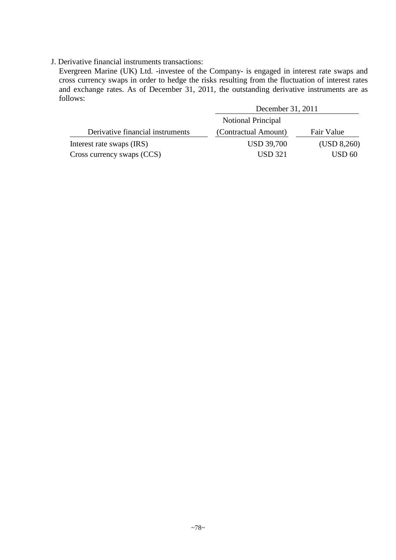## J. Derivative financial instruments transactions:

Evergreen Marine (UK) Ltd. -investee of the Company- is engaged in interest rate swaps and cross currency swaps in order to hedge the risks resulting from the fluctuation of interest rates and exchange rates. As of December 31, 2011, the outstanding derivative instruments are as follows:

|                                  | December 31, 2011    |             |
|----------------------------------|----------------------|-------------|
|                                  | Notional Principal   |             |
| Derivative financial instruments | (Contractual Amount) | Fair Value  |
| Interest rate swaps (IRS)        | <b>USD 39,700</b>    | (USD 8,260) |
| Cross currency swaps (CCS)       | <b>USD 321</b>       | USD 60      |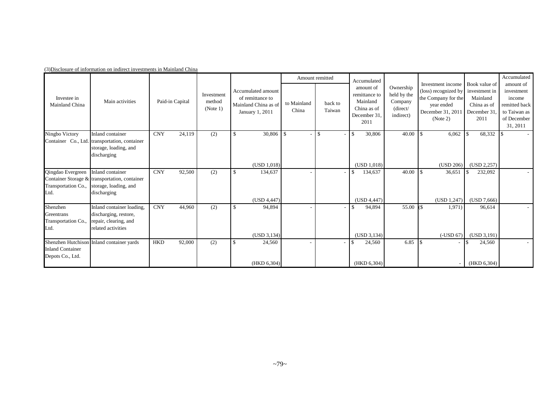|                                                       |                                                                                                           |                      |                                  |                                                                                   |                      | Amount remitted   | Accumulated                                                                  |                                                              |                                                                                                                 |                                                                                  | Accumulated                                                                                   |
|-------------------------------------------------------|-----------------------------------------------------------------------------------------------------------|----------------------|----------------------------------|-----------------------------------------------------------------------------------|----------------------|-------------------|------------------------------------------------------------------------------|--------------------------------------------------------------|-----------------------------------------------------------------------------------------------------------------|----------------------------------------------------------------------------------|-----------------------------------------------------------------------------------------------|
| Investee in<br>Mainland China                         | Main activities                                                                                           | Paid-in Capital      | Investment<br>method<br>(Note 1) | Accumulated amount<br>of remittance to<br>Mainland China as of<br>January 1, 2011 | to Mainland<br>China | back to<br>Taiwan | amount of<br>remittance to<br>Mainland<br>China as of<br>December 31<br>2011 | Ownership<br>held by the<br>Company<br>(direct/<br>indirect) | Investment income<br>(loss) recognized by<br>the Company for the<br>year ended<br>December 31, 2011<br>(Note 2) | Book value of<br>investment in<br>Mainland<br>China as of<br>December 31<br>2011 | amount of<br>investment<br>income<br>remitted back<br>to Taiwan as<br>of December<br>31, 2011 |
| Ningbo Victory                                        | Inland container<br>Container Co., Ltd. transportation, container<br>storage, loading, and<br>discharging | <b>CNY</b><br>24,119 | (2)                              | 30,806<br>$\mathbf{\$}$                                                           | l \$                 | $\overline{1}$    | l \$<br>30,806                                                               | 40.00                                                        | 6,062<br>18                                                                                                     | 68,332                                                                           |                                                                                               |
|                                                       |                                                                                                           |                      |                                  | (USD 1.018)                                                                       |                      |                   | (USD 1,018)                                                                  |                                                              | (USD 206)                                                                                                       | (USD 2, 257)                                                                     |                                                                                               |
| Qingdao Evergreen<br>Transportation Co.,<br>Ltd.      | Inland container<br>Container Storage & transportation, container<br>storage, loading, and<br>discharging | <b>CNY</b><br>92,500 | (2)                              | 134,637<br>$\mathbf{\$}$<br>(USD 4,447)                                           |                      |                   | 134,637<br>\$<br>(USD 4,447)                                                 | 40.00                                                        | 36,651<br>(USD 1, 247)                                                                                          | 232,092<br>(USD 7,666)                                                           |                                                                                               |
| Shenzhen<br>Greentrans<br>Transportation Co.,<br>Ltd. | Inland container loading,<br>discharging, restore,<br>repair, clearing, and<br>related activities         | <b>CNY</b><br>44,960 | (2)                              | \$<br>94,894                                                                      |                      |                   | 94,894<br>\$.                                                                | 55.00                                                        | 1,971)                                                                                                          | 96,614                                                                           |                                                                                               |
|                                                       |                                                                                                           |                      |                                  | (USD 3, 134)                                                                      |                      |                   | (USD 3, 134)                                                                 |                                                              | $(-USD 67)$                                                                                                     | (USD 3, 191)                                                                     |                                                                                               |
| <b>Inland Container</b><br>Depots Co., Ltd.           | Shenzhen Hutchison Inland container yards                                                                 | 92,000<br><b>HKD</b> | (2)                              | 24,560<br><sup>\$</sup>                                                           |                      |                   | 24,560                                                                       | 6.85                                                         | <b>1</b> \$<br>$\overline{\phantom{a}}$                                                                         | 24,560                                                                           |                                                                                               |
|                                                       |                                                                                                           |                      |                                  | (HKD 6,304)                                                                       |                      |                   | (HKD 6,304)                                                                  |                                                              |                                                                                                                 | (HKD 6,304)                                                                      |                                                                                               |

(3)Disclosure of information on indirect investments in Mainland China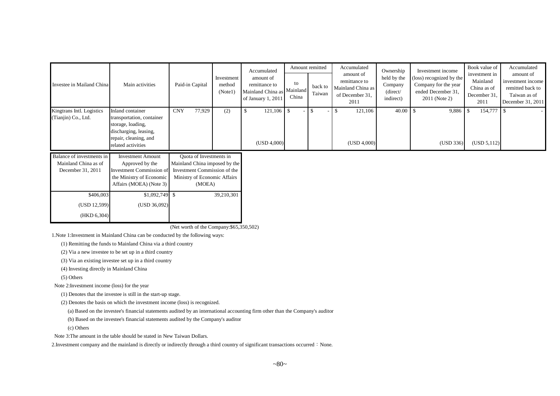| Investee in Mailand China                                              | Main activities                                                                                                                            | Paid-in Capital                                                                                                                    | Investment<br>method<br>(Note1) | Accumulated<br>amount of<br>remittance to<br>Mainland China as Mainland<br>of January 1, 2011 | to<br>China | Amount remitted<br>back to<br>Taiwan | Accumulated<br>amount of<br>remittance to<br>Mainland China as<br>of December 31,<br>2011 | Ownership<br>held by the<br>Company<br>(direct/<br>indirect) | Investment income<br>(loss) recognized by the<br>Company for the year<br>ended December 31,<br>2011 (Note 2) | Book value of<br>investment in<br>Mainland<br>China as of<br>December 31<br>2011 | Accumulated<br>amount of<br>investment income<br>remitted back to<br>Taiwan as of<br>December 31, 2011 |
|------------------------------------------------------------------------|--------------------------------------------------------------------------------------------------------------------------------------------|------------------------------------------------------------------------------------------------------------------------------------|---------------------------------|-----------------------------------------------------------------------------------------------|-------------|--------------------------------------|-------------------------------------------------------------------------------------------|--------------------------------------------------------------|--------------------------------------------------------------------------------------------------------------|----------------------------------------------------------------------------------|--------------------------------------------------------------------------------------------------------|
| Kingtrans Intl. Logistics<br>(Tianjin) Co., Ltd.                       | Inland container<br>transportation, container<br>storage, loading,<br>discharging, leasing,<br>repair, cleaning, and<br>related activities | 77,929<br><b>CNY</b>                                                                                                               | (2)                             | $121,106$ \$<br>\$<br>(USD 4,000)                                                             |             | \$                                   | 121,106<br>-\$<br>(USD 4,000)                                                             | 40.00                                                        | - \$<br>9,886<br>(USD 336)                                                                                   | 154,777<br><b>S</b><br>(USD 5,112)                                               |                                                                                                        |
| Balance of investments in<br>Mainland China as of<br>December 31, 2011 | <b>Investment Amount</b><br>Approved by the<br><b>Investment Commission of</b><br>the Ministry of Economic<br>Affairs (MOEA) (Note 3)      | Quota of Investments in<br>Mainland China imposed by the<br>Investment Commission of the<br>Ministry of Economic Affairs<br>(MOEA) |                                 |                                                                                               |             |                                      |                                                                                           |                                                              |                                                                                                              |                                                                                  |                                                                                                        |
| \$406,003<br>(USD 12,599)<br>(HKD 6, 304)                              | (USD 36,092)                                                                                                                               |                                                                                                                                    | 39,210,301                      |                                                                                               |             |                                      |                                                                                           |                                                              |                                                                                                              |                                                                                  |                                                                                                        |

(Net worth of the Company:\$65,350,502)

1.Note 1:Investment in Mainland China can be conducted by the following ways:

(1) Remitting the funds to Mainland China via a third country

(2) Via a new investee to be set up in a third country

(3) Via an existing investee set up in a third country

(4) Investing directly in Mainland China

(5) Others

Note 2:Investment income (loss) for the year

(1) Denotes that the investee is still in the start-up stage.

(2) Denotes the basis on which the investment income (loss) is recognized.

(a) Based on the investee's financial statements audited by an international accounting firm other than the Company's auditor

(b) Based on the investee's financial statements audited by the Company's auditor

(c) Others

Note 3:The amount in the table should be stated in New Taiwan Dollars.

2. Investment company and the mainland is directly or indirectly through a third country of significant transactions occurred: None.